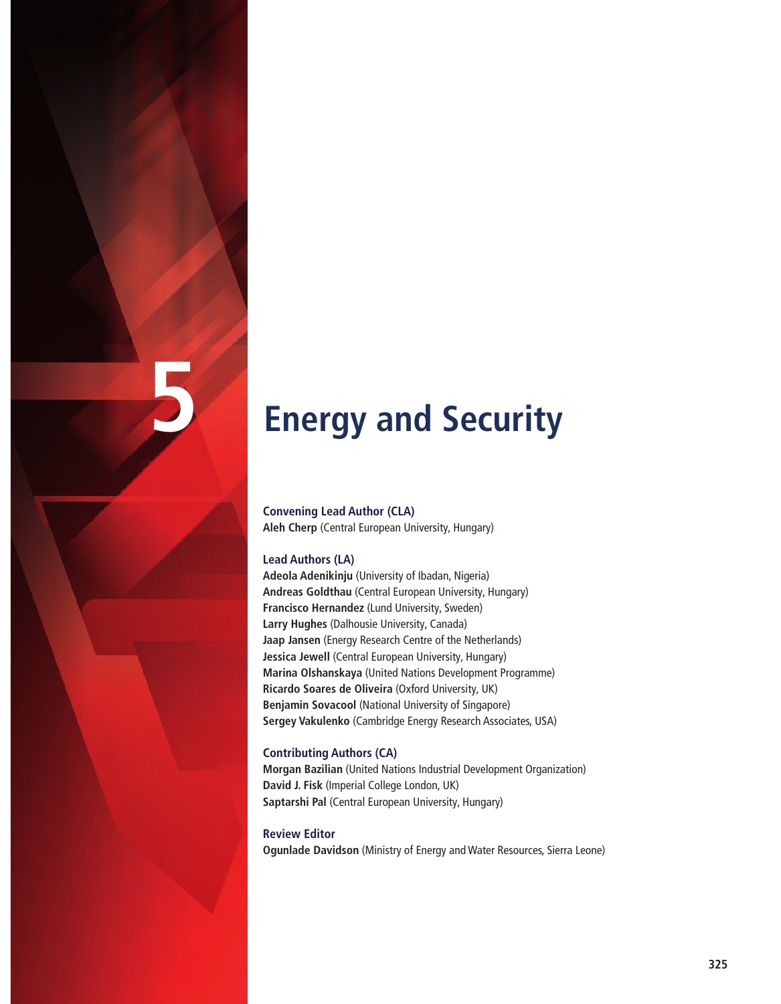# **Energy and Security**

## **Convening Lead Author (CLA)**

**Aleh Cherp** (Central European University, Hungary)

## **Lead Authors (LA)**

 **5** 

 **Adeola Adenikinju** (University of Ibadan, Nigeria) **Andreas Goldthau** (Central European University, Hungary) **Francisco Hernandez** (Lund University, Sweden) **Larry Hughes** (Dalhousie University, Canada) **Jaap Jansen** (Energy Research Centre of the Netherlands) **Jessica Jewell** (Central European University, Hungary) **Marina Olshanskaya** (United Nations Development Programme) **Ricardo Soares de Oliveira** (Oxford University, UK) **Benjamin Sovacool** (National University of Singapore) **Sergey Vakulenko** (Cambridge Energy Research Associates, USA)

## **Contributing Authors (CA)**

**Morgan Bazilian** (United Nations Industrial Development Organization)  **David J. Fisk** (Imperial College London, UK) **Saptarshi Pal** (Central European University, Hungary)

## **Review Editor**

 **Ogunlade Davidson** (Ministry of Energy and Water Resources, Sierra Leone)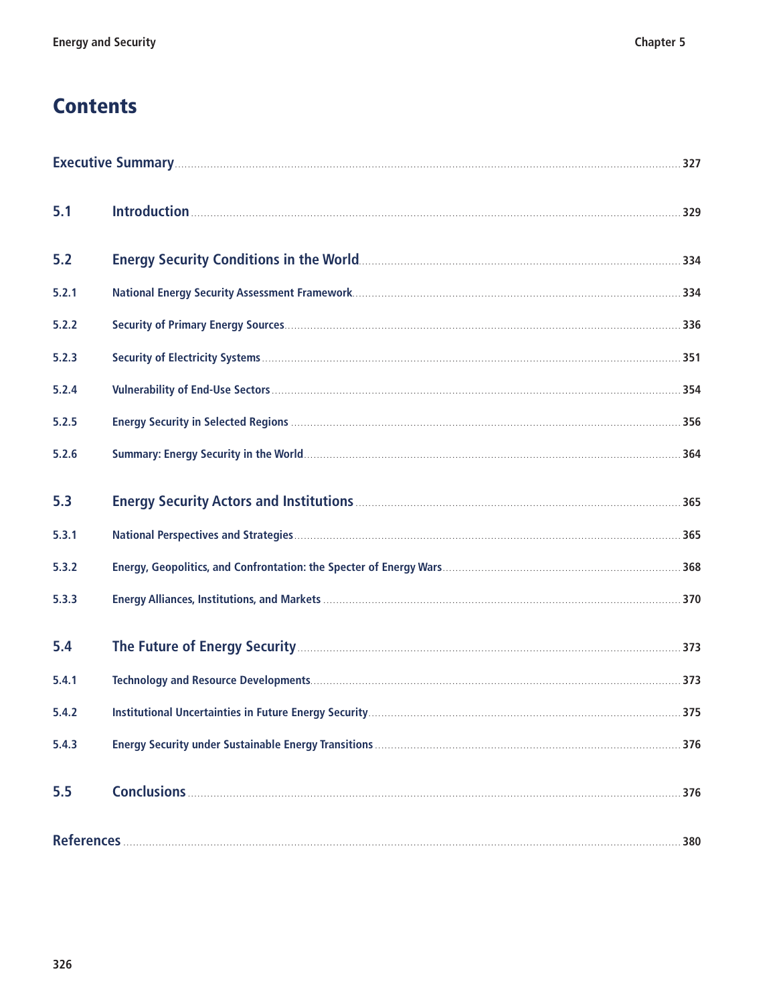# **Contents**

|       | Executive Summary 227 |  |  |
|-------|-----------------------|--|--|
| 5.1   |                       |  |  |
| 5.2   |                       |  |  |
| 5.2.1 |                       |  |  |
| 5.2.2 |                       |  |  |
| 5.2.3 |                       |  |  |
| 5.2.4 |                       |  |  |
| 5.2.5 |                       |  |  |
| 5.2.6 |                       |  |  |
| 5.3   |                       |  |  |
| 5.3.1 |                       |  |  |
| 5.3.2 |                       |  |  |
| 5.3.3 |                       |  |  |
| 5.4   |                       |  |  |
| 5.4.1 |                       |  |  |
| 5.4.2 |                       |  |  |
| 5.4.3 |                       |  |  |
| 5.5   | Conclusions 276       |  |  |
|       |                       |  |  |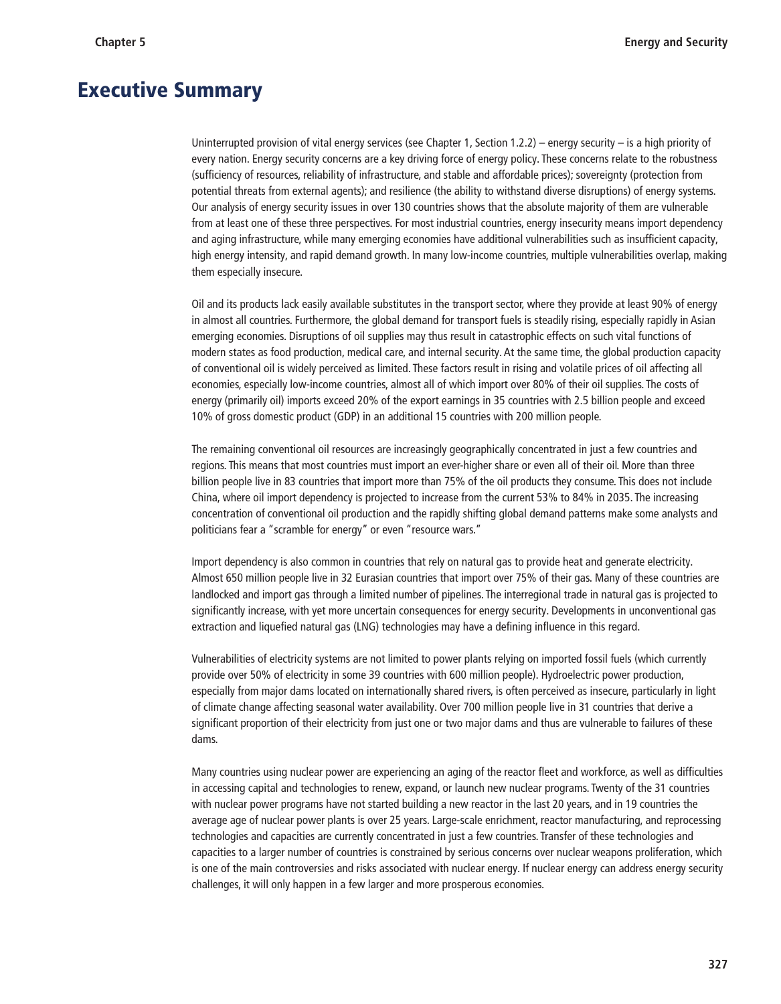## Executive Summary

Uninterrupted provision of vital energy services (see Chapter 1, Section 1.2.2) – energy security – is a high priority of every nation. Energy security concerns are a key driving force of energy policy. These concerns relate to the robustness (sufficiency of resources, reliability of infrastructure, and stable and affordable prices); sovereignty (protection from potential threats from external agents); and resilience (the ability to withstand diverse disruptions) of energy systems. Our analysis of energy security issues in over 130 countries shows that the absolute majority of them are vulnerable from at least one of these three perspectives. For most industrial countries, energy insecurity means import dependency and aging infrastructure, while many emerging economies have additional vulnerabilities such as insufficient capacity, high energy intensity, and rapid demand growth. In many low-income countries, multiple vulnerabilities overlap, making them especially insecure.

 Oil and its products lack easily available substitutes in the transport sector, where they provide at least 90% of energy in almost all countries. Furthermore, the global demand for transport fuels is steadily rising, especially rapidly in Asian emerging economies. Disruptions of oil supplies may thus result in catastrophic effects on such vital functions of modern states as food production, medical care, and internal security. At the same time, the global production capacity of conventional oil is widely perceived as limited. These factors result in rising and volatile prices of oil affecting all economies, especially low-income countries, almost all of which import over 80% of their oil supplies. The costs of energy (primarily oil) imports exceed 20% of the export earnings in 35 countries with 2.5 billion people and exceed 10% of gross domestic product (GDP) in an additional 15 countries with 200 million people.

 The remaining conventional oil resources are increasingly geographically concentrated in just a few countries and regions. This means that most countries must import an ever-higher share or even all of their oil. More than three billion people live in 83 countries that import more than 75% of the oil products they consume. This does not include China, where oil import dependency is projected to increase from the current 53% to 84% in 2035. The increasing concentration of conventional oil production and the rapidly shifting global demand patterns make some analysts and politicians fear a "scramble for energy" or even "resource wars."

 Import dependency is also common in countries that rely on natural gas to provide heat and generate electricity. Almost 650 million people live in 32 Eurasian countries that import over 75% of their gas. Many of these countries are landlocked and import gas through a limited number of pipelines. The interregional trade in natural gas is projected to significantly increase, with yet more uncertain consequences for energy security. Developments in unconventional gas extraction and liquefied natural gas (LNG) technologies may have a defining influence in this regard.

 Vulnerabilities of electricity systems are not limited to power plants relying on imported fossil fuels (which currently provide over 50% of electricity in some 39 countries with 600 million people). Hydroelectric power production, especially from major dams located on internationally shared rivers, is often perceived as insecure, particularly in light of climate change affecting seasonal water availability. Over 700 million people live in 31 countries that derive a significant proportion of their electricity from just one or two major dams and thus are vulnerable to failures of these dams.

Many countries using nuclear power are experiencing an aging of the reactor fleet and workforce, as well as difficulties in accessing capital and technologies to renew, expand, or launch new nuclear programs. Twenty of the 31 countries with nuclear power programs have not started building a new reactor in the last 20 years, and in 19 countries the average age of nuclear power plants is over 25 years. Large-scale enrichment, reactor manufacturing, and reprocessing technologies and capacities are currently concentrated in just a few countries. Transfer of these technologies and capacities to a larger number of countries is constrained by serious concerns over nuclear weapons proliferation, which is one of the main controversies and risks associated with nuclear energy. If nuclear energy can address energy security challenges, it will only happen in a few larger and more prosperous economies.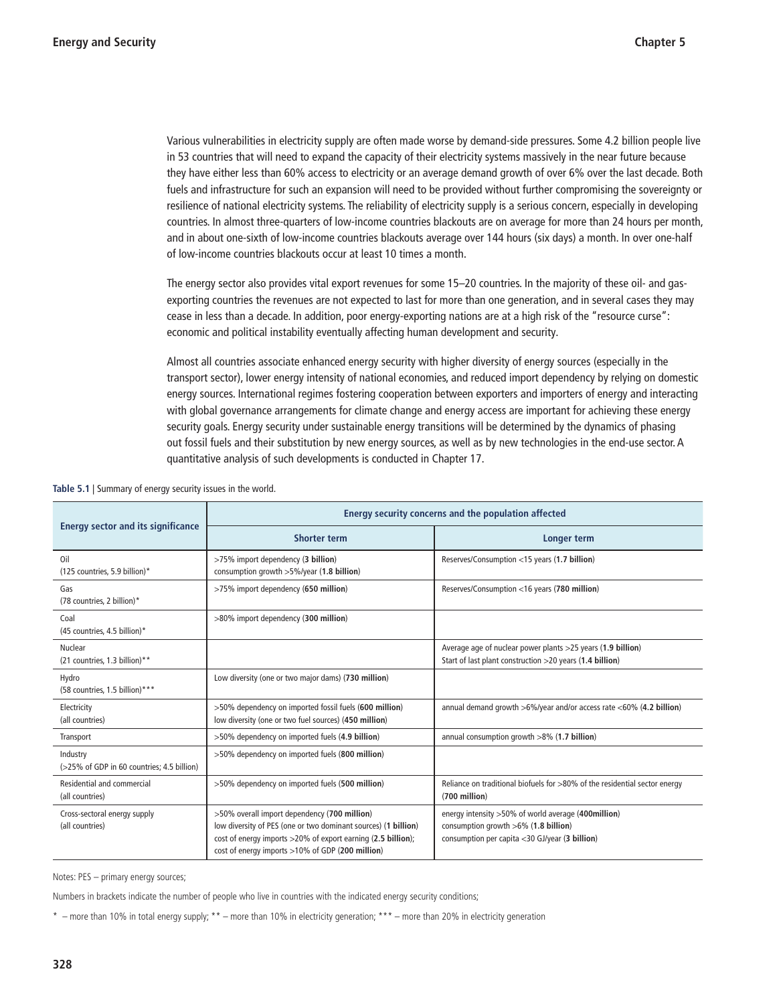Various vulnerabilities in electricity supply are often made worse by demand-side pressures. Some 4.2 billion people live in 53 countries that will need to expand the capacity of their electricity systems massively in the near future because they have either less than 60% access to electricity or an average demand growth of over 6% over the last decade. Both fuels and infrastructure for such an expansion will need to be provided without further compromising the sovereignty or resilience of national electricity systems. The reliability of electricity supply is a serious concern, especially in developing countries. In almost three-quarters of low-income countries blackouts are on average for more than 24 hours per month, and in about one-sixth of low-income countries blackouts average over 144 hours (six days) a month. In over one-half of low-income countries blackouts occur at least 10 times a month.

 The energy sector also provides vital export revenues for some 15–20 countries. In the majority of these oil- and gasexporting countries the revenues are not expected to last for more than one generation, and in several cases they may cease in less than a decade. In addition, poor energy-exporting nations are at a high risk of the "resource curse": economic and political instability eventually affecting human development and security.

 Almost all countries associate enhanced energy security with higher diversity of energy sources (especially in the transport sector), lower energy intensity of national economies, and reduced import dependency by relying on domestic energy sources. International regimes fostering cooperation between exporters and importers of energy and interacting with global governance arrangements for climate change and energy access are important for achieving these energy security goals. Energy security under sustainable energy transitions will be determined by the dynamics of phasing out fossil fuels and their substitution by new energy sources, as well as by new technologies in the end-use sector. A quantitative analysis of such developments is conducted in Chapter 17 .

|                                                        | Energy security concerns and the population affected                                                                                                                                                                               |                                                                                                                                                  |  |  |
|--------------------------------------------------------|------------------------------------------------------------------------------------------------------------------------------------------------------------------------------------------------------------------------------------|--------------------------------------------------------------------------------------------------------------------------------------------------|--|--|
| <b>Energy sector and its significance</b>              | <b>Shorter term</b>                                                                                                                                                                                                                | Longer term                                                                                                                                      |  |  |
| Oil<br>(125 countries, 5.9 billion)*                   | >75% import dependency (3 billion)<br>consumption growth > 5%/year (1.8 billion)                                                                                                                                                   | Reserves/Consumption <15 years (1.7 billion)                                                                                                     |  |  |
| Gas<br>(78 countries, 2 billion)*                      | >75% import dependency (650 million)                                                                                                                                                                                               | Reserves/Consumption <16 years (780 million)                                                                                                     |  |  |
| Coal<br>(45 countries, 4.5 billion)*                   | >80% import dependency (300 million)                                                                                                                                                                                               |                                                                                                                                                  |  |  |
| Nuclear<br>(21 countries, 1.3 billion)**               |                                                                                                                                                                                                                                    | Average age of nuclear power plants >25 years (1.9 billion)<br>Start of last plant construction >20 years (1.4 billion)                          |  |  |
| Hydro<br>(58 countries, 1.5 billion)***                | Low diversity (one or two major dams) (730 million)                                                                                                                                                                                |                                                                                                                                                  |  |  |
| Electricity<br>(all countries)                         | >50% dependency on imported fossil fuels (600 million)<br>low diversity (one or two fuel sources) (450 million)                                                                                                                    | annual demand growth $>6\%$ /year and/or access rate <60% (4.2 billion)                                                                          |  |  |
| Transport                                              | >50% dependency on imported fuels (4.9 billion)                                                                                                                                                                                    | annual consumption growth >8% (1.7 billion)                                                                                                      |  |  |
| Industry<br>(>25% of GDP in 60 countries; 4.5 billion) | >50% dependency on imported fuels (800 million)                                                                                                                                                                                    |                                                                                                                                                  |  |  |
| <b>Residential and commercial</b><br>(all countries)   | >50% dependency on imported fuels (500 million)                                                                                                                                                                                    | Reliance on traditional biofuels for >80% of the residential sector energy<br>$(700$ million)                                                    |  |  |
| Cross-sectoral energy supply<br>(all countries)        | >50% overall import dependency (700 million)<br>low diversity of PES (one or two dominant sources) (1 billion)<br>cost of energy imports >20% of export earning (2.5 billion);<br>cost of energy imports >10% of GDP (200 million) | energy intensity >50% of world average (400million)<br>consumption growth $>6\%$ (1.8 billion)<br>consumption per capita <30 GJ/year (3 billion) |  |  |

#### **Table 5.1** | Summary of energy security issues in the world.

Notes: PES – primary energy sources;

Numbers in brackets indicate the number of people who live in countries with the indicated energy security conditions;

\* – more than 10% in total energy supply; \*\* – more than 10% in electricity generation; \*\*\* – more than 20% in electricity generation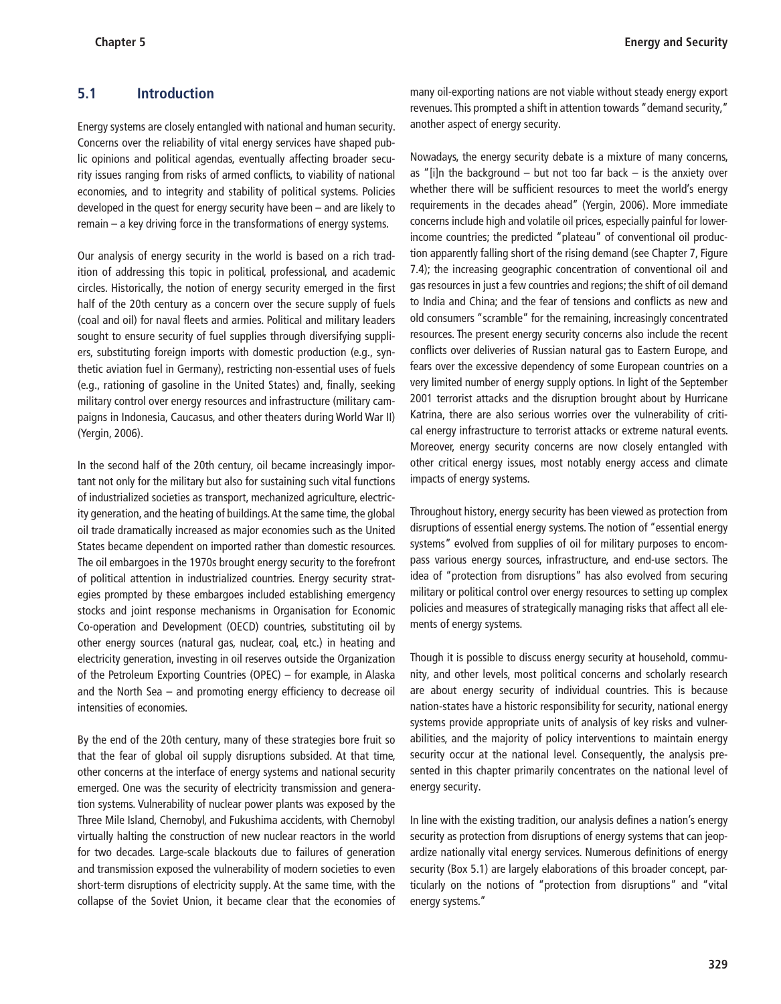## **5.1 Introduction**

 Energy systems are closely entangled with national and human security. Concerns over the reliability of vital energy services have shaped public opinions and political agendas, eventually affecting broader security issues ranging from risks of armed conflicts, to viability of national economies, and to integrity and stability of political systems. Policies developed in the quest for energy security have been – and are likely to remain – a key driving force in the transformations of energy systems.

 Our analysis of energy security in the world is based on a rich tradition of addressing this topic in political, professional, and academic circles. Historically, the notion of energy security emerged in the first half of the 20th century as a concern over the secure supply of fuels (coal and oil) for naval fleets and armies. Political and military leaders sought to ensure security of fuel supplies through diversifying suppliers, substituting foreign imports with domestic production (e.g., synthetic aviation fuel in Germany), restricting non-essential uses of fuels (e.g., rationing of gasoline in the United States) and, finally, seeking military control over energy resources and infrastructure (military campaigns in Indonesia, Caucasus, and other theaters during World War II) (Yergin, 2006).

 In the second half of the 20th century, oil became increasingly important not only for the military but also for sustaining such vital functions of industrialized societies as transport, mechanized agriculture, electricity generation, and the heating of buildings. At the same time, the global oil trade dramatically increased as major economies such as the United States became dependent on imported rather than domestic resources. The oil embargoes in the 1970s brought energy security to the forefront of political attention in industrialized countries. Energy security strategies prompted by these embargoes included establishing emergency stocks and joint response mechanisms in Organisation for Economic Co-operation and Development (OECD) countries, substituting oil by other energy sources (natural gas, nuclear, coal, etc.) in heating and electricity generation, investing in oil reserves outside the Organization of the Petroleum Exporting Countries (OPEC) – for example, in Alaska and the North Sea – and promoting energy efficiency to decrease oil intensities of economies.

 By the end of the 20th century, many of these strategies bore fruit so that the fear of global oil supply disruptions subsided. At that time, other concerns at the interface of energy systems and national security emerged. One was the security of electricity transmission and generation systems. Vulnerability of nuclear power plants was exposed by the Three Mile Island, Chernobyl, and Fukushima accidents, with Chernobyl virtually halting the construction of new nuclear reactors in the world for two decades. Large-scale blackouts due to failures of generation and transmission exposed the vulnerability of modern societies to even short-term disruptions of electricity supply. At the same time, with the collapse of the Soviet Union, it became clear that the economies of many oil-exporting nations are not viable without steady energy export revenues. This prompted a shift in attention towards "demand security," another aspect of energy security.

 Nowadays, the energy security debate is a mixture of many concerns, as "[i]n the background  $-$  but not too far back  $-$  is the anxiety over whether there will be sufficient resources to meet the world's energy requirements in the decades ahead" (Yergin, 2006). More immediate concerns include high and volatile oil prices, especially painful for lowerincome countries; the predicted "plateau" of conventional oil production apparently falling short of the rising demand (see Chapter 7 , Figure 7.4 ); the increasing geographic concentration of conventional oil and gas resources in just a few countries and regions; the shift of oil demand to India and China; and the fear of tensions and conflicts as new and old consumers "scramble" for the remaining, increasingly concentrated resources. The present energy security concerns also include the recent conflicts over deliveries of Russian natural gas to Eastern Europe, and fears over the excessive dependency of some European countries on a very limited number of energy supply options. In light of the September 2001 terrorist attacks and the disruption brought about by Hurricane Katrina, there are also serious worries over the vulnerability of critical energy infrastructure to terrorist attacks or extreme natural events. Moreover, energy security concerns are now closely entangled with other critical energy issues, most notably energy access and climate impacts of energy systems.

 Throughout history, energy security has been viewed as protection from disruptions of essential energy systems. The notion of "essential energy systems" evolved from supplies of oil for military purposes to encompass various energy sources, infrastructure, and end-use sectors. The idea of "protection from disruptions" has also evolved from securing military or political control over energy resources to setting up complex policies and measures of strategically managing risks that affect all elements of energy systems.

 Though it is possible to discuss energy security at household, community, and other levels, most political concerns and scholarly research are about energy security of individual countries. This is because nation-states have a historic responsibility for security, national energy systems provide appropriate units of analysis of key risks and vulnerabilities, and the majority of policy interventions to maintain energy security occur at the national level. Consequently, the analysis presented in this chapter primarily concentrates on the national level of energy security.

 In line with the existing tradition, our analysis defines a nation's energy security as protection from disruptions of energy systems that can jeopardize nationally vital energy services. Numerous definitions of energy security (Box 5.1) are largely elaborations of this broader concept, particularly on the notions of "protection from disruptions" and "vital energy systems."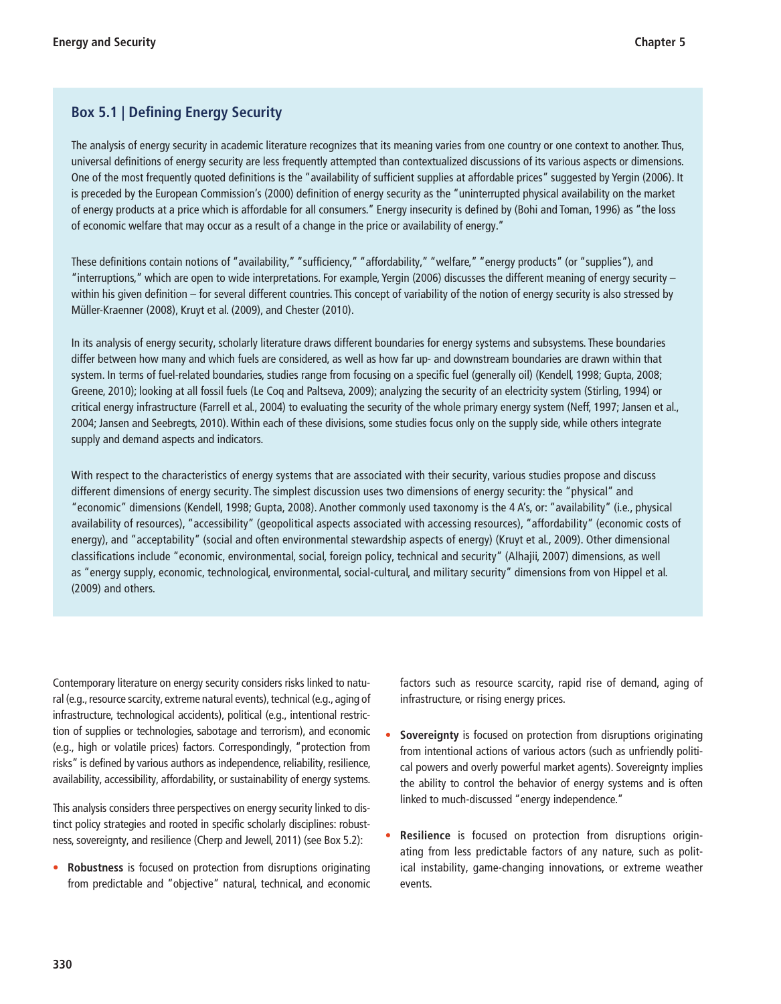## **Box 5.1 | Defining Energy Security**

 The analysis of energy security in academic literature recognizes that its meaning varies from one country or one context to another. Thus, universal definitions of energy security are less frequently attempted than contextualized discussions of its various aspects or dimensions. One of the most frequently quoted definitions is the "availability of sufficient supplies at affordable prices" suggested by Yergin (2006). It is preceded by the European Commission's (2000) definition of energy security as the "uninterrupted physical availability on the market of energy products at a price which is affordable for all consumers." Energy insecurity is defined by (Bohi and Toman, 1996) as "the loss of economic welfare that may occur as a result of a change in the price or availability of energy."

These definitions contain notions of "availability," "sufficiency," "affordability," "welfare," "energy products" (or "supplies"), and "interruptions," which are open to wide interpretations. For example, Yergin (2006) discusses the different meaning of energy security – within his given definition – for several different countries. This concept of variability of the notion of energy security is also stressed by Müller-Kraenner (2008), Kruyt et al. (2009), and Chester (2010).

 In its analysis of energy security, scholarly literature draws different boundaries for energy systems and subsystems. These boundaries differ between how many and which fuels are considered, as well as how far up- and downstream boundaries are drawn within that system. In terms of fuel-related boundaries, studies range from focusing on a specific fuel (generally oil) (Kendell, 1998; Gupta, 2008; Greene, 2010); looking at all fossil fuels (Le Coq and Paltseva, 2009); analyzing the security of an electricity system (Stirling, 1994) or critical energy infrastructure (Farrell et al., 2004) to evaluating the security of the whole primary energy system (Neff, 1997; Jansen et al., 2004; Jansen and Seebregts, 2010). Within each of these divisions, some studies focus only on the supply side, while others integrate supply and demand aspects and indicators.

 With respect to the characteristics of energy systems that are associated with their security, various studies propose and discuss different dimensions of energy security. The simplest discussion uses two dimensions of energy security: the "physical" and "economic" dimensions (Kendell, 1998; Gupta, 2008). Another commonly used taxonomy is the 4 A's, or: "availability" (i.e., physical availability of resources), "accessibility" (geopolitical aspects associated with accessing resources), "affordability" (economic costs of energy), and "acceptability" (social and often environmental stewardship aspects of energy) (Kruyt et al., 2009). Other dimensional classifications include "economic, environmental, social, foreign policy, technical and security" (Alhajii, 2007) dimensions, as well as "energy supply, economic, technological, environmental, social-cultural, and military security" dimensions from von Hippel et al. (2009) and others.

 Contemporary literature on energy security considers risks linked to natural (e.g., resource scarcity, extreme natural events), technical (e.g., aging of infrastructure, technological accidents), political (e.g., intentional restriction of supplies or technologies, sabotage and terrorism), and economic (e.g., high or volatile prices) factors. Correspondingly, "protection from risks" is defined by various authors as independence, reliability, resilience, availability, accessibility, affordability, or sustainability of energy systems.

 This analysis considers three perspectives on energy security linked to distinct policy strategies and rooted in specific scholarly disciplines: robustness, sovereignty, and resilience (Cherp and Jewell, 2011) (see Box 5.2):

• **Robustness** is focused on protection from disruptions originating from predictable and "objective" natural, technical, and economic factors such as resource scarcity, rapid rise of demand, aging of infrastructure, or rising energy prices.

- **Sovereignty** is focused on protection from disruptions originating from intentional actions of various actors (such as unfriendly political powers and overly powerful market agents). Sovereignty implies the ability to control the behavior of energy systems and is often linked to much-discussed "energy independence."
- **Resilience** is focused on protection from disruptions originating from less predictable factors of any nature, such as political instability, game-changing innovations, or extreme weather events.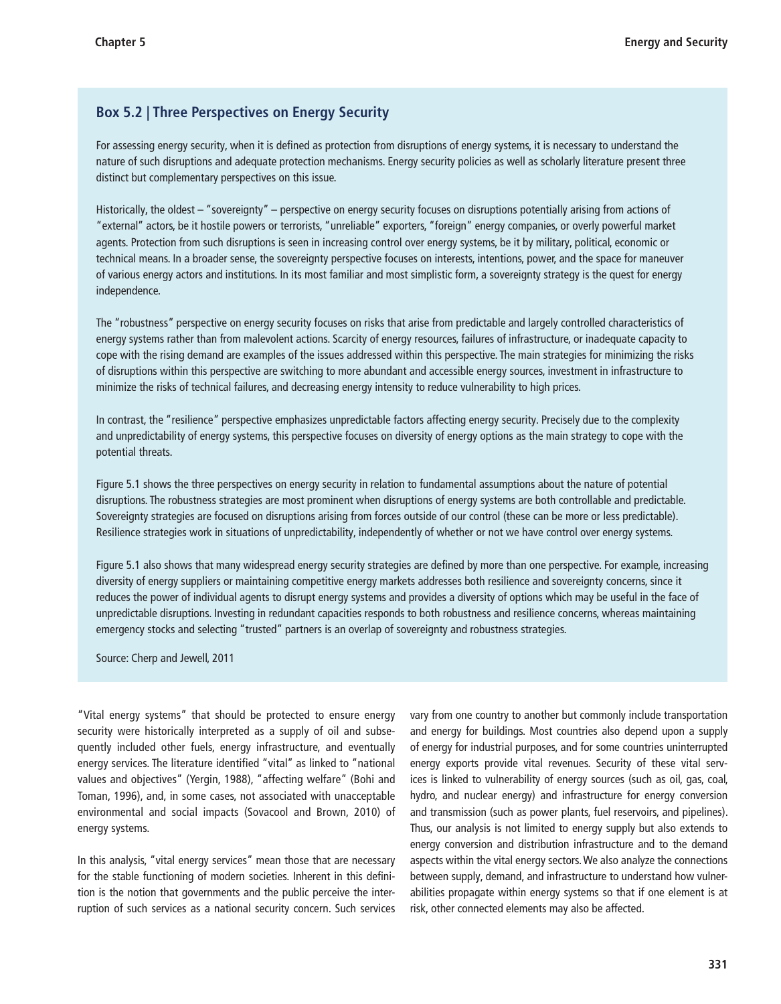## **Box 5.2 | Three Perspectives on Energy Security**

For assessing energy security, when it is defined as protection from disruptions of energy systems, it is necessary to understand the nature of such disruptions and adequate protection mechanisms. Energy security policies as well as scholarly literature present three distinct but complementary perspectives on this issue.

 Historically, the oldest – "sovereignty" – perspective on energy security focuses on disruptions potentially arising from actions of "external" actors, be it hostile powers or terrorists, "unreliable" exporters, "foreign" energy companies, or overly powerful market agents. Protection from such disruptions is seen in increasing control over energy systems, be it by military, political, economic or technical means. In a broader sense, the sovereignty perspective focuses on interests, intentions, power, and the space for maneuver of various energy actors and institutions. In its most familiar and most simplistic form, a sovereignty strategy is the quest for energy independence.

 The "robustness" perspective on energy security focuses on risks that arise from predictable and largely controlled characteristics of energy systems rather than from malevolent actions. Scarcity of energy resources, failures of infrastructure, or inadequate capacity to cope with the rising demand are examples of the issues addressed within this perspective. The main strategies for minimizing the risks of disruptions within this perspective are switching to more abundant and accessible energy sources, investment in infrastructure to minimize the risks of technical failures, and decreasing energy intensity to reduce vulnerability to high prices.

 In contrast, the "resilience" perspective emphasizes unpredictable factors affecting energy security. Precisely due to the complexity and unpredictability of energy systems, this perspective focuses on diversity of energy options as the main strategy to cope with the potential threats.

 Figure 5.1 shows the three perspectives on energy security in relation to fundamental assumptions about the nature of potential disruptions. The robustness strategies are most prominent when disruptions of energy systems are both controllable and predictable. Sovereignty strategies are focused on disruptions arising from forces outside of our control (these can be more or less predictable). Resilience strategies work in situations of unpredictability, independently of whether or not we have control over energy systems.

Figure 5.1 also shows that many widespread energy security strategies are defined by more than one perspective. For example, increasing diversity of energy suppliers or maintaining competitive energy markets addresses both resilience and sovereignty concerns, since it reduces the power of individual agents to disrupt energy systems and provides a diversity of options which may be useful in the face of unpredictable disruptions. Investing in redundant capacities responds to both robustness and resilience concerns, whereas maintaining emergency stocks and selecting "trusted" partners is an overlap of sovereignty and robustness strategies.

Source: Cherp and Jewell, 2011

 "Vital energy systems" that should be protected to ensure energy security were historically interpreted as a supply of oil and subsequently included other fuels, energy infrastructure, and eventually energy services. The literature identified "vital" as linked to "national values and objectives" (Yergin, 1988), "affecting welfare" (Bohi and Toman, 1996), and, in some cases, not associated with unacceptable environmental and social impacts (Sovacool and Brown, 2010) of energy systems.

 In this analysis, "vital energy services" mean those that are necessary for the stable functioning of modern societies. Inherent in this definition is the notion that governments and the public perceive the interruption of such services as a national security concern. Such services

vary from one country to another but commonly include transportation and energy for buildings. Most countries also depend upon a supply of energy for industrial purposes, and for some countries uninterrupted energy exports provide vital revenues. Security of these vital services is linked to vulnerability of energy sources (such as oil, gas, coal, hydro, and nuclear energy) and infrastructure for energy conversion and transmission (such as power plants, fuel reservoirs, and pipelines). Thus, our analysis is not limited to energy supply but also extends to energy conversion and distribution infrastructure and to the demand aspects within the vital energy sectors. We also analyze the connections between supply, demand, and infrastructure to understand how vulnerabilities propagate within energy systems so that if one element is at risk, other connected elements may also be affected.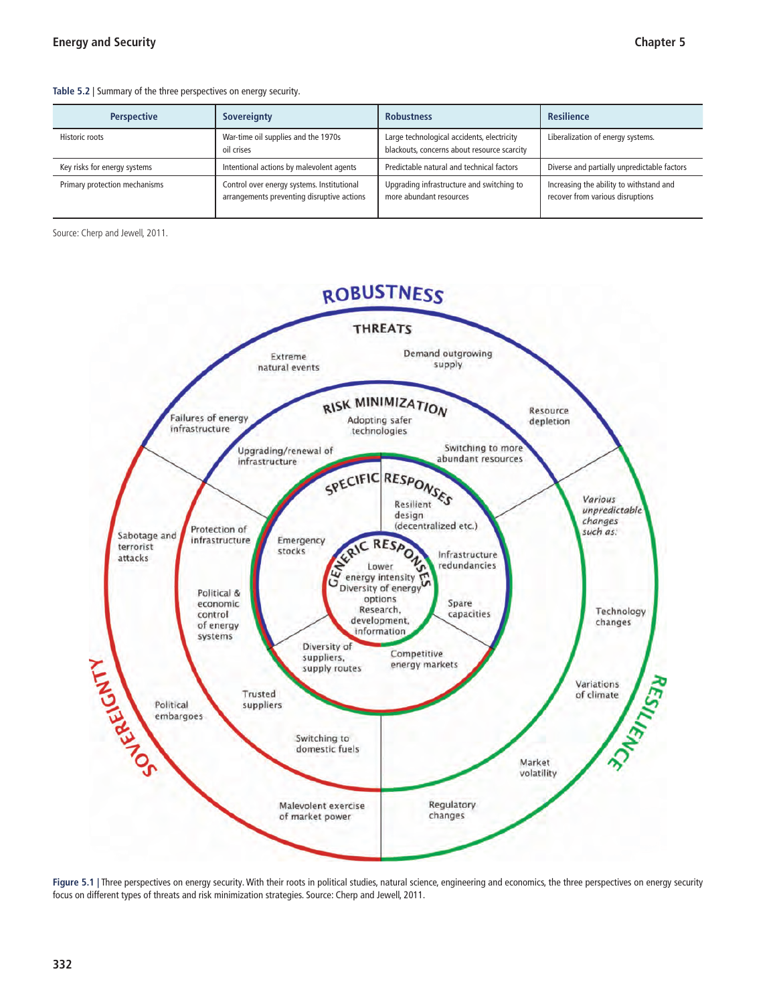#### **Table 5.2** | Summary of the three perspectives on energy security.

| <b>Perspective</b>            | <b>Sovereignty</b>                                                                       | <b>Robustness</b>                                                                         | <b>Resilience</b>                                                           |
|-------------------------------|------------------------------------------------------------------------------------------|-------------------------------------------------------------------------------------------|-----------------------------------------------------------------------------|
| Historic roots                | War-time oil supplies and the 1970s<br>oil crises                                        | Large technological accidents, electricity<br>blackouts, concerns about resource scarcity | Liberalization of energy systems.                                           |
| Key risks for energy systems  | Intentional actions by malevolent agents                                                 | Predictable natural and technical factors                                                 | Diverse and partially unpredictable factors                                 |
| Primary protection mechanisms | Control over energy systems. Institutional<br>arrangements preventing disruptive actions | Upgrading infrastructure and switching to<br>more abundant resources                      | Increasing the ability to withstand and<br>recover from various disruptions |

Source: Cherp and Jewell, 2011.



Figure 5.1 | Three perspectives on energy security. With their roots in political studies, natural science, engineering and economics, the three perspectives on energy security focus on different types of threats and risk minimization strategies. Source: Cherp and Jewell, 2011 .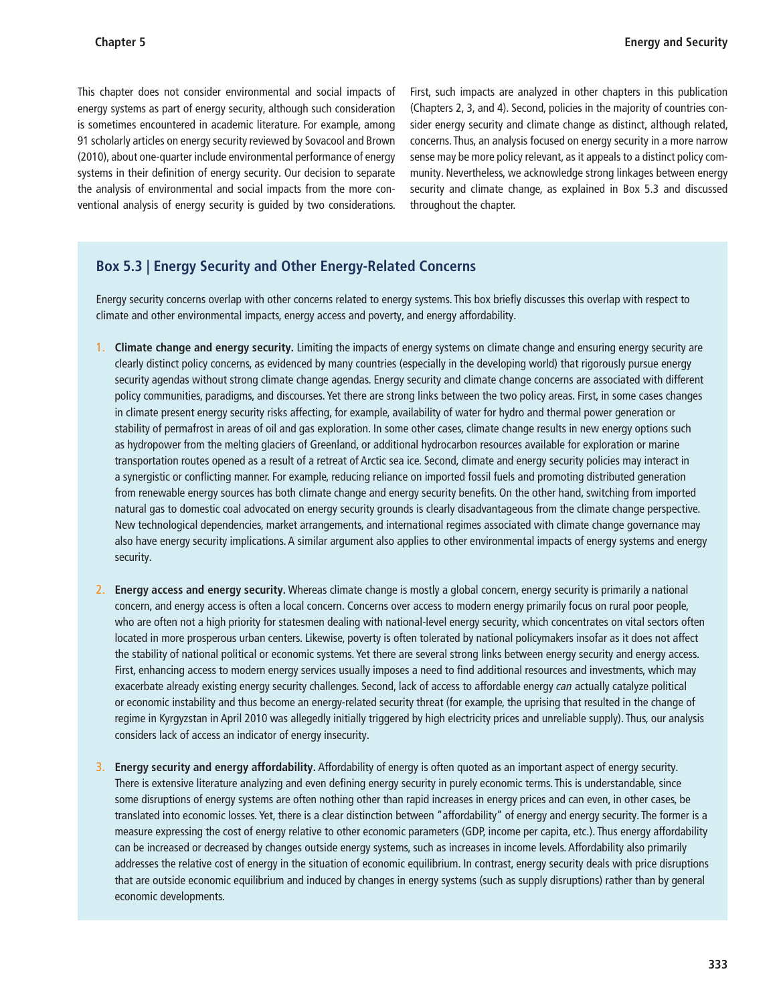This chapter does not consider environmental and social impacts of energy systems as part of energy security, although such consideration is sometimes encountered in academic literature. For example, among 91 scholarly articles on energy security reviewed by Sovacool and Brown (2010), about one-quarter include environmental performance of energy systems in their definition of energy security. Our decision to separate the analysis of environmental and social impacts from the more conventional analysis of energy security is guided by two considerations.

First, such impacts are analyzed in other chapters in this publication (Chapters 2, 3, and 4). Second, policies in the majority of countries consider energy security and climate change as distinct, although related, concerns. Thus, an analysis focused on energy security in a more narrow sense may be more policy relevant, as it appeals to a distinct policy community. Nevertheless, we acknowledge strong linkages between energy security and climate change, as explained in Box 5.3 and discussed throughout the chapter.

## **Box 5.3 | Energy Security and Other Energy-Related Concerns**

Energy security concerns overlap with other concerns related to energy systems. This box briefly discusses this overlap with respect to climate and other environmental impacts, energy access and poverty, and energy affordability.

- 1. **Climate change and energy security.** Limiting the impacts of energy systems on climate change and ensuring energy security are clearly distinct policy concerns, as evidenced by many countries (especially in the developing world) that rigorously pursue energy security agendas without strong climate change agendas. Energy security and climate change concerns are associated with different policy communities, paradigms, and discourses. Yet there are strong links between the two policy areas. First, in some cases changes in climate present energy security risks affecting, for example, availability of water for hydro and thermal power generation or stability of permafrost in areas of oil and gas exploration. In some other cases, climate change results in new energy options such as hydropower from the melting glaciers of Greenland, or additional hydrocarbon resources available for exploration or marine transportation routes opened as a result of a retreat of Arctic sea ice. Second, climate and energy security policies may interact in a synergistic or conflicting manner. For example, reducing reliance on imported fossil fuels and promoting distributed generation from renewable energy sources has both climate change and energy security benefits. On the other hand, switching from imported natural gas to domestic coal advocated on energy security grounds is clearly disadvantageous from the climate change perspective. New technological dependencies, market arrangements, and international regimes associated with climate change governance may also have energy security implications. A similar argument also applies to other environmental impacts of energy systems and energy security.
- 2. **Energy access and energy security.** Whereas climate change is mostly a global concern, energy security is primarily a national concern, and energy access is often a local concern. Concerns over access to modern energy primarily focus on rural poor people, who are often not a high priority for statesmen dealing with national-level energy security, which concentrates on vital sectors often located in more prosperous urban centers. Likewise, poverty is often tolerated by national policymakers insofar as it does not affect the stability of national political or economic systems. Yet there are several strong links between energy security and energy access. First, enhancing access to modern energy services usually imposes a need to find additional resources and investments, which may exacerbate already existing energy security challenges. Second, lack of access to affordable energy can actually catalyze political or economic instability and thus become an energy-related security threat (for example, the uprising that resulted in the change of regime in Kyrgyzstan in April 2010 was allegedly initially triggered by high electricity prices and unreliable supply). Thus, our analysis considers lack of access an indicator of energy insecurity.
- 3. **Energy security and energy affordability.** Affordability of energy is often quoted as an important aspect of energy security. There is extensive literature analyzing and even defining energy security in purely economic terms. This is understandable, since some disruptions of energy systems are often nothing other than rapid increases in energy prices and can even, in other cases, be translated into economic losses. Yet, there is a clear distinction between "affordability" of energy and energy security. The former is a measure expressing the cost of energy relative to other economic parameters (GDP, income per capita, etc.). Thus energy affordability can be increased or decreased by changes outside energy systems, such as increases in income levels. Affordability also primarily addresses the relative cost of energy in the situation of economic equilibrium. In contrast, energy security deals with price disruptions that are outside economic equilibrium and induced by changes in energy systems (such as supply disruptions) rather than by general economic developments.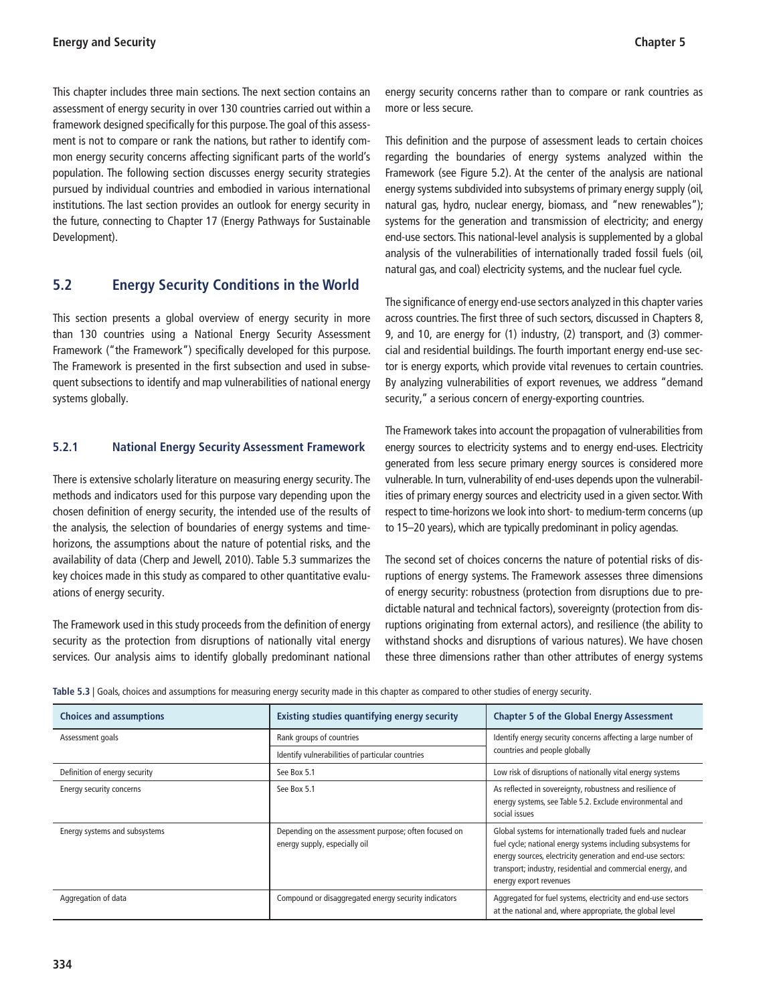This chapter includes three main sections. The next section contains an assessment of energy security in over 130 countries carried out within a framework designed specifically for this purpose. The goal of this assessment is not to compare or rank the nations, but rather to identify common energy security concerns affecting significant parts of the world's population. The following section discusses energy security strategies pursued by individual countries and embodied in various international institutions. The last section provides an outlook for energy security in the future, connecting to Chapter 17 (Energy Pathways for Sustainable Development).

## **5.2 Energy Security Conditions in the World**

 This section presents a global overview of energy security in more than 130 countries using a National Energy Security Assessment Framework ("the Framework") specifically developed for this purpose. The Framework is presented in the first subsection and used in subsequent subsections to identify and map vulnerabilities of national energy systems globally.

#### **5.2.1 National Energy Security Assessment Framework**

 There is extensive scholarly literature on measuring energy security. The methods and indicators used for this purpose vary depending upon the chosen definition of energy security, the intended use of the results of the analysis, the selection of boundaries of energy systems and timehorizons, the assumptions about the nature of potential risks, and the availability of data (Cherp and Jewell, 2010). Table 5.3 summarizes the key choices made in this study as compared to other quantitative evaluations of energy security.

 The Framework used in this study proceeds from the definition of energy security as the protection from disruptions of nationally vital energy services. Our analysis aims to identify globally predominant national energy security concerns rather than to compare or rank countries as more or less secure.

 This definition and the purpose of assessment leads to certain choices regarding the boundaries of energy systems analyzed within the Framework (see Figure 5.2). At the center of the analysis are national energy systems subdivided into subsystems of primary energy supply (oil, natural gas, hydro, nuclear energy, biomass, and "new renewables"); systems for the generation and transmission of electricity; and energy end-use sectors. This national-level analysis is supplemented by a global analysis of the vulnerabilities of internationally traded fossil fuels (oil, natural gas, and coal) electricity systems, and the nuclear fuel cycle.

 The significance of energy end-use sectors analyzed in this chapter varies across countries. The first three of such sectors, discussed in Chapters 8 , 9, and 10, are energy for  $(1)$  industry,  $(2)$  transport, and  $(3)$  commercial and residential buildings. The fourth important energy end-use sector is energy exports, which provide vital revenues to certain countries. By analyzing vulnerabilities of export revenues, we address "demand security," a serious concern of energy-exporting countries.

 The Framework takes into account the propagation of vulnerabilities from energy sources to electricity systems and to energy end-uses. Electricity generated from less secure primary energy sources is considered more vulnerable. In turn, vulnerability of end-uses depends upon the vulnerabilities of primary energy sources and electricity used in a given sector. With respect to time-horizons we look into short- to medium-term concerns (up to 15–20 years), which are typically predominant in policy agendas.

 The second set of choices concerns the nature of potential risks of disruptions of energy systems. The Framework assesses three dimensions of energy security: robustness (protection from disruptions due to predictable natural and technical factors), sovereignty (protection from disruptions originating from external actors), and resilience (the ability to withstand shocks and disruptions of various natures). We have chosen these three dimensions rather than other attributes of energy systems

**Table 5.3** | Goals, choices and assumptions for measuring energy security made in this chapter as compared to other studies of energy security.

| <b>Choices and assumptions</b> | Existing studies quantifying energy security                                           | <b>Chapter 5 of the Global Energy Assessment</b>                                                                                                                                                                                                                                    |
|--------------------------------|----------------------------------------------------------------------------------------|-------------------------------------------------------------------------------------------------------------------------------------------------------------------------------------------------------------------------------------------------------------------------------------|
| Assessment goals               | Rank groups of countries                                                               | Identify energy security concerns affecting a large number of                                                                                                                                                                                                                       |
|                                | Identify vulnerabilities of particular countries                                       | countries and people globally                                                                                                                                                                                                                                                       |
| Definition of energy security  | See Box 5.1                                                                            | Low risk of disruptions of nationally vital energy systems                                                                                                                                                                                                                          |
| Energy security concerns       | See Box 5.1                                                                            | As reflected in sovereignty, robustness and resilience of<br>energy systems, see Table 5.2. Exclude environmental and<br>social issues                                                                                                                                              |
| Energy systems and subsystems  | Depending on the assessment purpose; often focused on<br>energy supply, especially oil | Global systems for internationally traded fuels and nuclear<br>fuel cycle; national energy systems including subsystems for<br>energy sources, electricity generation and end-use sectors:<br>transport; industry, residential and commercial energy, and<br>energy export revenues |
| Aggregation of data            | Compound or disaggregated energy security indicators                                   | Aggregated for fuel systems, electricity and end-use sectors<br>at the national and, where appropriate, the global level                                                                                                                                                            |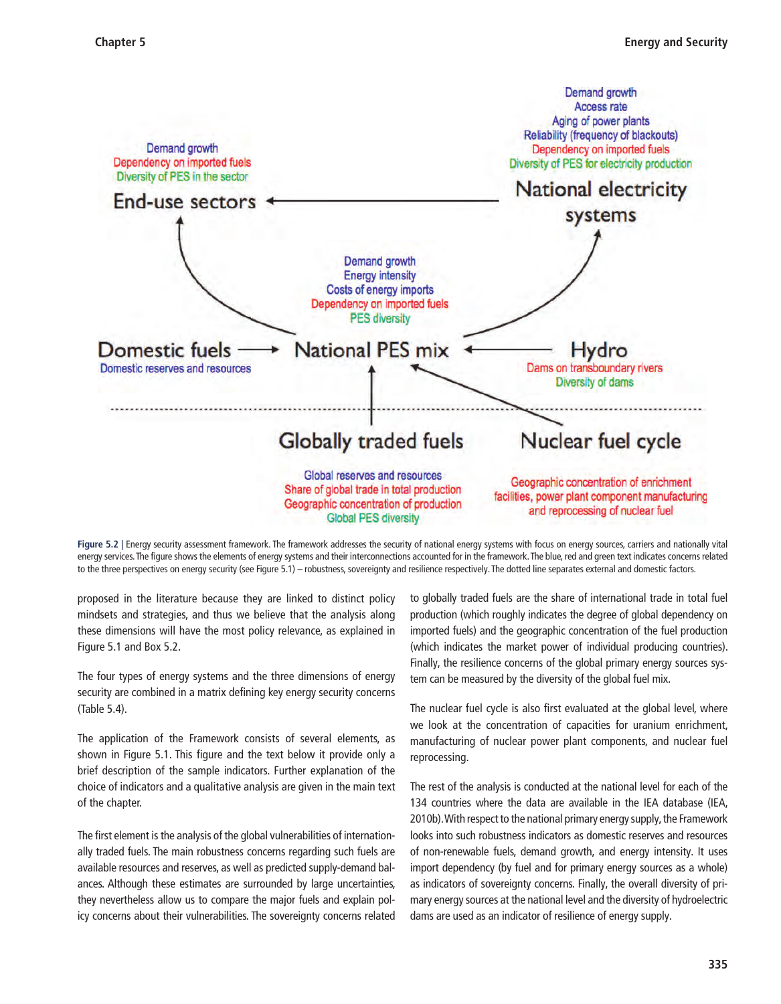

**Figure 5.2|** Energy security assessment framework. The framework addresses the security of national energy systems with focus on energy sources, carriers and nationally vital energy services. The figure shows the elements of energy systems and their interconnections accounted for in the framework. The blue, red and green text indicates concerns related to the three perspectives on energy security (see Figure 5.1 ) – robustness, sovereignty and resilience respectively. The dotted line separates external and domestic factors.

proposed in the literature because they are linked to distinct policy mindsets and strategies, and thus we believe that the analysis along these dimensions will have the most policy relevance, as explained in Figure 5.1 and Box 5.2 .

 The four types of energy systems and the three dimensions of energy security are combined in a matrix defining key energy security concerns (Table 5.4).

 The application of the Framework consists of several elements, as shown in Figure 5.1 . This figure and the text below it provide only a brief description of the sample indicators. Further explanation of the choice of indicators and a qualitative analysis are given in the main text of the chapter.

 The first element is the analysis of the global vulnerabilities of internationally traded fuels. The main robustness concerns regarding such fuels are available resources and reserves, as well as predicted supply-demand balances. Although these estimates are surrounded by large uncertainties, they nevertheless allow us to compare the major fuels and explain policy concerns about their vulnerabilities. The sovereignty concerns related

to globally traded fuels are the share of international trade in total fuel production (which roughly indicates the degree of global dependency on imported fuels) and the geographic concentration of the fuel production (which indicates the market power of individual producing countries). Finally, the resilience concerns of the global primary energy sources system can be measured by the diversity of the global fuel mix.

 The nuclear fuel cycle is also first evaluated at the global level, where we look at the concentration of capacities for uranium enrichment, manufacturing of nuclear power plant components, and nuclear fuel reprocessing.

 The rest of the analysis is conducted at the national level for each of the 134 countries where the data are available in the IEA database (IEA, 2010b). With respect to the national primary energy supply, the Framework looks into such robustness indicators as domestic reserves and resources of non-renewable fuels, demand growth, and energy intensity. It uses import dependency (by fuel and for primary energy sources as a whole) as indicators of sovereignty concerns. Finally, the overall diversity of primary energy sources at the national level and the diversity of hydroelectric dams are used as an indicator of resilience of energy supply.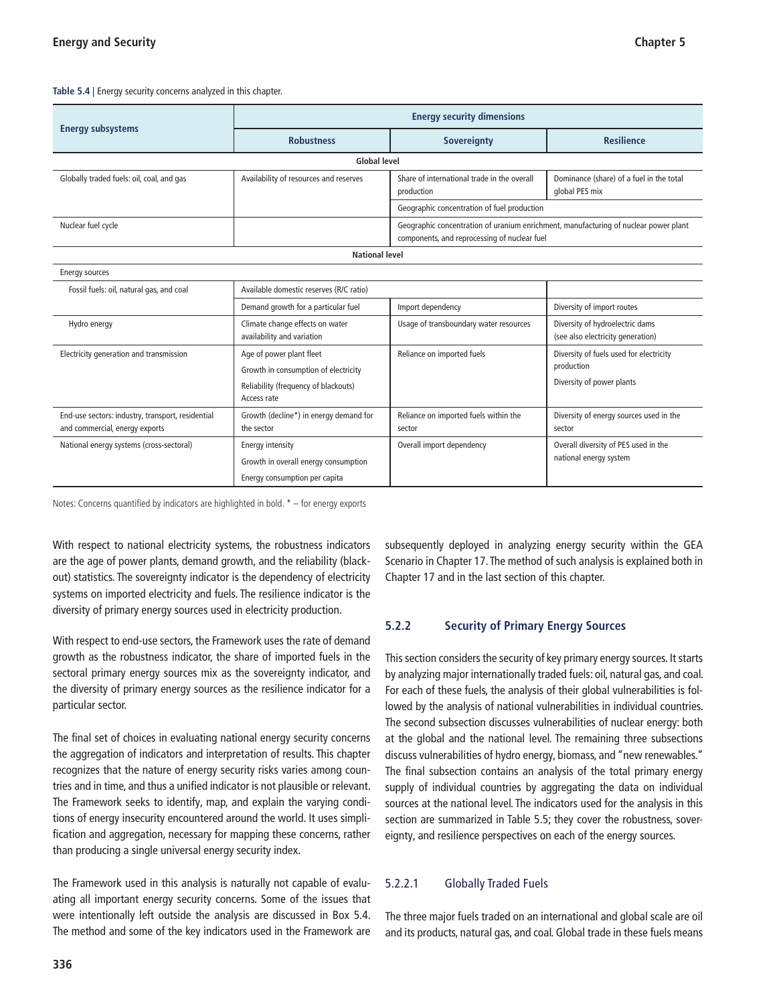### **Energy and Security Chapter 5**

|                                                                                     | <b>Energy security dimensions</b>                                                                                       |                                                                                                                                      |                                                                                    |  |
|-------------------------------------------------------------------------------------|-------------------------------------------------------------------------------------------------------------------------|--------------------------------------------------------------------------------------------------------------------------------------|------------------------------------------------------------------------------------|--|
| <b>Energy subsystems</b>                                                            | <b>Robustness</b>                                                                                                       | <b>Sovereignty</b>                                                                                                                   | <b>Resilience</b>                                                                  |  |
|                                                                                     | <b>Global level</b>                                                                                                     |                                                                                                                                      |                                                                                    |  |
| Globally traded fuels: oil, coal, and gas                                           | Availability of resources and reserves                                                                                  | Share of international trade in the overall<br>production                                                                            | Dominance (share) of a fuel in the total<br>global PES mix                         |  |
|                                                                                     |                                                                                                                         | Geographic concentration of fuel production                                                                                          |                                                                                    |  |
| Nuclear fuel cycle                                                                  |                                                                                                                         | Geographic concentration of uranium enrichment, manufacturing of nuclear power plant<br>components, and reprocessing of nuclear fuel |                                                                                    |  |
|                                                                                     | <b>National level</b>                                                                                                   |                                                                                                                                      |                                                                                    |  |
| Energy sources                                                                      |                                                                                                                         |                                                                                                                                      |                                                                                    |  |
| Fossil fuels: oil, natural gas, and coal                                            | Available domestic reserves (R/C ratio)                                                                                 |                                                                                                                                      |                                                                                    |  |
|                                                                                     | Demand growth for a particular fuel                                                                                     | Import dependency                                                                                                                    | Diversity of import routes                                                         |  |
| Hydro energy                                                                        | Climate change effects on water<br>availability and variation                                                           | Usage of transboundary water resources                                                                                               | Diversity of hydroelectric dams<br>(see also electricity generation)               |  |
| Electricity generation and transmission                                             | Age of power plant fleet<br>Growth in consumption of electricity<br>Reliability (frequency of blackouts)<br>Access rate | Reliance on imported fuels                                                                                                           | Diversity of fuels used for electricity<br>production<br>Diversity of power plants |  |
| End-use sectors: industry, transport, residential<br>and commercial, energy exports | Growth (decline*) in energy demand for<br>the sector                                                                    | Reliance on imported fuels within the<br>sector                                                                                      | Diversity of energy sources used in the<br>sector                                  |  |
| National energy systems (cross-sectoral)                                            | <b>Energy intensity</b><br>Growth in overall energy consumption<br>Energy consumption per capita                        | Overall import dependency                                                                                                            | Overall diversity of PES used in the<br>national energy system                     |  |

Notes: Concerns quantified by indicators are highlighted in bold.  $* -$  for energy exports

 With respect to national electricity systems, the robustness indicators are the age of power plants, demand growth, and the reliability (blackout) statistics. The sovereignty indicator is the dependency of electricity systems on imported electricity and fuels. The resilience indicator is the diversity of primary energy sources used in electricity production.

 With respect to end-use sectors, the Framework uses the rate of demand growth as the robustness indicator, the share of imported fuels in the sectoral primary energy sources mix as the sovereignty indicator, and the diversity of primary energy sources as the resilience indicator for a particular sector.

 The final set of choices in evaluating national energy security concerns the aggregation of indicators and interpretation of results. This chapter recognizes that the nature of energy security risks varies among countries and in time, and thus a unified indicator is not plausible or relevant. The Framework seeks to identify, map, and explain the varying conditions of energy insecurity encountered around the world. It uses simplification and aggregation, necessary for mapping these concerns, rather than producing a single universal energy security index.

 The Framework used in this analysis is naturally not capable of evaluating all important energy security concerns. Some of the issues that were intentionally left outside the analysis are discussed in Box 5.4 . The method and some of the key indicators used in the Framework are subsequently deployed in analyzing energy security within the GEA Scenario in Chapter 17 . The method of such analysis is explained both in Chapter 17 and in the last section of this chapter.

#### **5.2.2 Security of Primary Energy Sources**

 This section considers the security of key primary energy sources. It starts by analyzing major internationally traded fuels: oil, natural gas, and coal. For each of these fuels, the analysis of their global vulnerabilities is followed by the analysis of national vulnerabilities in individual countries. The second subsection discusses vulnerabilities of nuclear energy: both at the global and the national level. The remaining three subsections discuss vulnerabilities of hydro energy, biomass, and "new renewables." The final subsection contains an analysis of the total primary energy supply of individual countries by aggregating the data on individual sources at the national level. The indicators used for the analysis in this section are summarized in Table 5.5; they cover the robustness, sovereignty, and resilience perspectives on each of the energy sources.

#### 5.2.2.1 Globally Traded Fuels

 The three major fuels traded on an international and global scale are oil and its products, natural gas, and coal. Global trade in these fuels means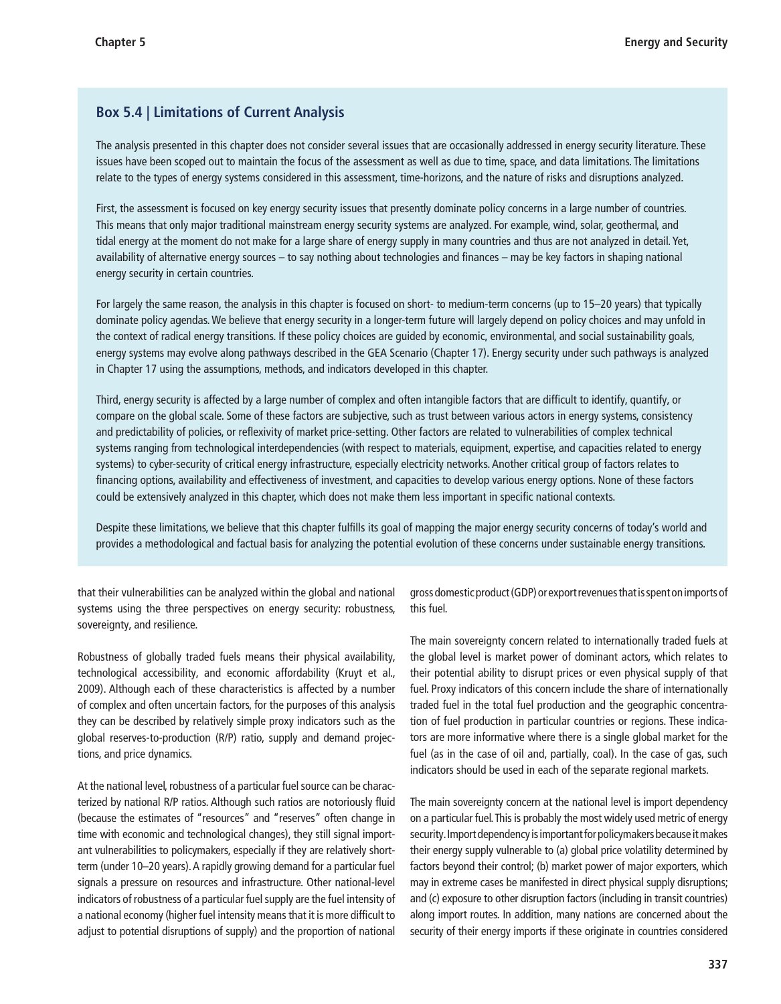## **Box 5.4 | Limitations of Current Analysis**

 The analysis presented in this chapter does not consider several issues that are occasionally addressed in energy security literature. These issues have been scoped out to maintain the focus of the assessment as well as due to time, space, and data limitations. The limitations relate to the types of energy systems considered in this assessment, time-horizons, and the nature of risks and disruptions analyzed.

 First, the assessment is focused on key energy security issues that presently dominate policy concerns in a large number of countries. This means that only major traditional mainstream energy security systems are analyzed. For example, wind, solar, geothermal, and tidal energy at the moment do not make for a large share of energy supply in many countries and thus are not analyzed in detail. Yet, availability of alternative energy sources – to say nothing about technologies and finances – may be key factors in shaping national energy security in certain countries.

 For largely the same reason, the analysis in this chapter is focused on short- to medium-term concerns (up to 15–20 years) that typically dominate policy agendas. We believe that energy security in a longer-term future will largely depend on policy choices and may unfold in the context of radical energy transitions. If these policy choices are guided by economic, environmental, and social sustainability goals, energy systems may evolve along pathways described in the GEA Scenario (Chapter 17). Energy security under such pathways is analyzed in Chapter 17 using the assumptions, methods, and indicators developed in this chapter.

Third, energy security is affected by a large number of complex and often intangible factors that are difficult to identify, quantify, or compare on the global scale. Some of these factors are subjective, such as trust between various actors in energy systems, consistency and predictability of policies, or reflexivity of market price-setting. Other factors are related to vulnerabilities of complex technical systems ranging from technological interdependencies (with respect to materials, equipment, expertise, and capacities related to energy systems) to cyber-security of critical energy infrastructure, especially electricity networks. Another critical group of factors relates to financing options, availability and effectiveness of investment, and capacities to develop various energy options. None of these factors could be extensively analyzed in this chapter, which does not make them less important in specific national contexts.

Despite these limitations, we believe that this chapter fulfills its goal of mapping the major energy security concerns of today's world and provides a methodological and factual basis for analyzing the potential evolution of these concerns under sustainable energy transitions.

that their vulnerabilities can be analyzed within the global and national systems using the three perspectives on energy security: robustness, sovereignty, and resilience.

 Robustness of globally traded fuels means their physical availability, technological accessibility, and economic affordability (Kruyt et al., 2009). Although each of these characteristics is affected by a number of complex and often uncertain factors, for the purposes of this analysis they can be described by relatively simple proxy indicators such as the global reserves-to-production (R/P) ratio, supply and demand projections, and price dynamics.

 At the national level, robustness of a particular fuel source can be characterized by national R/P ratios. Although such ratios are notoriously fluid (because the estimates of "resources" and "reserves" often change in time with economic and technological changes), they still signal important vulnerabilities to policymakers, especially if they are relatively shortterm (under 10–20 years). A rapidly growing demand for a particular fuel signals a pressure on resources and infrastructure. Other national-level indicators of robustness of a particular fuel supply are the fuel intensity of a national economy (higher fuel intensity means that it is more difficult to adjust to potential disruptions of supply) and the proportion of national

gross domestic product (GDP) or export revenues that is spent on imports of this fuel.

 The main sovereignty concern related to internationally traded fuels at the global level is market power of dominant actors, which relates to their potential ability to disrupt prices or even physical supply of that fuel. Proxy indicators of this concern include the share of internationally traded fuel in the total fuel production and the geographic concentration of fuel production in particular countries or regions. These indicators are more informative where there is a single global market for the fuel (as in the case of oil and, partially, coal). In the case of gas, such indicators should be used in each of the separate regional markets.

 The main sovereignty concern at the national level is import dependency on a particular fuel. This is probably the most widely used metric of energy security. Import dependency is important for policymakers because it makes their energy supply vulnerable to (a) global price volatility determined by factors beyond their control; (b) market power of major exporters, which may in extreme cases be manifested in direct physical supply disruptions; and (c) exposure to other disruption factors (including in transit countries) along import routes. In addition, many nations are concerned about the security of their energy imports if these originate in countries considered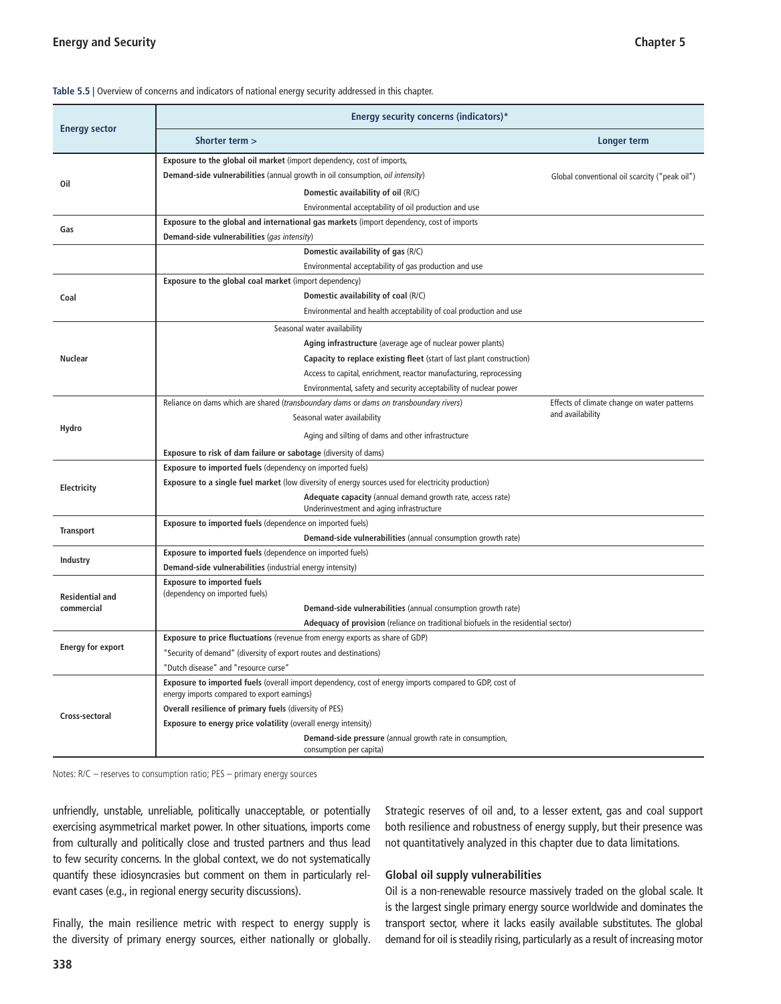|                          | Energy security concerns (indicators)*                                                                                                                             |                                               |  |  |  |
|--------------------------|--------------------------------------------------------------------------------------------------------------------------------------------------------------------|-----------------------------------------------|--|--|--|
| <b>Energy sector</b>     | Shorter term >                                                                                                                                                     | Longer term                                   |  |  |  |
|                          | Exposure to the global oil market (import dependency, cost of imports,                                                                                             |                                               |  |  |  |
|                          | Demand-side vulnerabilities (annual growth in oil consumption, oil intensity)                                                                                      | Global conventional oil scarcity ("peak oil") |  |  |  |
| Oil                      | Domestic availability of oil (R/C)                                                                                                                                 |                                               |  |  |  |
|                          | Environmental acceptability of oil production and use                                                                                                              |                                               |  |  |  |
| Gas                      | Exposure to the global and international gas markets (import dependency, cost of imports                                                                           |                                               |  |  |  |
|                          | Demand-side vulnerabilities (gas intensity)                                                                                                                        |                                               |  |  |  |
|                          | Domestic availability of gas (R/C)                                                                                                                                 |                                               |  |  |  |
|                          | Environmental acceptability of gas production and use                                                                                                              |                                               |  |  |  |
|                          | <b>Exposure to the global coal market (import dependency)</b>                                                                                                      |                                               |  |  |  |
| Coal                     | Domestic availability of coal (R/C)                                                                                                                                |                                               |  |  |  |
|                          | Environmental and health acceptability of coal production and use                                                                                                  |                                               |  |  |  |
|                          | Seasonal water availability                                                                                                                                        |                                               |  |  |  |
|                          | Aging infrastructure (average age of nuclear power plants)                                                                                                         |                                               |  |  |  |
| Nuclear                  | Capacity to replace existing fleet (start of last plant construction)                                                                                              |                                               |  |  |  |
|                          | Access to capital, enrichment, reactor manufacturing, reprocessing                                                                                                 |                                               |  |  |  |
|                          | Environmental, safety and security acceptability of nuclear power                                                                                                  |                                               |  |  |  |
|                          | Reliance on dams which are shared (transboundary dams or dams on transboundary rivers)                                                                             | Effects of climate change on water patterns   |  |  |  |
|                          | Seasonal water availability                                                                                                                                        | and availability                              |  |  |  |
| Hydro                    | Aging and silting of dams and other infrastructure                                                                                                                 |                                               |  |  |  |
|                          | Exposure to risk of dam failure or sabotage (diversity of dams)                                                                                                    |                                               |  |  |  |
|                          | Exposure to imported fuels (dependency on imported fuels)                                                                                                          |                                               |  |  |  |
| <b>Electricity</b>       | Exposure to a single fuel market (low diversity of energy sources used for electricity production)                                                                 |                                               |  |  |  |
|                          | Adequate capacity (annual demand growth rate, access rate)<br>Underinvestment and aging infrastructure                                                             |                                               |  |  |  |
|                          | <b>Exposure to imported fuels (dependence on imported fuels)</b>                                                                                                   |                                               |  |  |  |
| <b>Transport</b>         | Demand-side vulnerabilities (annual consumption growth rate)                                                                                                       |                                               |  |  |  |
| Industry                 | Exposure to imported fuels (dependence on imported fuels)                                                                                                          |                                               |  |  |  |
|                          | Demand-side vulnerabilities (industrial energy intensity)                                                                                                          |                                               |  |  |  |
|                          | <b>Exposure to imported fuels</b>                                                                                                                                  |                                               |  |  |  |
| <b>Residential and</b>   | (dependency on imported fuels)                                                                                                                                     |                                               |  |  |  |
| commercial               | Demand-side vulnerabilities (annual consumption growth rate)                                                                                                       |                                               |  |  |  |
|                          | Adequacy of provision (reliance on traditional biofuels in the residential sector)<br>Exposure to price fluctuations (revenue from energy exports as share of GDP) |                                               |  |  |  |
| <b>Energy for export</b> | "Security of demand" (diversity of export routes and destinations)                                                                                                 |                                               |  |  |  |
|                          | "Dutch disease" and "resource curse"                                                                                                                               |                                               |  |  |  |
|                          | Exposure to imported fuels (overall import dependency, cost of energy imports compared to GDP, cost of                                                             |                                               |  |  |  |
|                          | energy imports compared to export earnings)                                                                                                                        |                                               |  |  |  |
| Cross-sectoral           | Overall resilience of primary fuels (diversity of PES)                                                                                                             |                                               |  |  |  |
|                          | Exposure to energy price volatility (overall energy intensity)                                                                                                     |                                               |  |  |  |
|                          | Demand-side pressure (annual growth rate in consumption,<br>consumption per capita)                                                                                |                                               |  |  |  |

#### **Table 5.5 |** Overview of concerns and indicators of national energy security addressed in this chapter.

Notes: R/C – reserves to consumption ratio; PES – primary energy sources

unfriendly, unstable, unreliable, politically unacceptable, or potentially exercising asymmetrical market power. In other situations, imports come from culturally and politically close and trusted partners and thus lead to few security concerns. In the global context, we do not systematically quantify these idiosyncrasies but comment on them in particularly relevant cases (e.g., in regional energy security discussions).

 Finally, the main resilience metric with respect to energy supply is the diversity of primary energy sources, either nationally or globally.

Strategic reserves of oil and, to a lesser extent, gas and coal support both resilience and robustness of energy supply, but their presence was not quantitatively analyzed in this chapter due to data limitations.

#### **Global oil supply vulnerabilities**

 Oil is a non-renewable resource massively traded on the global scale. It is the largest single primary energy source worldwide and dominates the transport sector, where it lacks easily available substitutes. The global demand for oil is steadily rising, particularly as a result of increasing motor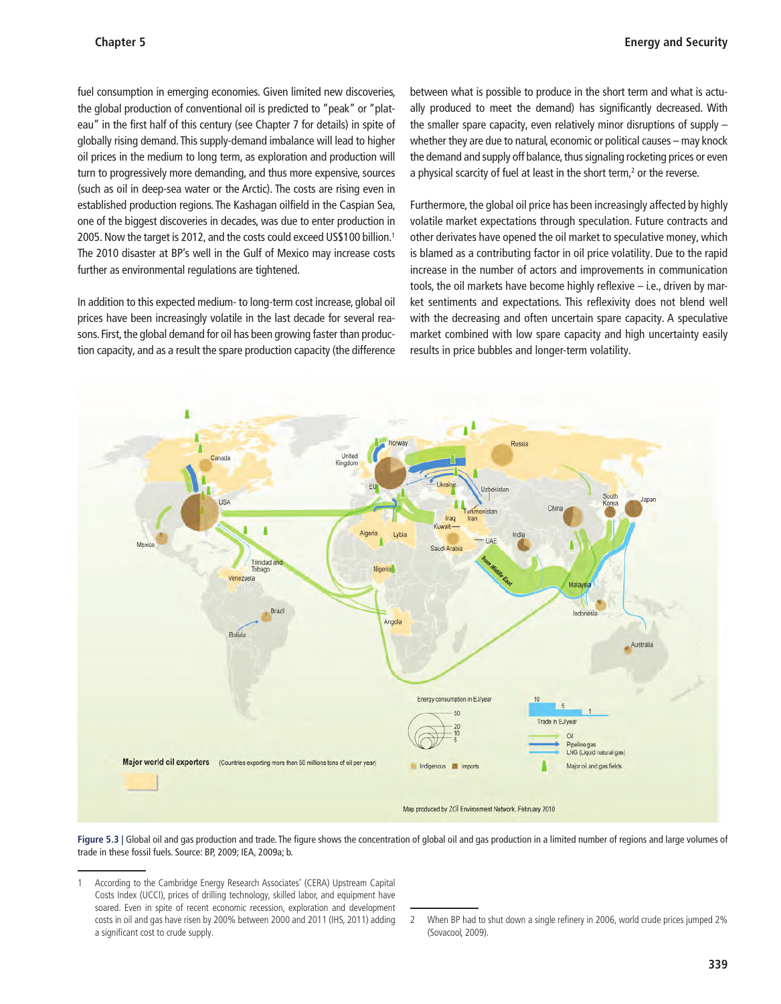fuel consumption in emerging economies. Given limited new discoveries, the global production of conventional oil is predicted to "peak" or "plateau" in the first half of this century (see Chapter 7 for details) in spite of globally rising demand. This supply-demand imbalance will lead to higher oil prices in the medium to long term, as exploration and production will turn to progressively more demanding, and thus more expensive, sources (such as oil in deep-sea water or the Arctic). The costs are rising even in established production regions. The Kashagan oilfield in the Caspian Sea, one of the biggest discoveries in decades, was due to enter production in 2005. Now the target is 2012, and the costs could exceed US\$100 billion. 1 The 2010 disaster at BP's well in the Gulf of Mexico may increase costs further as environmental regulations are tightened.

 In addition to this expected medium- to long-term cost increase, global oil prices have been increasingly volatile in the last decade for several reasons. First, the global demand for oil has been growing faster than production capacity, and as a result the spare production capacity (the difference between what is possible to produce in the short term and what is actually produced to meet the demand) has significantly decreased. With the smaller spare capacity, even relatively minor disruptions of supply – whether they are due to natural, economic or political causes – may knock the demand and supply off balance, thus signaling rocketing prices or even a physical scarcity of fuel at least in the short term, $<sup>2</sup>$  or the reverse.</sup>

 Furthermore, the global oil price has been increasingly affected by highly volatile market expectations through speculation. Future contracts and other derivates have opened the oil market to speculative money, which is blamed as a contributing factor in oil price volatility. Due to the rapid increase in the number of actors and improvements in communication tools, the oil markets have become highly reflexive – i.e., driven by market sentiments and expectations. This reflexivity does not blend well with the decreasing and often uncertain spare capacity. A speculative market combined with low spare capacity and high uncertainty easily results in price bubbles and longer-term volatility.



Figure 5.3 | Global oil and gas production and trade. The figure shows the concentration of global oil and gas production in a limited number of regions and large volumes of trade in these fossil fuels. Source: BP, 2009; IEA, 2009a; b.

 <sup>1</sup> According to the Cambridge Energy Research Associates' (CERA) Upstream Capital Costs Index (UCCI), prices of drilling technology, skilled labor, and equipment have soared. Even in spite of recent economic recession, exploration and development costs in oil and gas have risen by 200% between 2000 and 2011 (IHS, 2011 ) adding a significant cost to crude supply.

<sup>2</sup> When BP had to shut down a single refinery in 2006, world crude prices jumped 2% (Sovacool, 2009).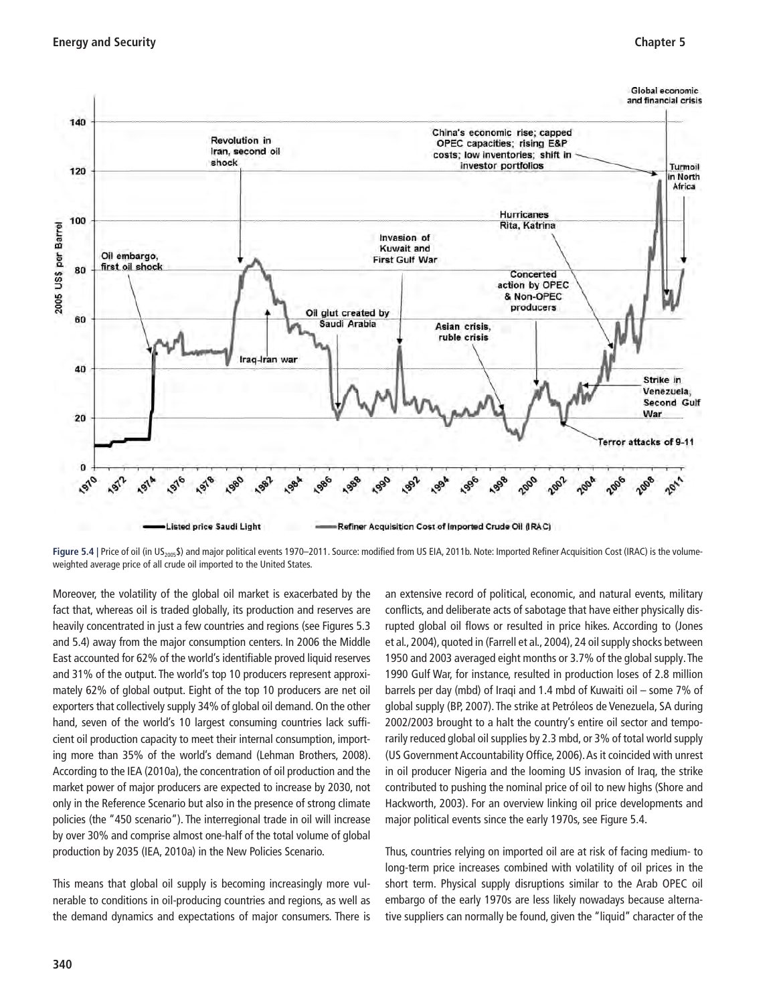

Figure 5.4 | Price of oil (in US<sub>2005</sub>\$) and major political events 1970–2011. Source: modified from US EIA, 2011b. Note: Imported Refiner Acquisition Cost (IRAC) is the volumeweighted average price of all crude oil imported to the United States.

 Moreover, the volatility of the global oil market is exacerbated by the fact that, whereas oil is traded globally, its production and reserves are heavily concentrated in just a few countries and regions (see Figures 5.3 and 5.4 ) away from the major consumption centers. In 2006 the Middle East accounted for 62% of the world's identifiable proved liquid reserves and 31% of the output. The world's top 10 producers represent approximately 62% of global output. Eight of the top 10 producers are net oil exporters that collectively supply 34% of global oil demand. On the other hand, seven of the world's 10 largest consuming countries lack sufficient oil production capacity to meet their internal consumption, importing more than 35% of the world's demand (Lehman Brothers, 2008). According to the IEA (2010a), the concentration of oil production and the market power of major producers are expected to increase by 2030, not only in the Reference Scenario but also in the presence of strong climate policies (the "450 scenario"). The interregional trade in oil will increase by over 30% and comprise almost one-half of the total volume of global production by 2035 (IEA, 2010a) in the New Policies Scenario.

 This means that global oil supply is becoming increasingly more vulnerable to conditions in oil-producing countries and regions, as well as the demand dynamics and expectations of major consumers. There is

an extensive record of political, economic, and natural events, military conflicts, and deliberate acts of sabotage that have either physically disrupted global oil flows or resulted in price hikes. According to (Jones et al., 2004), quoted in (Farrell et al., 2004), 24 oil supply shocks between 1950 and 2003 averaged eight months or 3.7% of the global supply. The 1990 Gulf War, for instance, resulted in production loses of 2.8 million barrels per day (mbd) of Iraqi and 1.4 mbd of Kuwaiti oil – some 7% of global supply (BP, 2007). The strike at Petróleos de Venezuela, SA during 2002/2003 brought to a halt the country's entire oil sector and temporarily reduced global oil supplies by 2.3 mbd, or 3% of total world supply (US Government Accountability Office, 2006 ). As it coincided with unrest in oil producer Nigeria and the looming US invasion of Iraq, the strike contributed to pushing the nominal price of oil to new highs (Shore and Hackworth, 2003). For an overview linking oil price developments and major political events since the early 1970s, see Figure 5.4 .

 Thus, countries relying on imported oil are at risk of facing medium- to long-term price increases combined with volatility of oil prices in the short term. Physical supply disruptions similar to the Arab OPEC oil embargo of the early 1970s are less likely nowadays because alternative suppliers can normally be found, given the "liquid" character of the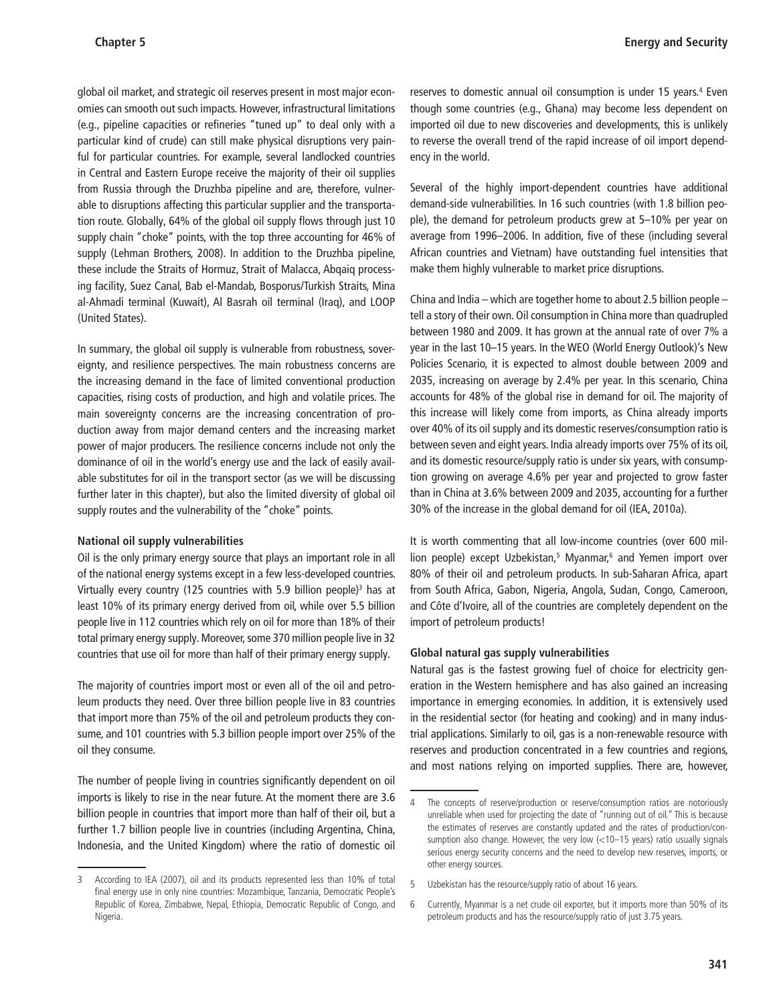global oil market, and strategic oil reserves present in most major economies can smooth out such impacts. However, infrastructural limitations (e.g., pipeline capacities or refineries "tuned up" to deal only with a particular kind of crude) can still make physical disruptions very painful for particular countries. For example, several landlocked countries in Central and Eastern Europe receive the majority of their oil supplies from Russia through the Druzhba pipeline and are, therefore, vulnerable to disruptions affecting this particular supplier and the transportation route. Globally, 64% of the global oil supply flows through just 10 supply chain "choke" points, with the top three accounting for 46% of supply (Lehman Brothers, 2008). In addition to the Druzhba pipeline, these include the Straits of Hormuz, Strait of Malacca, Abqaiq processing facility, Suez Canal, Bab el-Mandab, Bosporus/Turkish Straits, Mina al-Ahmadi terminal (Kuwait), Al Basrah oil terminal (Iraq), and LOOP (United States).

 In summary, the global oil supply is vulnerable from robustness, sovereignty, and resilience perspectives. The main robustness concerns are the increasing demand in the face of limited conventional production capacities, rising costs of production, and high and volatile prices. The main sovereignty concerns are the increasing concentration of production away from major demand centers and the increasing market power of major producers. The resilience concerns include not only the dominance of oil in the world's energy use and the lack of easily available substitutes for oil in the transport sector (as we will be discussing further later in this chapter), but also the limited diversity of global oil supply routes and the vulnerability of the "choke" points.

#### **National oil supply vulnerabilities**

 Oil is the only primary energy source that plays an important role in all of the national energy systems except in a few less-developed countries. Virtually every country (125 countries with 5.9 billion people) $^3$  has at least 10% of its primary energy derived from oil, while over 5.5 billion people live in 112 countries which rely on oil for more than 18% of their total primary energy supply. Moreover, some 370 million people live in 32 countries that use oil for more than half of their primary energy supply.

 The majority of countries import most or even all of the oil and petroleum products they need. Over three billion people live in 83 countries that import more than 75% of the oil and petroleum products they consume, and 101 countries with 5.3 billion people import over 25% of the oil they consume.

 The number of people living in countries significantly dependent on oil imports is likely to rise in the near future. At the moment there are 3.6 billion people in countries that import more than half of their oil, but a further 1.7 billion people live in countries (including Argentina, China, Indonesia, and the United Kingdom) where the ratio of domestic oil

reserves to domestic annual oil consumption is under 15 years.<sup>4</sup> Even though some countries (e.g., Ghana) may become less dependent on imported oil due to new discoveries and developments, this is unlikely to reverse the overall trend of the rapid increase of oil import dependency in the world.

 Several of the highly import-dependent countries have additional demand-side vulnerabilities. In 16 such countries (with 1.8 billion people), the demand for petroleum products grew at 5–10% per year on average from 1996–2006. In addition, five of these (including several African countries and Vietnam) have outstanding fuel intensities that make them highly vulnerable to market price disruptions.

 China and India – which are together home to about 2.5 billion people – tell a story of their own. Oil consumption in China more than quadrupled between 1980 and 2009. It has grown at the annual rate of over 7% a year in the last 10–15 years. In the WEO (World Energy Outlook)'s New Policies Scenario, it is expected to almost double between 2009 and 2035, increasing on average by 2.4% per year. In this scenario, China accounts for 48% of the global rise in demand for oil. The majority of this increase will likely come from imports, as China already imports over 40% of its oil supply and its domestic reserves/consumption ratio is between seven and eight years. India already imports over 75% of its oil, and its domestic resource/supply ratio is under six years, with consumption growing on average 4.6% per year and projected to grow faster than in China at 3.6% between 2009 and 2035, accounting for a further 30% of the increase in the global demand for oil (IEA, 2010a).

 It is worth commenting that all low-income countries (over 600 million people) except Uzbekistan,<sup>5</sup> Myanmar,<sup>6</sup> and Yemen import over 80% of their oil and petroleum products. In sub-Saharan Africa, apart from South Africa, Gabon, Nigeria, Angola, Sudan, Congo, Cameroon, and Côte d'Ivoire, all of the countries are completely dependent on the import of petroleum products!

#### **Global natural gas supply vulnerabilities**

 Natural gas is the fastest growing fuel of choice for electricity generation in the Western hemisphere and has also gained an increasing importance in emerging economies. In addition, it is extensively used in the residential sector (for heating and cooking) and in many industrial applications. Similarly to oil, gas is a non-renewable resource with reserves and production concentrated in a few countries and regions, and most nations relying on imported supplies. There are, however,

<sup>3</sup> According to IEA (2007), oil and its products represented less than 10% of total final energy use in only nine countries: Mozambique, Tanzania, Democratic People's Republic of Korea, Zimbabwe, Nepal, Ethiopia, Democratic Republic of Congo, and Nigeria.

 <sup>4</sup> The concepts of reserve/production or reserve/consumption ratios are notoriously unreliable when used for projecting the date of "running out of oil." This is because the estimates of reserves are constantly updated and the rates of production/consumption also change. However, the very low (<10–15 years) ratio usually signals serious energy security concerns and the need to develop new reserves, imports, or other energy sources.

 <sup>5</sup> Uzbekistan has the resource/supply ratio of about 16 years.

 <sup>6</sup> Currently, Myanmar is a net crude oil exporter, but it imports more than 50% of its petroleum products and has the resource/supply ratio of just 3.75 years.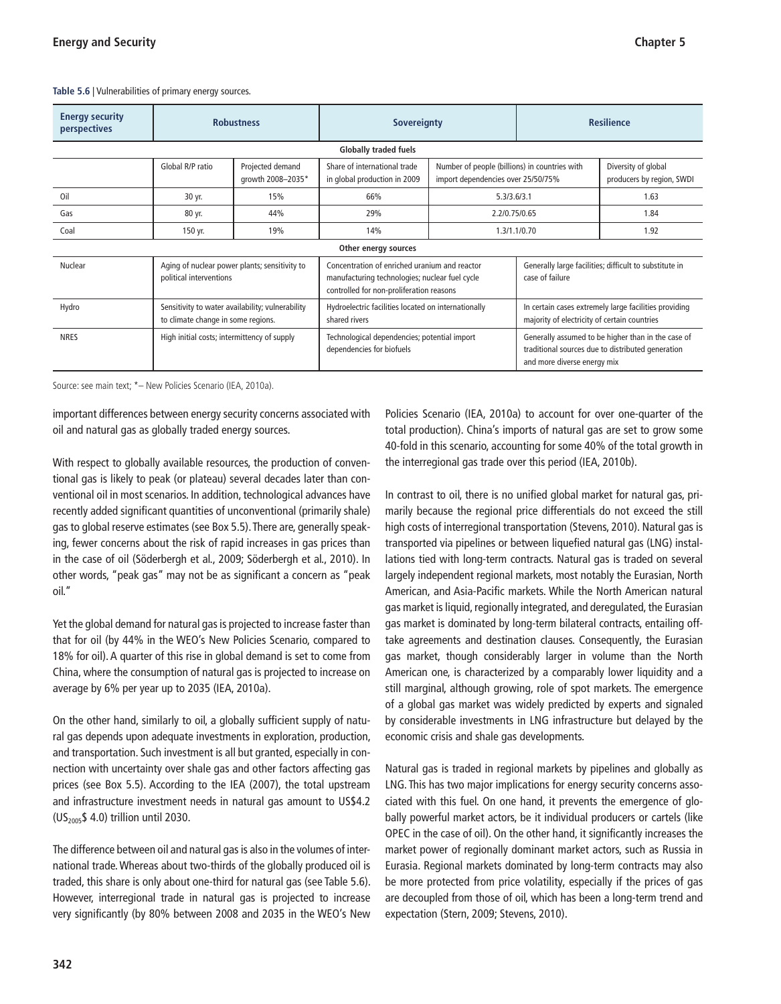#### **Table 5.6** | Vulnerabilities of primary energy sources.

| <b>Energy security</b><br>perspectives                                              |                      | <b>Robustness</b>                                                                                                                                              | <b>Sovereignty</b>                                           |                                                                                     | <b>Resilience</b>                                                                                       |                                                       |  |
|-------------------------------------------------------------------------------------|----------------------|----------------------------------------------------------------------------------------------------------------------------------------------------------------|--------------------------------------------------------------|-------------------------------------------------------------------------------------|---------------------------------------------------------------------------------------------------------|-------------------------------------------------------|--|
|                                                                                     |                      |                                                                                                                                                                | <b>Globally traded fuels</b>                                 |                                                                                     |                                                                                                         |                                                       |  |
|                                                                                     | Global R/P ratio     | Projected demand<br>growth 2008-2035*                                                                                                                          | Share of international trade<br>in global production in 2009 | Number of people (billions) in countries with<br>import dependencies over 25/50/75% |                                                                                                         | Diversity of global<br>producers by region, SWDI      |  |
| Oil                                                                                 | 30 yr.               | 15%                                                                                                                                                            | 66%                                                          | 5.3/3.6/3.1                                                                         |                                                                                                         | 1.63                                                  |  |
| Gas                                                                                 | 80 yr.               | 44%                                                                                                                                                            | 29%                                                          | 2.2/0.75/0.65                                                                       |                                                                                                         | 1.84                                                  |  |
| Coal                                                                                | 150 yr.              | 19%                                                                                                                                                            | 14%                                                          | 1.3/1.1/0.70                                                                        |                                                                                                         | 1.92                                                  |  |
|                                                                                     | Other energy sources |                                                                                                                                                                |                                                              |                                                                                     |                                                                                                         |                                                       |  |
| Nuclear<br>Aging of nuclear power plants; sensitivity to<br>political interventions |                      | Concentration of enriched uranium and reactor<br>manufacturing technologies; nuclear fuel cycle<br>controlled for non-proliferation reasons                    |                                                              | case of failure                                                                     | Generally large facilities; difficult to substitute in                                                  |                                                       |  |
| Hydro                                                                               |                      | Sensitivity to water availability; vulnerability<br>Hydroelectric facilities located on internationally<br>to climate change in some regions.<br>shared rivers |                                                              |                                                                                     | majority of electricity of certain countries                                                            | In certain cases extremely large facilities providing |  |
| <b>NRES</b><br>High initial costs; intermittency of supply                          |                      | Technological dependencies; potential import<br>dependencies for biofuels                                                                                      |                                                              | and more diverse energy mix                                                         | Generally assumed to be higher than in the case of<br>traditional sources due to distributed generation |                                                       |  |

Source: see main text; \*– New Policies Scenario (IEA, 2010a).

important differences between energy security concerns associated with oil and natural gas as globally traded energy sources.

 With respect to globally available resources, the production of conventional gas is likely to peak (or plateau) several decades later than conventional oil in most scenarios. In addition, technological advances have recently added significant quantities of unconventional (primarily shale) gas to global reserve estimates (see Box 5.5 ). There are, generally speaking, fewer concerns about the risk of rapid increases in gas prices than in the case of oil (Söderbergh et al., 2009; Söderbergh et al., 2010). In other words, "peak gas" may not be as significant a concern as "peak oil."

 Yet the global demand for natural gas is projected to increase faster than that for oil (by 44% in the WEO's New Policies Scenario, compared to 18% for oil). A quarter of this rise in global demand is set to come from China, where the consumption of natural gas is projected to increase on average by 6% per year up to 2035 (IEA, 2010a).

 On the other hand, similarly to oil, a globally sufficient supply of natural gas depends upon adequate investments in exploration, production, and transportation. Such investment is all but granted, especially in connection with uncertainty over shale gas and other factors affecting gas prices (see Box 5.5). According to the IEA (2007), the total upstream and infrastructure investment needs in natural gas amount to US\$4.2  $(US_{2005}$ \$ 4.0) trillion until 2030.

 The difference between oil and natural gas is also in the volumes of international trade. Whereas about two-thirds of the globally produced oil is traded, this share is only about one-third for natural gas (see Table 5.6 ). However, interregional trade in natural gas is projected to increase very significantly (by 80% between 2008 and 2035 in the WEO's New

Policies Scenario (IEA, 2010a) to account for over one-quarter of the total production). China's imports of natural gas are set to grow some 40-fold in this scenario, accounting for some 40% of the total growth in the interregional gas trade over this period (IEA, 2010b).

 In contrast to oil, there is no unified global market for natural gas, primarily because the regional price differentials do not exceed the still high costs of interregional transportation (Stevens, 2010). Natural gas is transported via pipelines or between liquefied natural gas (LNG) installations tied with long-term contracts. Natural gas is traded on several largely independent regional markets, most notably the Eurasian, North American, and Asia-Pacific markets. While the North American natural gas market is liquid, regionally integrated, and deregulated, the Eurasian gas market is dominated by long-term bilateral contracts, entailing offtake agreements and destination clauses. Consequently, the Eurasian gas market, though considerably larger in volume than the North American one, is characterized by a comparably lower liquidity and a still marginal, although growing, role of spot markets. The emergence of a global gas market was widely predicted by experts and signaled by considerable investments in LNG infrastructure but delayed by the economic crisis and shale gas developments.

 Natural gas is traded in regional markets by pipelines and globally as LNG. This has two major implications for energy security concerns associated with this fuel. On one hand, it prevents the emergence of globally powerful market actors, be it individual producers or cartels (like OPEC in the case of oil). On the other hand, it significantly increases the market power of regionally dominant market actors, such as Russia in Eurasia. Regional markets dominated by long-term contracts may also be more protected from price volatility, especially if the prices of gas are decoupled from those of oil, which has been a long-term trend and expectation (Stern, 2009; Stevens, 2010).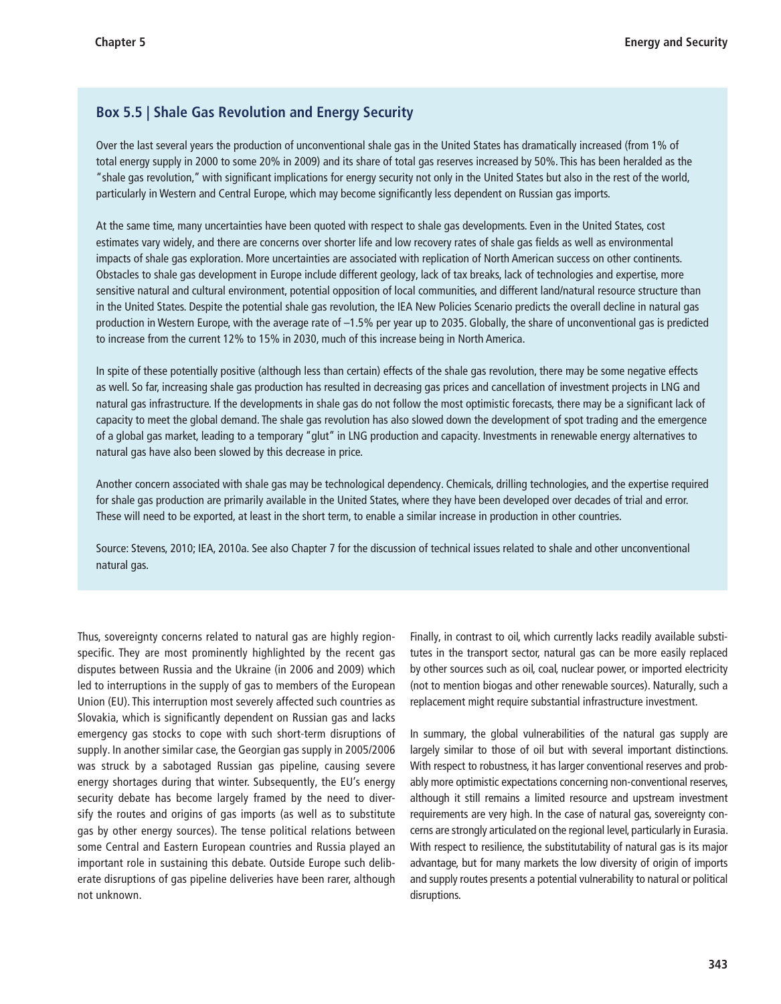## **Box 5.5 | Shale Gas Revolution and Energy Security**

 Over the last several years the production of unconventional shale gas in the United States has dramatically increased (from 1% of total energy supply in 2000 to some 20% in 2009) and its share of total gas reserves increased by 50%. This has been heralded as the "shale gas revolution," with significant implications for energy security not only in the United States but also in the rest of the world, particularly in Western and Central Europe, which may become significantly less dependent on Russian gas imports.

 At the same time, many uncertainties have been quoted with respect to shale gas developments. Even in the United States, cost estimates vary widely, and there are concerns over shorter life and low recovery rates of shale gas fields as well as environmental impacts of shale gas exploration. More uncertainties are associated with replication of North American success on other continents. Obstacles to shale gas development in Europe include different geology, lack of tax breaks, lack of technologies and expertise, more sensitive natural and cultural environment, potential opposition of local communities, and different land/natural resource structure than in the United States. Despite the potential shale gas revolution, the IEA New Policies Scenario predicts the overall decline in natural gas production in Western Europe, with the average rate of –1.5% per year up to 2035. Globally, the share of unconventional gas is predicted to increase from the current 12% to 15% in 2030, much of this increase being in North America.

 In spite of these potentially positive (although less than certain) effects of the shale gas revolution, there may be some negative effects as well. So far, increasing shale gas production has resulted in decreasing gas prices and cancellation of investment projects in LNG and natural gas infrastructure. If the developments in shale gas do not follow the most optimistic forecasts, there may be a significant lack of capacity to meet the global demand. The shale gas revolution has also slowed down the development of spot trading and the emergence of a global gas market, leading to a temporary "glut" in LNG production and capacity. Investments in renewable energy alternatives to natural gas have also been slowed by this decrease in price.

 Another concern associated with shale gas may be technological dependency. Chemicals, drilling technologies, and the expertise required for shale gas production are primarily available in the United States, where they have been developed over decades of trial and error. These will need to be exported, at least in the short term, to enable a similar increase in production in other countries.

Source: Stevens, 2010; IEA, 2010a. See also Chapter 7 for the discussion of technical issues related to shale and other unconventional natural gas.

 Thus, sovereignty concerns related to natural gas are highly regionspecific. They are most prominently highlighted by the recent gas disputes between Russia and the Ukraine (in 2006 and 2009) which led to interruptions in the supply of gas to members of the European Union (EU). This interruption most severely affected such countries as Slovakia, which is significantly dependent on Russian gas and lacks emergency gas stocks to cope with such short-term disruptions of supply. In another similar case, the Georgian gas supply in 2005/2006 was struck by a sabotaged Russian gas pipeline, causing severe energy shortages during that winter. Subsequently, the EU's energy security debate has become largely framed by the need to diversify the routes and origins of gas imports (as well as to substitute gas by other energy sources). The tense political relations between some Central and Eastern European countries and Russia played an important role in sustaining this debate. Outside Europe such deliberate disruptions of gas pipeline deliveries have been rarer, although not unknown.

 Finally, in contrast to oil, which currently lacks readily available substitutes in the transport sector, natural gas can be more easily replaced by other sources such as oil, coal, nuclear power, or imported electricity (not to mention biogas and other renewable sources). Naturally, such a replacement might require substantial infrastructure investment.

 In summary, the global vulnerabilities of the natural gas supply are largely similar to those of oil but with several important distinctions. With respect to robustness, it has larger conventional reserves and probably more optimistic expectations concerning non-conventional reserves, although it still remains a limited resource and upstream investment requirements are very high. In the case of natural gas, sovereignty concerns are strongly articulated on the regional level, particularly in Eurasia. With respect to resilience, the substitutability of natural gas is its major advantage, but for many markets the low diversity of origin of imports and supply routes presents a potential vulnerability to natural or political disruptions.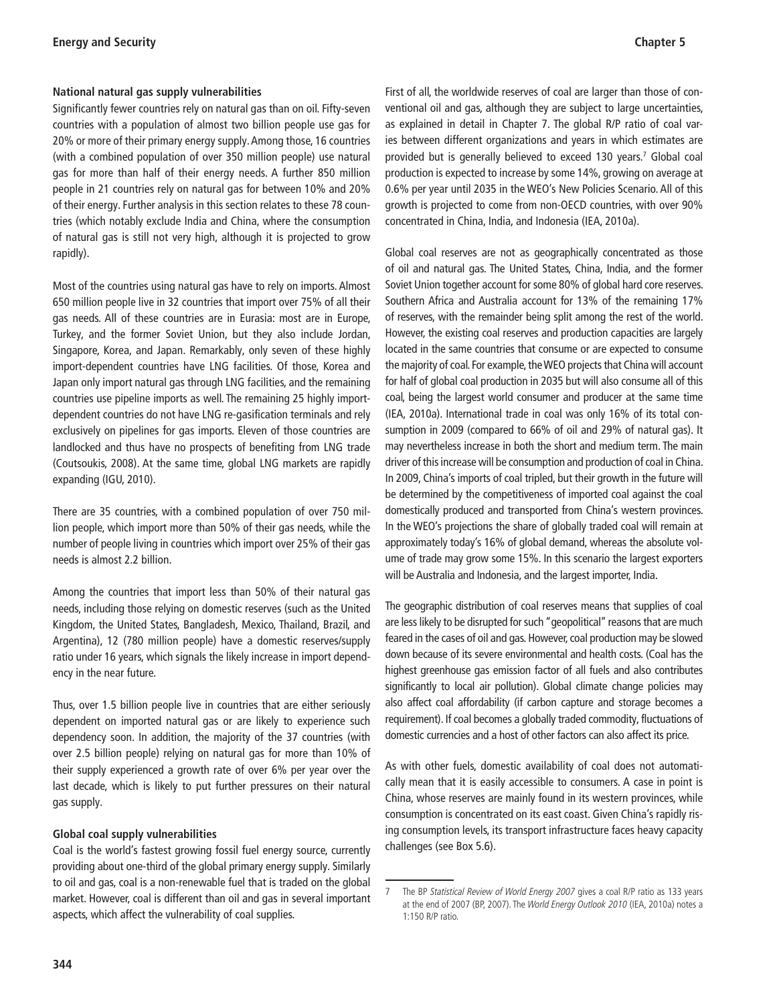#### **National natural gas supply vulnerabilities**

 Significantly fewer countries rely on natural gas than on oil. Fifty-seven countries with a population of almost two billion people use gas for 20% or more of their primary energy supply. Among those, 16 countries (with a combined population of over 350 million people) use natural gas for more than half of their energy needs. A further 850 million people in 21 countries rely on natural gas for between 10% and 20% of their energy. Further analysis in this section relates to these 78 countries (which notably exclude India and China, where the consumption of natural gas is still not very high, although it is projected to grow rapidly).

 Most of the countries using natural gas have to rely on imports. Almost 650 million people live in 32 countries that import over 75% of all their gas needs. All of these countries are in Eurasia: most are in Europe, Turkey, and the former Soviet Union, but they also include Jordan, Singapore, Korea, and Japan. Remarkably, only seven of these highly import-dependent countries have LNG facilities. Of those, Korea and Japan only import natural gas through LNG facilities, and the remaining countries use pipeline imports as well. The remaining 25 highly importdependent countries do not have LNG re-gasification terminals and rely exclusively on pipelines for gas imports. Eleven of those countries are landlocked and thus have no prospects of benefiting from LNG trade (Coutsoukis, 2008). At the same time, global LNG markets are rapidly expanding (IGU, 2010).

 There are 35 countries, with a combined population of over 750 million people, which import more than 50% of their gas needs, while the number of people living in countries which import over 25% of their gas needs is almost 2.2 billion.

 Among the countries that import less than 50% of their natural gas needs, including those relying on domestic reserves (such as the United Kingdom, the United States, Bangladesh, Mexico, Thailand, Brazil, and Argentina), 12 (780 million people) have a domestic reserves/supply ratio under 16 years, which signals the likely increase in import dependency in the near future.

 Thus, over 1.5 billion people live in countries that are either seriously dependent on imported natural gas or are likely to experience such dependency soon. In addition, the majority of the 37 countries (with over 2.5 billion people) relying on natural gas for more than 10% of their supply experienced a growth rate of over 6% per year over the last decade, which is likely to put further pressures on their natural gas supply.

#### **Global coal supply vulnerabilities**

 Coal is the world's fastest growing fossil fuel energy source, currently providing about one-third of the global primary energy supply. Similarly to oil and gas, coal is a non-renewable fuel that is traded on the global market. However, coal is different than oil and gas in several important aspects, which affect the vulnerability of coal supplies.

 First of all, the worldwide reserves of coal are larger than those of conventional oil and gas, although they are subject to large uncertainties, as explained in detail in Chapter 7. The global R/P ratio of coal varies between different organizations and years in which estimates are provided but is generally believed to exceed 130 years.<sup>7</sup> Global coal production is expected to increase by some 14%, growing on average at 0.6% per year until 2035 in the WEO's New Policies Scenario. All of this growth is projected to come from non-OECD countries, with over 90% concentrated in China, India, and Indonesia (IEA, 2010a).

 Global coal reserves are not as geographically concentrated as those of oil and natural gas. The United States, China, India, and the former Soviet Union together account for some 80% of global hard core reserves. Southern Africa and Australia account for 13% of the remaining 17% of reserves, with the remainder being split among the rest of the world. However, the existing coal reserves and production capacities are largely located in the same countries that consume or are expected to consume the majority of coal. For example, the WEO projects that China will account for half of global coal production in 2035 but will also consume all of this coal, being the largest world consumer and producer at the same time (IEA, 2010a). International trade in coal was only 16% of its total consumption in 2009 (compared to 66% of oil and 29% of natural gas). It may nevertheless increase in both the short and medium term. The main driver of this increase will be consumption and production of coal in China. In 2009, China's imports of coal tripled, but their growth in the future will be determined by the competitiveness of imported coal against the coal domestically produced and transported from China's western provinces. In the WEO's projections the share of globally traded coal will remain at approximately today's 16% of global demand, whereas the absolute volume of trade may grow some 15%. In this scenario the largest exporters will be Australia and Indonesia, and the largest importer, India.

 The geographic distribution of coal reserves means that supplies of coal are less likely to be disrupted for such "geopolitical" reasons that are much feared in the cases of oil and gas. However, coal production may be slowed down because of its severe environmental and health costs. (Coal has the highest greenhouse gas emission factor of all fuels and also contributes significantly to local air pollution). Global climate change policies may also affect coal affordability (if carbon capture and storage becomes a requirement). If coal becomes a globally traded commodity, fluctuations of domestic currencies and a host of other factors can also affect its price.

 As with other fuels, domestic availability of coal does not automatically mean that it is easily accessible to consumers. A case in point is China, whose reserves are mainly found in its western provinces, while consumption is concentrated on its east coast. Given China's rapidly rising consumption levels, its transport infrastructure faces heavy capacity challenges (see Box 5.6).

The BP Statistical Review of World Energy 2007 gives a coal R/P ratio as 133 years at the end of 2007 (BP, 2007). The World Energy Outlook 2010 (IEA, 2010a) notes a 1:150 R/P ratio.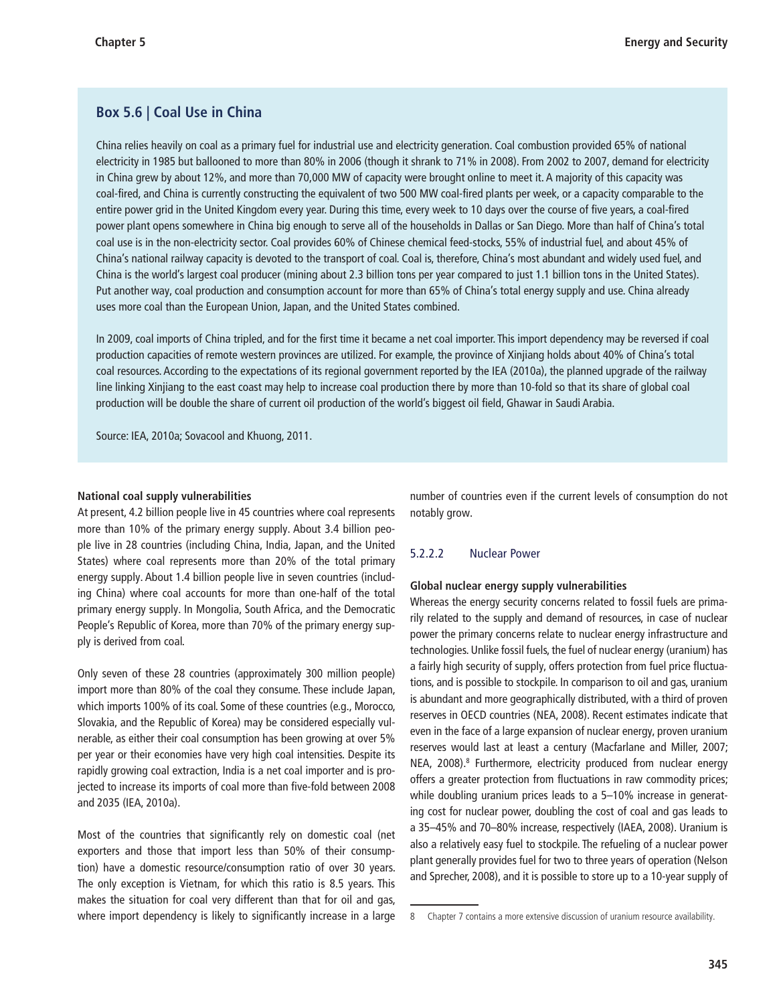### **Box 5.6 | Coal Use in China**

 China relies heavily on coal as a primary fuel for industrial use and electricity generation. Coal combustion provided 65% of national electricity in 1985 but ballooned to more than 80% in 2006 (though it shrank to 71% in 2008). From 2002 to 2007, demand for electricity in China grew by about 12%, and more than 70,000 MW of capacity were brought online to meet it. A majority of this capacity was coal-fired, and China is currently constructing the equivalent of two 500 MW coal-fired plants per week, or a capacity comparable to the entire power grid in the United Kingdom every year. During this time, every week to 10 days over the course of five years, a coal-fired power plant opens somewhere in China big enough to serve all of the households in Dallas or San Diego. More than half of China's total coal use is in the non-electricity sector. Coal provides 60% of Chinese chemical feed-stocks, 55% of industrial fuel, and about 45% of China's national railway capacity is devoted to the transport of coal. Coal is, therefore, China's most abundant and widely used fuel, and China is the world's largest coal producer (mining about 2.3 billion tons per year compared to just 1.1 billion tons in the United States). Put another way, coal production and consumption account for more than 65% of China's total energy supply and use. China already uses more coal than the European Union, Japan, and the United States combined.

In 2009, coal imports of China tripled, and for the first time it became a net coal importer. This import dependency may be reversed if coal production capacities of remote western provinces are utilized. For example, the province of Xinjiang holds about 40% of China's total coal resources. According to the expectations of its regional government reported by the IEA ( 2010a ), the planned upgrade of the railway line linking Xinjiang to the east coast may help to increase coal production there by more than 10-fold so that its share of global coal production will be double the share of current oil production of the world's biggest oil field, Ghawar in Saudi Arabia.

Source: IEA, 2010a; Sovacool and Khuong, 2011.

#### **National coal supply vulnerabilities**

 At present, 4.2 billion people live in 45 countries where coal represents more than 10% of the primary energy supply. About 3.4 billion people live in 28 countries (including China, India, Japan, and the United States) where coal represents more than 20% of the total primary energy supply. About 1.4 billion people live in seven countries (including China) where coal accounts for more than one-half of the total primary energy supply. In Mongolia, South Africa, and the Democratic People's Republic of Korea, more than 70% of the primary energy supply is derived from coal.

 Only seven of these 28 countries (approximately 300 million people) import more than 80% of the coal they consume. These include Japan, which imports 100% of its coal. Some of these countries (e.g., Morocco, Slovakia, and the Republic of Korea) may be considered especially vulnerable, as either their coal consumption has been growing at over 5% per year or their economies have very high coal intensities. Despite its rapidly growing coal extraction, India is a net coal importer and is projected to increase its imports of coal more than five-fold between 2008 and 2035 (IEA, 2010a).

 Most of the countries that significantly rely on domestic coal (net exporters and those that import less than 50% of their consumption) have a domestic resource/consumption ratio of over 30 years. The only exception is Vietnam, for which this ratio is 8.5 years. This makes the situation for coal very different than that for oil and gas, where import dependency is likely to significantly increase in a large

number of countries even if the current levels of consumption do not notably grow.

#### 5.2.2.2 Nuclear Power

#### **Global nuclear energy supply vulnerabilities**

 Whereas the energy security concerns related to fossil fuels are primarily related to the supply and demand of resources, in case of nuclear power the primary concerns relate to nuclear energy infrastructure and technologies. Unlike fossil fuels, the fuel of nuclear energy (uranium) has a fairly high security of supply, offers protection from fuel price fluctuations, and is possible to stockpile. In comparison to oil and gas, uranium is abundant and more geographically distributed, with a third of proven reserves in OECD countries (NEA, 2008). Recent estimates indicate that even in the face of a large expansion of nuclear energy, proven uranium reserves would last at least a century (Macfarlane and Miller, 2007; NEA, 2008).<sup>8</sup> Furthermore, electricity produced from nuclear energy offers a greater protection from fluctuations in raw commodity prices; while doubling uranium prices leads to a 5–10% increase in generating cost for nuclear power, doubling the cost of coal and gas leads to a 35-45% and 70-80% increase, respectively (IAEA, 2008). Uranium is also a relatively easy fuel to stockpile. The refueling of a nuclear power plant generally provides fuel for two to three years of operation (Nelson and Sprecher, 2008), and it is possible to store up to a 10-year supply of

 <sup>8</sup> Chapter 7 contains a more extensive discussion of uranium resource availability.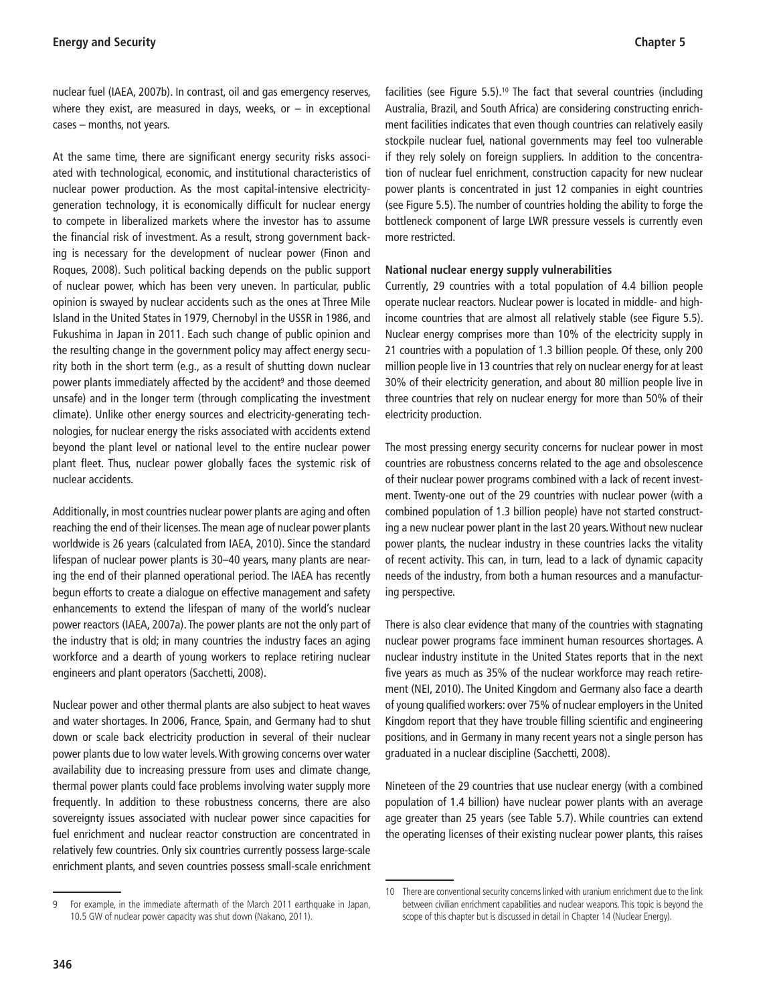nuclear fuel (IAEA, 2007b). In contrast, oil and gas emergency reserves, where they exist, are measured in days, weeks, or  $-$  in exceptional cases – months, not years.

 At the same time, there are significant energy security risks associated with technological, economic, and institutional characteristics of nuclear power production. As the most capital-intensive electricitygeneration technology, it is economically difficult for nuclear energy to compete in liberalized markets where the investor has to assume the financial risk of investment. As a result, strong government backing is necessary for the development of nuclear power (Finon and Roques, 2008). Such political backing depends on the public support of nuclear power, which has been very uneven. In particular, public opinion is swayed by nuclear accidents such as the ones at Three Mile Island in the United States in 1979, Chernobyl in the USSR in 1986, and Fukushima in Japan in 2011. Each such change of public opinion and the resulting change in the government policy may affect energy security both in the short term (e.g., as a result of shutting down nuclear power plants immediately affected by the accident<sup>9</sup> and those deemed unsafe) and in the longer term (through complicating the investment climate). Unlike other energy sources and electricity-generating technologies, for nuclear energy the risks associated with accidents extend beyond the plant level or national level to the entire nuclear power plant fleet. Thus, nuclear power globally faces the systemic risk of nuclear accidents.

 Additionally, in most countries nuclear power plants are aging and often reaching the end of their licenses. The mean age of nuclear power plants worldwide is 26 years (calculated from IAEA, 2010). Since the standard lifespan of nuclear power plants is 30–40 years, many plants are nearing the end of their planned operational period. The IAEA has recently begun efforts to create a dialogue on effective management and safety enhancements to extend the lifespan of many of the world's nuclear power reactors (IAEA, 2007a). The power plants are not the only part of the industry that is old; in many countries the industry faces an aging workforce and a dearth of young workers to replace retiring nuclear engineers and plant operators (Sacchetti, 2008).

 Nuclear power and other thermal plants are also subject to heat waves and water shortages. In 2006, France, Spain, and Germany had to shut down or scale back electricity production in several of their nuclear power plants due to low water levels. With growing concerns over water availability due to increasing pressure from uses and climate change, thermal power plants could face problems involving water supply more frequently. In addition to these robustness concerns, there are also sovereignty issues associated with nuclear power since capacities for fuel enrichment and nuclear reactor construction are concentrated in relatively few countries. Only six countries currently possess large-scale enrichment plants, and seven countries possess small-scale enrichment

facilities (see Figure 5.5).<sup>10</sup> The fact that several countries (including Australia, Brazil, and South Africa) are considering constructing enrichment facilities indicates that even though countries can relatively easily stockpile nuclear fuel, national governments may feel too vulnerable if they rely solely on foreign suppliers. In addition to the concentration of nuclear fuel enrichment, construction capacity for new nuclear power plants is concentrated in just 12 companies in eight countries (see Figure 5.5 ). The number of countries holding the ability to forge the bottleneck component of large LWR pressure vessels is currently even more restricted.

#### **National nuclear energy supply vulnerabilities**

 Currently, 29 countries with a total population of 4.4 billion people operate nuclear reactors. Nuclear power is located in middle- and highincome countries that are almost all relatively stable (see Figure 5.5). Nuclear energy comprises more than 10% of the electricity supply in 21 countries with a population of 1.3 billion people. Of these, only 200 million people live in 13 countries that rely on nuclear energy for at least 30% of their electricity generation, and about 80 million people live in three countries that rely on nuclear energy for more than 50% of their electricity production.

 The most pressing energy security concerns for nuclear power in most countries are robustness concerns related to the age and obsolescence of their nuclear power programs combined with a lack of recent investment. Twenty-one out of the 29 countries with nuclear power (with a combined population of 1.3 billion people) have not started constructing a new nuclear power plant in the last 20 years. Without new nuclear power plants, the nuclear industry in these countries lacks the vitality of recent activity. This can, in turn, lead to a lack of dynamic capacity needs of the industry, from both a human resources and a manufacturing perspective.

 There is also clear evidence that many of the countries with stagnating nuclear power programs face imminent human resources shortages. A nuclear industry institute in the United States reports that in the next five years as much as 35% of the nuclear workforce may reach retirement (NEI, 2010). The United Kingdom and Germany also face a dearth of young qualified workers: over 75% of nuclear employers in the United Kingdom report that they have trouble filling scientific and engineering positions, and in Germany in many recent years not a single person has graduated in a nuclear discipline (Sacchetti, 2008).

 Nineteen of the 29 countries that use nuclear energy (with a combined population of 1.4 billion) have nuclear power plants with an average age greater than 25 years (see Table 5.7). While countries can extend the operating licenses of their existing nuclear power plants, this raises

 <sup>9</sup> For example, in the immediate aftermath of the March 2011 earthquake in Japan, 10.5 GW of nuclear power capacity was shut down (Nakano, 2011).

 <sup>10</sup> There are conventional security concerns linked with uranium enrichment due to the link between civilian enrichment capabilities and nuclear weapons. This topic is beyond the scope of this chapter but is discussed in detail in Chapter 14 (Nuclear Energy).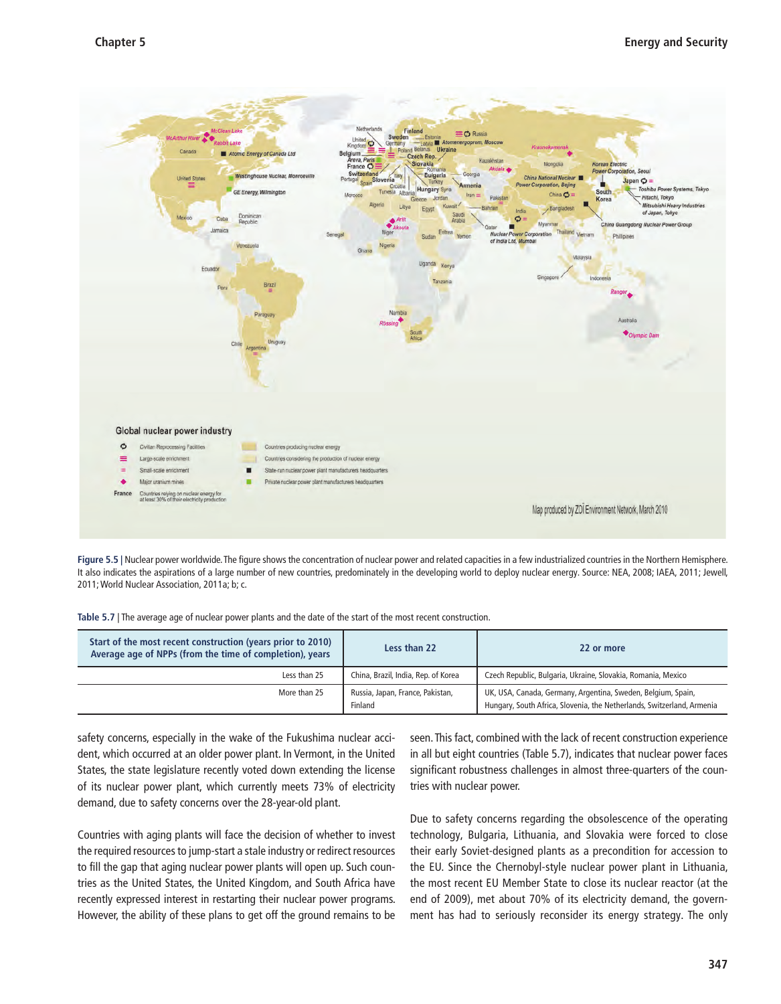

Figure 5.5 | Nuclear power worldwide. The figure shows the concentration of nuclear power and related capacities in a few industrialized countries in the Northern Hemisphere. It also indicates the aspirations of a large number of new countries, predominately in the developing world to deploy nuclear energy. Source: NEA, 2008; IAEA, 2011; Jewell, 2011; World Nuclear Association, 2011a; b; c.

**Table 5.7** | The average age of nuclear power plants and the date of the start of the most recent construction.

| Start of the most recent construction (years prior to 2010)<br>Average age of NPPs (from the time of completion), years | Less than 22                                | 22 or more                                                                                                                             |
|-------------------------------------------------------------------------------------------------------------------------|---------------------------------------------|----------------------------------------------------------------------------------------------------------------------------------------|
| Less than 25                                                                                                            | China, Brazil, India, Rep. of Korea         | Czech Republic, Bulgaria, Ukraine, Slovakia, Romania, Mexico                                                                           |
| More than 25                                                                                                            | Russia, Japan, France, Pakistan,<br>Finland | UK, USA, Canada, Germany, Argentina, Sweden, Belgium, Spain,<br>Hungary, South Africa, Slovenia, the Netherlands, Switzerland, Armenia |

safety concerns, especially in the wake of the Fukushima nuclear accident, which occurred at an older power plant. In Vermont, in the United States, the state legislature recently voted down extending the license of its nuclear power plant, which currently meets 73% of electricity demand, due to safety concerns over the 28-year-old plant.

 Countries with aging plants will face the decision of whether to invest the required resources to jump-start a stale industry or redirect resources to fill the gap that aging nuclear power plants will open up. Such countries as the United States, the United Kingdom, and South Africa have recently expressed interest in restarting their nuclear power programs. However, the ability of these plans to get off the ground remains to be seen. This fact, combined with the lack of recent construction experience in all but eight countries (Table 5.7), indicates that nuclear power faces significant robustness challenges in almost three-quarters of the countries with nuclear power.

 Due to safety concerns regarding the obsolescence of the operating technology, Bulgaria, Lithuania, and Slovakia were forced to close their early Soviet-designed plants as a precondition for accession to the EU. Since the Chernobyl-style nuclear power plant in Lithuania, the most recent EU Member State to close its nuclear reactor (at the end of 2009), met about 70% of its electricity demand, the government has had to seriously reconsider its energy strategy. The only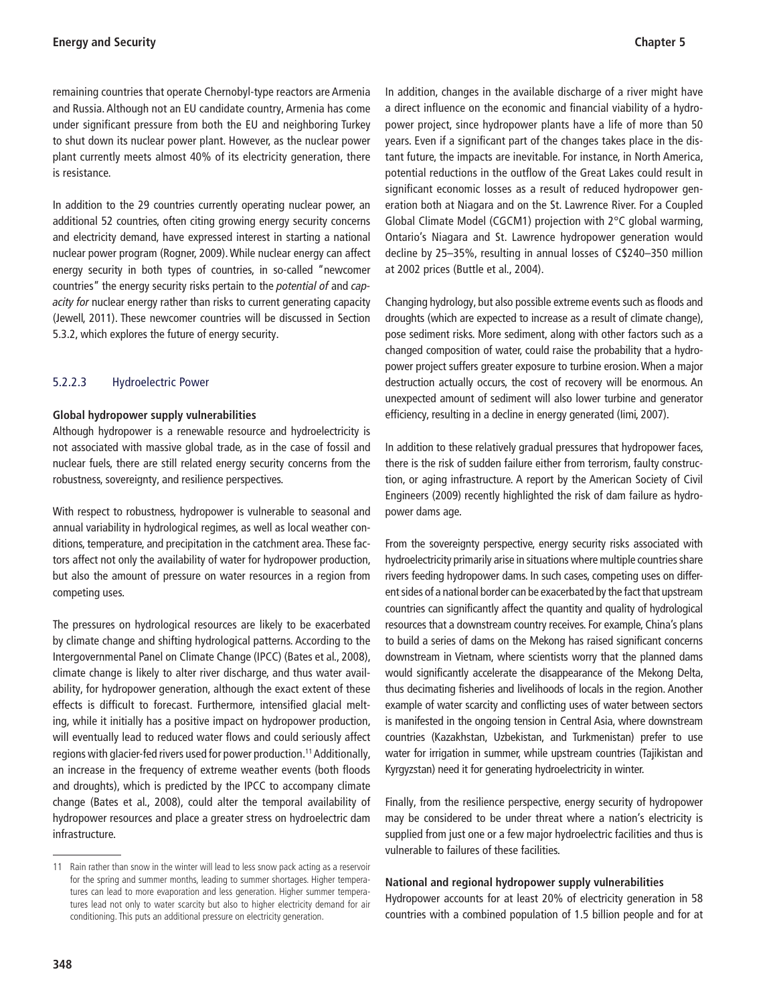remaining countries that operate Chernobyl-type reactors are Armenia and Russia. Although not an EU candidate country, Armenia has come under significant pressure from both the EU and neighboring Turkey to shut down its nuclear power plant. However, as the nuclear power plant currently meets almost 40% of its electricity generation, there is resistance.

 In addition to the 29 countries currently operating nuclear power, an additional 52 countries, often citing growing energy security concerns and electricity demand, have expressed interest in starting a national nuclear power program (Rogner, 2009). While nuclear energy can affect energy security in both types of countries, in so-called "newcomer countries" the energy security risks pertain to the potential of and capacity for nuclear energy rather than risks to current generating capacity (Jewell, 2011). These newcomer countries will be discussed in Section 5.3.2 , which explores the future of energy security.

#### 5.2.2.3 Hydroelectric Power

#### **Global hydropower supply vulnerabilities**

 Although hydropower is a renewable resource and hydroelectricity is not associated with massive global trade, as in the case of fossil and nuclear fuels, there are still related energy security concerns from the robustness, sovereignty, and resilience perspectives.

 With respect to robustness, hydropower is vulnerable to seasonal and annual variability in hydrological regimes, as well as local weather conditions, temperature, and precipitation in the catchment area. These factors affect not only the availability of water for hydropower production, but also the amount of pressure on water resources in a region from competing uses.

 The pressures on hydrological resources are likely to be exacerbated by climate change and shifting hydrological patterns. According to the Intergovernmental Panel on Climate Change (IPCC) (Bates et al., 2008), climate change is likely to alter river discharge, and thus water availability, for hydropower generation, although the exact extent of these effects is difficult to forecast. Furthermore, intensified glacial melting, while it initially has a positive impact on hydropower production, will eventually lead to reduced water flows and could seriously affect regions with glacier-fed rivers used for power production. 11 Additionally, an increase in the frequency of extreme weather events (both floods and droughts), which is predicted by the IPCC to accompany climate change (Bates et al., 2008), could alter the temporal availability of hydropower resources and place a greater stress on hydroelectric dam infrastructure.

 In addition, changes in the available discharge of a river might have a direct influence on the economic and financial viability of a hydropower project, since hydropower plants have a life of more than 50 years. Even if a significant part of the changes takes place in the distant future, the impacts are inevitable. For instance, in North America, potential reductions in the outflow of the Great Lakes could result in significant economic losses as a result of reduced hydropower generation both at Niagara and on the St. Lawrence River. For a Coupled Global Climate Model (CGCM1) projection with 2°C global warming, Ontario's Niagara and St. Lawrence hydropower generation would decline by 25–35%, resulting in annual losses of C\$240–350 million at 2002 prices (Buttle et al., 2004 ).

 Changing hydrology, but also possible extreme events such as floods and droughts (which are expected to increase as a result of climate change), pose sediment risks. More sediment, along with other factors such as a changed composition of water, could raise the probability that a hydropower project suffers greater exposure to turbine erosion. When a major destruction actually occurs, the cost of recovery will be enormous. An unexpected amount of sediment will also lower turbine and generator efficiency, resulting in a decline in energy generated (limi, 2007).

 In addition to these relatively gradual pressures that hydropower faces, there is the risk of sudden failure either from terrorism, faulty construction, or aging infrastructure. A report by the American Society of Civil Engineers (2009) recently highlighted the risk of dam failure as hydropower dams age.

 From the sovereignty perspective, energy security risks associated with hydroelectricity primarily arise in situations where multiple countries share rivers feeding hydropower dams. In such cases, competing uses on different sides of a national border can be exacerbated by the fact that upstream countries can significantly affect the quantity and quality of hydrological resources that a downstream country receives. For example, China's plans to build a series of dams on the Mekong has raised significant concerns downstream in Vietnam, where scientists worry that the planned dams would significantly accelerate the disappearance of the Mekong Delta, thus decimating fisheries and livelihoods of locals in the region. Another example of water scarcity and conflicting uses of water between sectors is manifested in the ongoing tension in Central Asia, where downstream countries (Kazakhstan, Uzbekistan, and Turkmenistan) prefer to use water for irrigation in summer, while upstream countries (Tajikistan and Kyrgyzstan) need it for generating hydroelectricity in winter.

 Finally, from the resilience perspective, energy security of hydropower may be considered to be under threat where a nation's electricity is supplied from just one or a few major hydroelectric facilities and thus is vulnerable to failures of these facilities.

#### **National and regional hydropower supply vulnerabilities**

 Hydropower accounts for at least 20% of electricity generation in 58 countries with a combined population of 1.5 billion people and for at

 <sup>11</sup> Rain rather than snow in the winter will lead to less snow pack acting as a reservoir for the spring and summer months, leading to summer shortages. Higher temperatures can lead to more evaporation and less generation. Higher summer temperatures lead not only to water scarcity but also to higher electricity demand for air conditioning. This puts an additional pressure on electricity generation.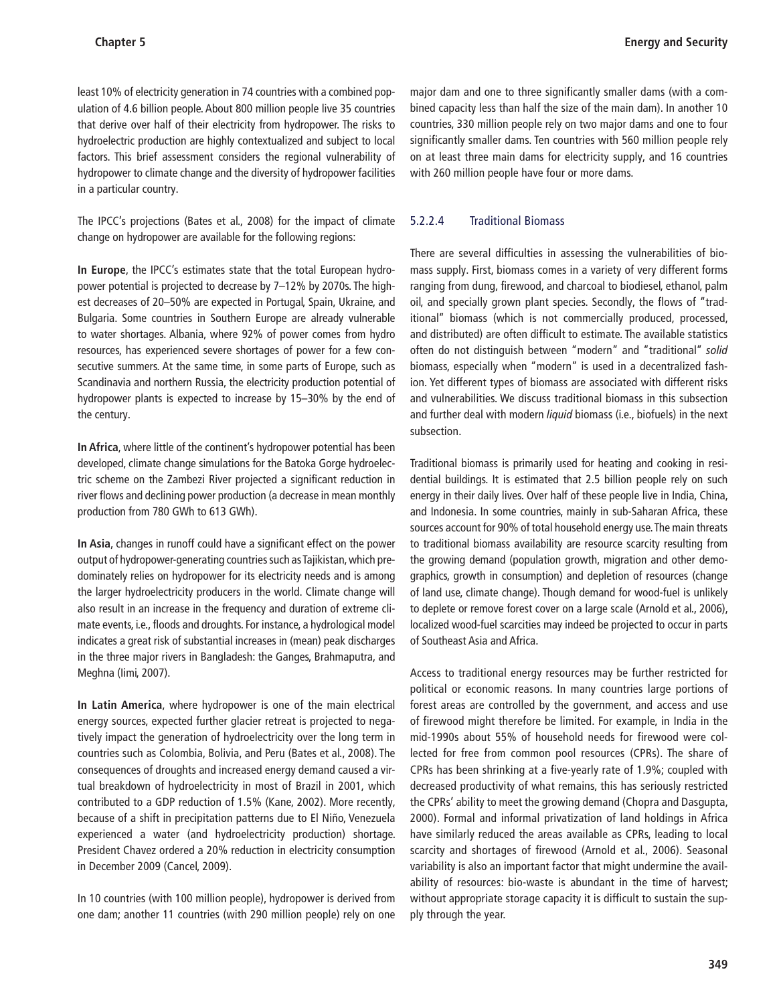least 10% of electricity generation in 74 countries with a combined population of 4.6 billion people. About 800 million people live 35 countries that derive over half of their electricity from hydropower. The risks to hydroelectric production are highly contextualized and subject to local factors. This brief assessment considers the regional vulnerability of hydropower to climate change and the diversity of hydropower facilities in a particular country.

The IPCC's projections (Bates et al., 2008) for the impact of climate change on hydropower are available for the following regions:

**In Europe**, the IPCC's estimates state that the total European hydropower potential is projected to decrease by 7–12% by 2070s. The highest decreases of 20–50% are expected in Portugal, Spain, Ukraine, and Bulgaria. Some countries in Southern Europe are already vulnerable to water shortages. Albania, where 92% of power comes from hydro resources, has experienced severe shortages of power for a few consecutive summers. At the same time, in some parts of Europe, such as Scandinavia and northern Russia, the electricity production potential of hydropower plants is expected to increase by 15–30% by the end of the century.

**In Africa** , where little of the continent's hydropower potential has been developed, climate change simulations for the Batoka Gorge hydroelectric scheme on the Zambezi River projected a significant reduction in river flows and declining power production (a decrease in mean monthly production from 780 GWh to 613 GWh).

**In Asia** , changes in runoff could have a significant effect on the power output of hydropower-generating countries such as Tajikistan, which predominately relies on hydropower for its electricity needs and is among the larger hydroelectricity producers in the world. Climate change will also result in an increase in the frequency and duration of extreme climate events, i.e., floods and droughts. For instance, a hydrological model indicates a great risk of substantial increases in (mean) peak discharges in the three major rivers in Bangladesh: the Ganges, Brahmaputra, and Meghna (limi, 2007).

In Latin America, where hydropower is one of the main electrical energy sources, expected further glacier retreat is projected to negatively impact the generation of hydroelectricity over the long term in countries such as Colombia, Bolivia, and Peru (Bates et al., 2008). The consequences of droughts and increased energy demand caused a virtual breakdown of hydroelectricity in most of Brazil in 2001, which contributed to a GDP reduction of 1.5% (Kane, 2002). More recently, because of a shift in precipitation patterns due to El Niño, Venezuela experienced a water (and hydroelectricity production) shortage. President Chavez ordered a 20% reduction in electricity consumption in December 2009 (Cancel, 2009).

 In 10 countries (with 100 million people), hydropower is derived from one dam; another 11 countries (with 290 million people) rely on one major dam and one to three significantly smaller dams (with a combined capacity less than half the size of the main dam). In another 10 countries, 330 million people rely on two major dams and one to four significantly smaller dams. Ten countries with 560 million people rely on at least three main dams for electricity supply, and 16 countries with 260 million people have four or more dams.

#### 5.2.2.4 Traditional Biomass

 There are several difficulties in assessing the vulnerabilities of biomass supply. First, biomass comes in a variety of very different forms ranging from dung, firewood, and charcoal to biodiesel, ethanol, palm oil, and specially grown plant species. Secondly, the flows of "traditional" biomass (which is not commercially produced, processed, and distributed) are often difficult to estimate. The available statistics often do not distinguish between "modern" and "traditional" solid biomass, especially when "modern" is used in a decentralized fashion. Yet different types of biomass are associated with different risks and vulnerabilities. We discuss traditional biomass in this subsection and further deal with modern *liquid* biomass (i.e., biofuels) in the next subsection.

 Traditional biomass is primarily used for heating and cooking in residential buildings. It is estimated that 2.5 billion people rely on such energy in their daily lives. Over half of these people live in India, China, and Indonesia. In some countries, mainly in sub-Saharan Africa, these sources account for 90% of total household energy use. The main threats to traditional biomass availability are resource scarcity resulting from the growing demand (population growth, migration and other demographics, growth in consumption) and depletion of resources (change of land use, climate change). Though demand for wood-fuel is unlikely to deplete or remove forest cover on a large scale (Arnold et al., 2006), localized wood-fuel scarcities may indeed be projected to occur in parts of Southeast Asia and Africa.

 Access to traditional energy resources may be further restricted for political or economic reasons. In many countries large portions of forest areas are controlled by the government, and access and use of firewood might therefore be limited. For example, in India in the mid-1990s about 55% of household needs for firewood were collected for free from common pool resources (CPRs). The share of CPRs has been shrinking at a five-yearly rate of 1.9%; coupled with decreased productivity of what remains, this has seriously restricted the CPRs' ability to meet the growing demand (Chopra and Dasgupta, 2000). Formal and informal privatization of land holdings in Africa have similarly reduced the areas available as CPRs, leading to local scarcity and shortages of firewood (Arnold et al., 2006). Seasonal variability is also an important factor that might undermine the availability of resources: bio-waste is abundant in the time of harvest; without appropriate storage capacity it is difficult to sustain the supply through the year.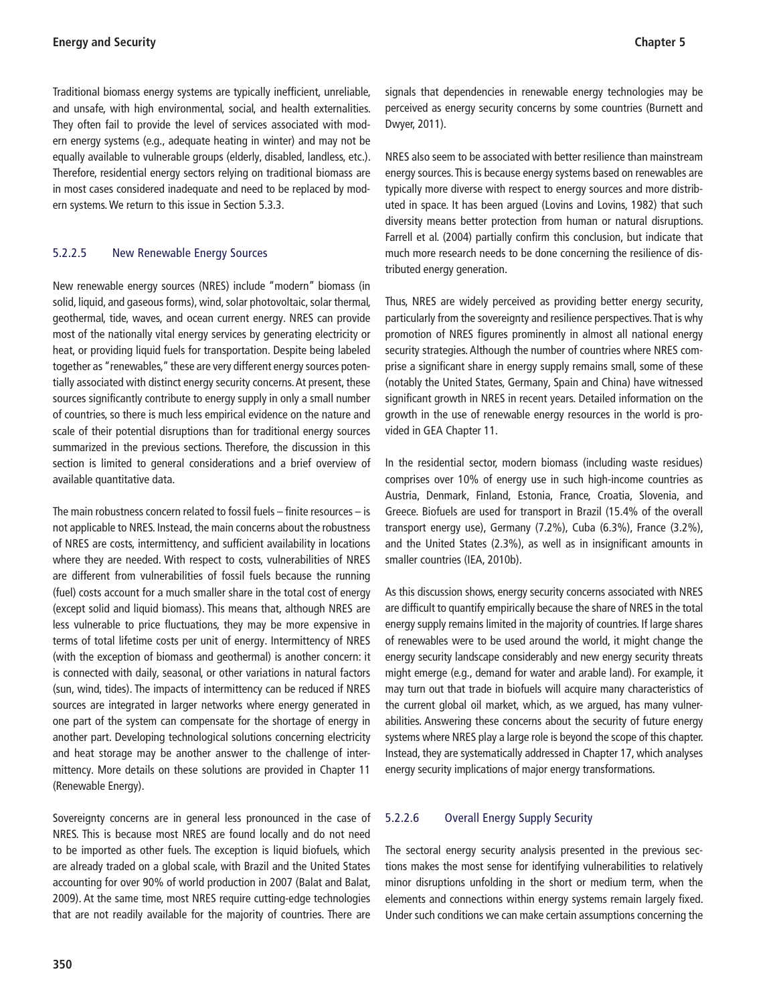Traditional biomass energy systems are typically inefficient, unreliable, and unsafe, with high environmental, social, and health externalities. They often fail to provide the level of services associated with modern energy systems (e.g., adequate heating in winter) and may not be equally available to vulnerable groups (elderly, disabled, landless, etc.). Therefore, residential energy sectors relying on traditional biomass are in most cases considered inadequate and need to be replaced by modern systems. We return to this issue in Section 5.3.3 .

#### 5.2.2.5 New Renewable Energy Sources

 New renewable energy sources (NRES) include "modern" biomass (in solid, liquid, and gaseous forms), wind, solar photovoltaic, solar thermal, geothermal, tide, waves, and ocean current energy. NRES can provide most of the nationally vital energy services by generating electricity or heat, or providing liquid fuels for transportation. Despite being labeled together as "renewables," these are very different energy sources potentially associated with distinct energy security concerns. At present, these sources significantly contribute to energy supply in only a small number of countries, so there is much less empirical evidence on the nature and scale of their potential disruptions than for traditional energy sources summarized in the previous sections. Therefore, the discussion in this section is limited to general considerations and a brief overview of available quantitative data.

 The main robustness concern related to fossil fuels – finite resources – is not applicable to NRES. Instead, the main concerns about the robustness of NRES are costs, intermittency, and sufficient availability in locations where they are needed. With respect to costs, vulnerabilities of NRES are different from vulnerabilities of fossil fuels because the running (fuel) costs account for a much smaller share in the total cost of energy (except solid and liquid biomass). This means that, although NRES are less vulnerable to price fluctuations, they may be more expensive in terms of total lifetime costs per unit of energy. Intermittency of NRES (with the exception of biomass and geothermal) is another concern: it is connected with daily, seasonal, or other variations in natural factors (sun, wind, tides). The impacts of intermittency can be reduced if NRES sources are integrated in larger networks where energy generated in one part of the system can compensate for the shortage of energy in another part. Developing technological solutions concerning electricity and heat storage may be another answer to the challenge of intermittency. More details on these solutions are provided in Chapter 11 (Renewable Energy).

 Sovereignty concerns are in general less pronounced in the case of NRES. This is because most NRES are found locally and do not need to be imported as other fuels. The exception is liquid biofuels, which are already traded on a global scale, with Brazil and the United States accounting for over 90% of world production in 2007 (Balat and Balat, 2009). At the same time, most NRES require cutting-edge technologies that are not readily available for the majority of countries. There are

 NRES also seem to be associated with better resilience than mainstream energy sources. This is because energy systems based on renewables are typically more diverse with respect to energy sources and more distributed in space. It has been argued (Lovins and Lovins, 1982) that such diversity means better protection from human or natural disruptions. Farrell et al. (2004) partially confirm this conclusion, but indicate that much more research needs to be done concerning the resilience of distributed energy generation.

 Thus, NRES are widely perceived as providing better energy security, particularly from the sovereignty and resilience perspectives. That is why promotion of NRES figures prominently in almost all national energy security strategies. Although the number of countries where NRES comprise a significant share in energy supply remains small, some of these (notably the United States, Germany, Spain and China) have witnessed significant growth in NRES in recent years. Detailed information on the growth in the use of renewable energy resources in the world is provided in GEA Chapter 11.

 In the residential sector, modern biomass (including waste residues) comprises over 10% of energy use in such high-income countries as Austria, Denmark, Finland, Estonia, France, Croatia, Slovenia, and Greece. Biofuels are used for transport in Brazil (15.4% of the overall transport energy use), Germany (7.2%), Cuba (6.3%), France (3.2%), and the United States (2.3%), as well as in insignificant amounts in smaller countries (IEA, 2010b).

 As this discussion shows, energy security concerns associated with NRES are difficult to quantify empirically because the share of NRES in the total energy supply remains limited in the majority of countries. If large shares of renewables were to be used around the world, it might change the energy security landscape considerably and new energy security threats might emerge (e.g., demand for water and arable land). For example, it may turn out that trade in biofuels will acquire many characteristics of the current global oil market, which, as we argued, has many vulnerabilities. Answering these concerns about the security of future energy systems where NRES play a large role is beyond the scope of this chapter. Instead, they are systematically addressed in Chapter 17 , which analyses energy security implications of major energy transformations.

#### 5.2.2.6 Overall Energy Supply Security

 The sectoral energy security analysis presented in the previous sections makes the most sense for identifying vulnerabilities to relatively minor disruptions unfolding in the short or medium term, when the elements and connections within energy systems remain largely fixed. Under such conditions we can make certain assumptions concerning the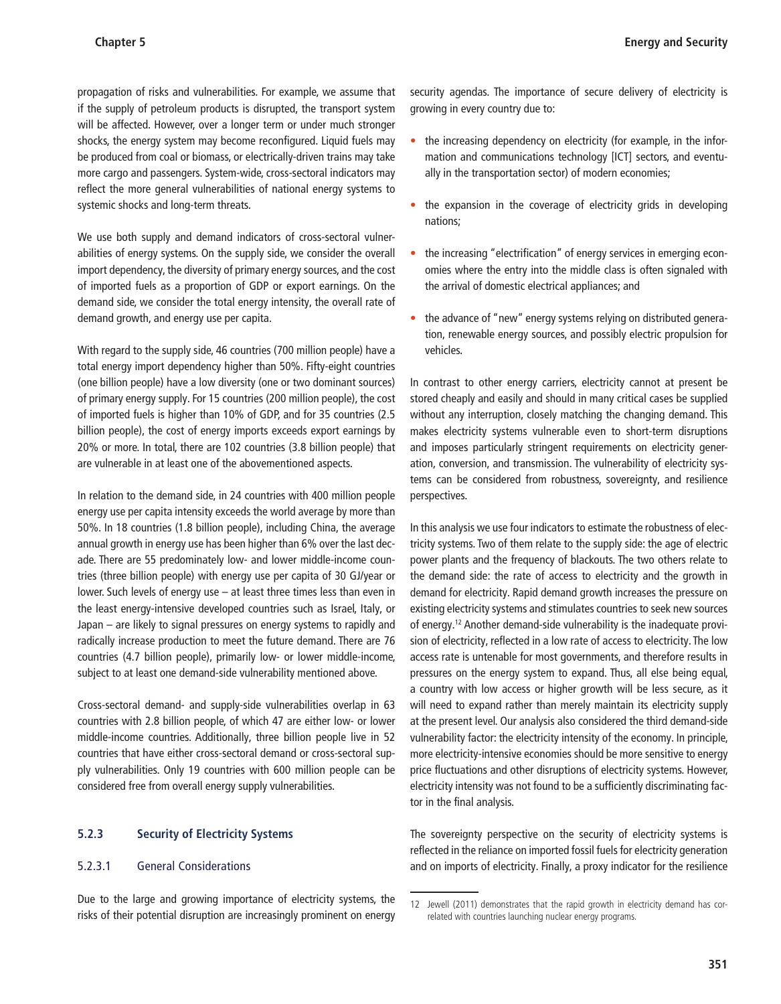propagation of risks and vulnerabilities. For example, we assume that if the supply of petroleum products is disrupted, the transport system will be affected. However, over a longer term or under much stronger shocks, the energy system may become reconfigured. Liquid fuels may be produced from coal or biomass, or electrically-driven trains may take more cargo and passengers. System-wide, cross-sectoral indicators may reflect the more general vulnerabilities of national energy systems to systemic shocks and long-term threats.

 We use both supply and demand indicators of cross-sectoral vulnerabilities of energy systems. On the supply side, we consider the overall import dependency, the diversity of primary energy sources, and the cost of imported fuels as a proportion of GDP or export earnings. On the demand side, we consider the total energy intensity, the overall rate of demand growth, and energy use per capita.

 With regard to the supply side, 46 countries (700 million people) have a total energy import dependency higher than 50%. Fifty-eight countries (one billion people) have a low diversity (one or two dominant sources) of primary energy supply. For 15 countries (200 million people), the cost of imported fuels is higher than 10% of GDP, and for 35 countries (2.5 billion people), the cost of energy imports exceeds export earnings by 20% or more. In total, there are 102 countries (3.8 billion people) that are vulnerable in at least one of the abovementioned aspects.

 In relation to the demand side, in 24 countries with 400 million people energy use per capita intensity exceeds the world average by more than 50%. In 18 countries (1.8 billion people), including China, the average annual growth in energy use has been higher than 6% over the last decade. There are 55 predominately low- and lower middle-income countries (three billion people) with energy use per capita of 30 GJ/year or lower. Such levels of energy use – at least three times less than even in the least energy-intensive developed countries such as Israel, Italy, or Japan – are likely to signal pressures on energy systems to rapidly and radically increase production to meet the future demand. There are 76 countries (4.7 billion people), primarily low- or lower middle-income, subject to at least one demand-side vulnerability mentioned above.

 Cross-sectoral demand- and supply-side vulnerabilities overlap in 63 countries with 2.8 billion people, of which 47 are either low- or lower middle-income countries. Additionally, three billion people live in 52 countries that have either cross-sectoral demand or cross-sectoral supply vulnerabilities. Only 19 countries with 600 million people can be considered free from overall energy supply vulnerabilities.

#### **5.2.3 Security of Electricity Systems**

#### 5.2.3.1 General Considerations

 Due to the large and growing importance of electricity systems, the risks of their potential disruption are increasingly prominent on energy security agendas. The importance of secure delivery of electricity is growing in every country due to:

- the increasing dependency on electricity (for example, in the information and communications technology [ICT] sectors, and eventually in the transportation sector) of modern economies;
- the expansion in the coverage of electricity grids in developing nations;
- the increasing "electrification" of energy services in emerging economies where the entry into the middle class is often signaled with the arrival of domestic electrical appliances; and
- the advance of "new" energy systems relying on distributed generation, renewable energy sources, and possibly electric propulsion for vehicles.

 In contrast to other energy carriers, electricity cannot at present be stored cheaply and easily and should in many critical cases be supplied without any interruption, closely matching the changing demand. This makes electricity systems vulnerable even to short-term disruptions and imposes particularly stringent requirements on electricity generation, conversion, and transmission. The vulnerability of electricity systems can be considered from robustness, sovereignty, and resilience perspectives.

 In this analysis we use four indicators to estimate the robustness of electricity systems. Two of them relate to the supply side: the age of electric power plants and the frequency of blackouts. The two others relate to the demand side: the rate of access to electricity and the growth in demand for electricity. Rapid demand growth increases the pressure on existing electricity systems and stimulates countries to seek new sources of energy. 12 Another demand-side vulnerability is the inadequate provision of electricity, reflected in a low rate of access to electricity. The low access rate is untenable for most governments, and therefore results in pressures on the energy system to expand. Thus, all else being equal, a country with low access or higher growth will be less secure, as it will need to expand rather than merely maintain its electricity supply at the present level. Our analysis also considered the third demand-side vulnerability factor: the electricity intensity of the economy. In principle, more electricity-intensive economies should be more sensitive to energy price fluctuations and other disruptions of electricity systems. However, electricity intensity was not found to be a sufficiently discriminating factor in the final analysis.

 The sovereignty perspective on the security of electricity systems is reflected in the reliance on imported fossil fuels for electricity generation and on imports of electricity. Finally, a proxy indicator for the resilience

<sup>12</sup> Jewell (2011) demonstrates that the rapid growth in electricity demand has correlated with countries launching nuclear energy programs.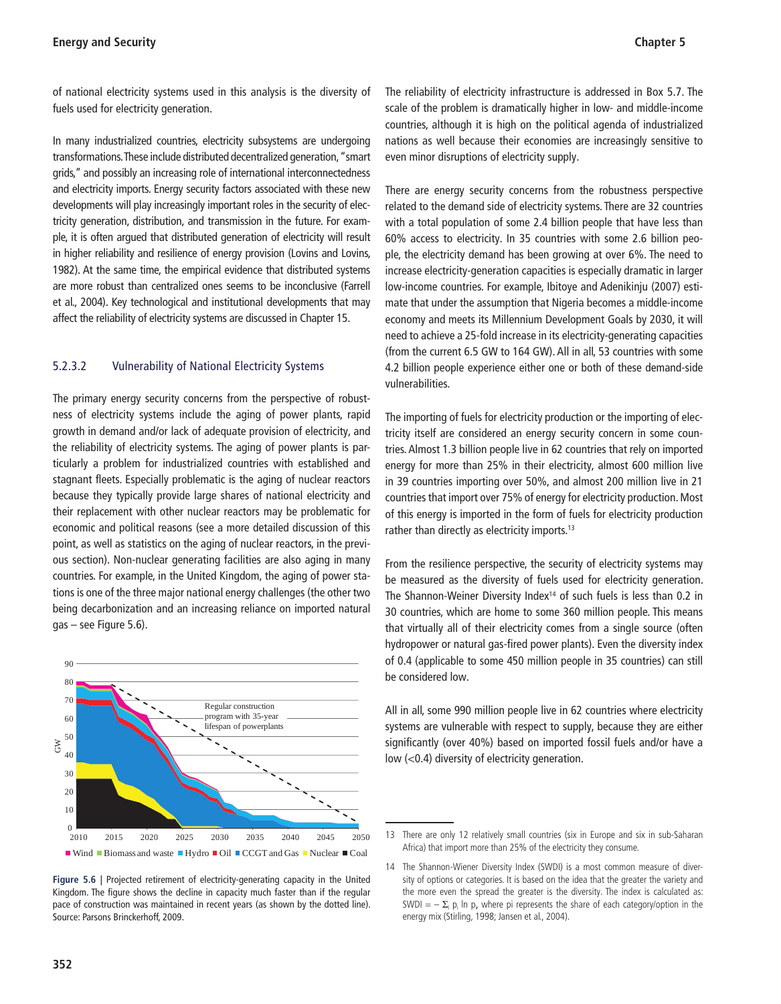of national electricity systems used in this analysis is the diversity of fuels used for electricity generation.

 In many industrialized countries, electricity subsystems are undergoing transformations. These include distributed decentralized generation, "smart grids," and possibly an increasing role of international interconnectedness and electricity imports. Energy security factors associated with these new developments will play increasingly important roles in the security of electricity generation, distribution, and transmission in the future. For example, it is often argued that distributed generation of electricity will result in higher reliability and resilience of energy provision (Lovins and Lovins, 1982). At the same time, the empirical evidence that distributed systems are more robust than centralized ones seems to be inconclusive (Farrell et al., 2004). Key technological and institutional developments that may affect the reliability of electricity systems are discussed in Chapter 15 .

#### 5.2.3.2 Vulnerability of National Electricity Systems

 The primary energy security concerns from the perspective of robustness of electricity systems include the aging of power plants, rapid growth in demand and/or lack of adequate provision of electricity, and the reliability of electricity systems. The aging of power plants is particularly a problem for industrialized countries with established and stagnant fleets. Especially problematic is the aging of nuclear reactors because they typically provide large shares of national electricity and their replacement with other nuclear reactors may be problematic for economic and political reasons (see a more detailed discussion of this point, as well as statistics on the aging of nuclear reactors, in the previous section). Non-nuclear generating facilities are also aging in many countries. For example, in the United Kingdom, the aging of power stations is one of the three major national energy challenges (the other two being decarbonization and an increasing reliance on imported natural gas  $-$  see Figure 5.6).



 13 There are only 12 relatively small countries (six in Europe and six in sub-Saharan Africa) that import more than 25% of the electricity they consume.

**Figure 5.6 |** Projected retirement of electricity-generating capacity in the United Kingdom. The figure shows the decline in capacity much faster than if the regular pace of construction was maintained in recent years (as shown by the dotted line). Source: Parsons Brinckerhoff, 2009.

 The reliability of electricity infrastructure is addressed in Box 5.7 . The scale of the problem is dramatically higher in low- and middle-income countries, although it is high on the political agenda of industrialized nations as well because their economies are increasingly sensitive to even minor disruptions of electricity supply.

 There are energy security concerns from the robustness perspective related to the demand side of electricity systems. There are 32 countries with a total population of some 2.4 billion people that have less than 60% access to electricity. In 35 countries with some 2.6 billion people, the electricity demand has been growing at over 6%. The need to increase electricity-generation capacities is especially dramatic in larger low-income countries. For example, Ibitoye and Adenikinju (2007) estimate that under the assumption that Nigeria becomes a middle-income economy and meets its Millennium Development Goals by 2030, it will need to achieve a 25-fold increase in its electricity-generating capacities (from the current 6.5 GW to 164 GW). All in all, 53 countries with some 4.2 billion people experience either one or both of these demand-side vulnerabilities.

 The importing of fuels for electricity production or the importing of electricity itself are considered an energy security concern in some countries. Almost 1.3 billion people live in 62 countries that rely on imported energy for more than 25% in their electricity, almost 600 million live in 39 countries importing over 50%, and almost 200 million live in 21 countries that import over 75% of energy for electricity production. Most of this energy is imported in the form of fuels for electricity production rather than directly as electricity imports.<sup>13</sup>

 From the resilience perspective, the security of electricity systems may be measured as the diversity of fuels used for electricity generation. The Shannon-Weiner Diversity Index<sup>14</sup> of such fuels is less than 0.2 in 30 countries, which are home to some 360 million people. This means that virtually all of their electricity comes from a single source (often hydropower or natural gas-fired power plants). Even the diversity index of 0.4 (applicable to some 450 million people in 35 countries) can still be considered low.

 All in all, some 990 million people live in 62 countries where electricity systems are vulnerable with respect to supply, because they are either significantly (over 40%) based on imported fossil fuels and/or have a low (<0.4) diversity of electricity generation.

 <sup>14</sup> The Shannon-Wiener Diversity Index (SWDI) is a most common measure of diversity of options or categories. It is based on the idea that the greater the variety and the more even the spread the greater is the diversity. The index is calculated as: SWDI =  $-\Sigma_i$ ,  $p_i$  ln  $p_i$ , where pi represents the share of each category/option in the energy mix (Stirling, 1998; Jansen et al., 2004).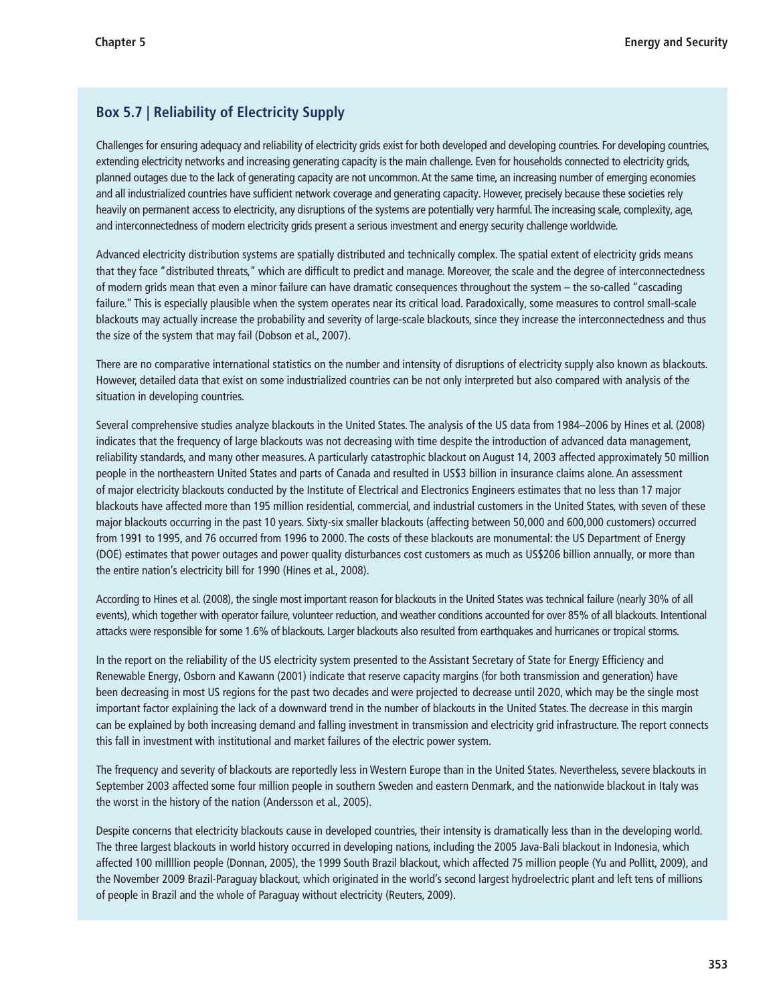## **Box 5.7 | Reliability of Electricity Supply**

 Challenges for ensuring adequacy and reliability of electricity grids exist for both developed and developing countries. For developing countries, extending electricity networks and increasing generating capacity is the main challenge. Even for households connected to electricity grids, planned outages due to the lack of generating capacity are not uncommon. At the same time, an increasing number of emerging economies and all industrialized countries have sufficient network coverage and generating capacity. However, precisely because these societies rely heavily on permanent access to electricity, any disruptions of the systems are potentially very harmful. The increasing scale, complexity, age, and interconnectedness of modern electricity grids present a serious investment and energy security challenge worldwide.

 Advanced electricity distribution systems are spatially distributed and technically complex. The spatial extent of electricity grids means that they face "distributed threats," which are difficult to predict and manage. Moreover, the scale and the degree of interconnectedness of modern grids mean that even a minor failure can have dramatic consequences throughout the system – the so-called "cascading failure." This is especially plausible when the system operates near its critical load. Paradoxically, some measures to control small-scale blackouts may actually increase the probability and severity of large-scale blackouts, since they increase the interconnectedness and thus the size of the system that may fail (Dobson et al., 2007).

 There are no comparative international statistics on the number and intensity of disruptions of electricity supply also known as blackouts. However, detailed data that exist on some industrialized countries can be not only interpreted but also compared with analysis of the situation in developing countries.

Several comprehensive studies analyze blackouts in the United States. The analysis of the US data from 1984–2006 by Hines et al. (2008) indicates that the frequency of large blackouts was not decreasing with time despite the introduction of advanced data management, reliability standards, and many other measures. A particularly catastrophic blackout on August 14, 2003 affected approximately 50 million people in the northeastern United States and parts of Canada and resulted in US\$3 billion in insurance claims alone. An assessment of major electricity blackouts conducted by the Institute of Electrical and Electronics Engineers estimates that no less than 17 major blackouts have affected more than 195 million residential, commercial, and industrial customers in the United States, with seven of these major blackouts occurring in the past 10 years. Sixty-six smaller blackouts (affecting between 50,000 and 600,000 customers) occurred from 1991 to 1995, and 76 occurred from 1996 to 2000. The costs of these blackouts are monumental: the US Department of Energy (DOE) estimates that power outages and power quality disturbances cost customers as much as US\$206 billion annually, or more than the entire nation's electricity bill for 1990 (Hines et al., 2008).

According to Hines et al. (2008), the single most important reason for blackouts in the United States was technical failure (nearly 30% of all events), which together with operator failure, volunteer reduction, and weather conditions accounted for over 85% of all blackouts. Intentional attacks were responsible for some 1.6% of blackouts. Larger blackouts also resulted from earthquakes and hurricanes or tropical storms.

In the report on the reliability of the US electricity system presented to the Assistant Secretary of State for Energy Efficiency and Renewable Energy, Osborn and Kawann (2001) indicate that reserve capacity margins (for both transmission and generation) have been decreasing in most US regions for the past two decades and were projected to decrease until 2020, which may be the single most important factor explaining the lack of a downward trend in the number of blackouts in the United States. The decrease in this margin can be explained by both increasing demand and falling investment in transmission and electricity grid infrastructure. The report connects this fall in investment with institutional and market failures of the electric power system.

 The frequency and severity of blackouts are reportedly less in Western Europe than in the United States. Nevertheless, severe blackouts in September 2003 affected some four million people in southern Sweden and eastern Denmark, and the nationwide blackout in Italy was the worst in the history of the nation (Andersson et al., 2005 ).

 Despite concerns that electricity blackouts cause in developed countries, their intensity is dramatically less than in the developing world. The three largest blackouts in world history occurred in developing nations, including the 2005 Java-Bali blackout in Indonesia, which affected 100 milllion people (Donnan, 2005), the 1999 South Brazil blackout, which affected 75 million people (Yu and Pollitt, 2009), and the November 2009 Brazil-Paraguay blackout, which originated in the world's second largest hydroelectric plant and left tens of millions of people in Brazil and the whole of Paraguay without electricity (Reuters, 2009 ).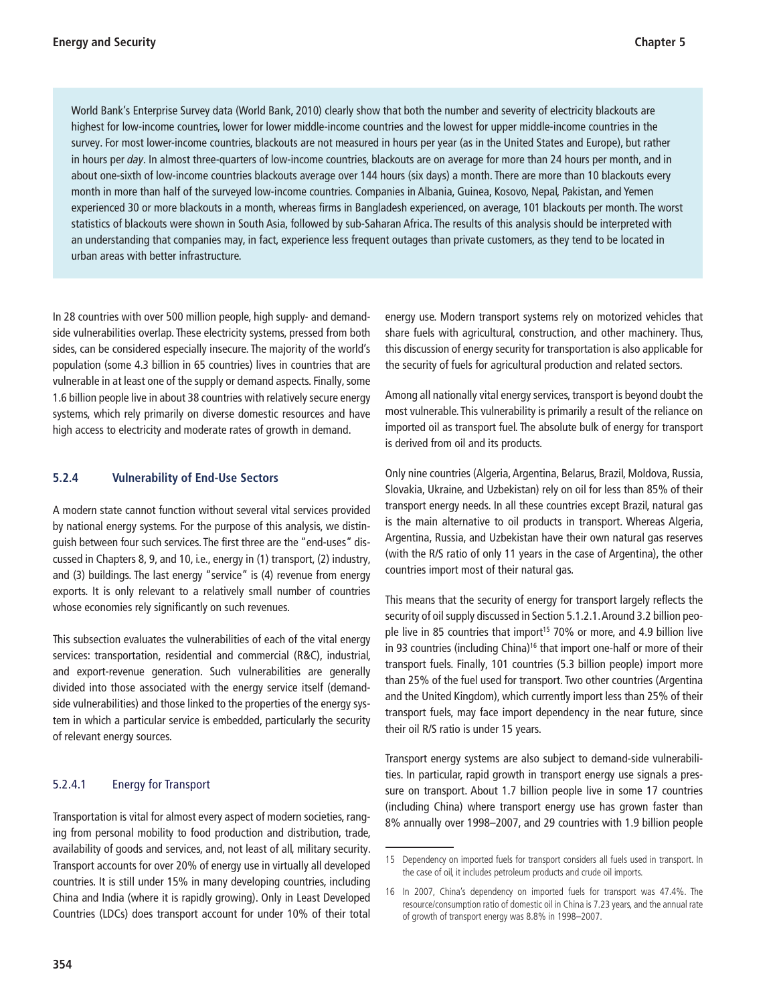World Bank's Enterprise Survey data (World Bank, 2010 ) clearly show that both the number and severity of electricity blackouts are highest for low-income countries, lower for lower middle-income countries and the lowest for upper middle-income countries in the survey. For most lower-income countries, blackouts are not measured in hours per year (as in the United States and Europe), but rather in hours per day. In almost three-quarters of low-income countries, blackouts are on average for more than 24 hours per month, and in about one-sixth of low-income countries blackouts average over 144 hours (six days) a month. There are more than 10 blackouts every month in more than half of the surveyed low-income countries. Companies in Albania, Guinea, Kosovo, Nepal, Pakistan, and Yemen experienced 30 or more blackouts in a month, whereas firms in Bangladesh experienced, on average, 101 blackouts per month. The worst statistics of blackouts were shown in South Asia, followed by sub-Saharan Africa. The results of this analysis should be interpreted with an understanding that companies may, in fact, experience less frequent outages than private customers, as they tend to be located in urban areas with better infrastructure.

 In 28 countries with over 500 million people, high supply- and demandside vulnerabilities overlap. These electricity systems, pressed from both sides, can be considered especially insecure. The majority of the world's population (some 4.3 billion in 65 countries) lives in countries that are vulnerable in at least one of the supply or demand aspects. Finally, some 1.6 billion people live in about 38 countries with relatively secure energy systems, which rely primarily on diverse domestic resources and have high access to electricity and moderate rates of growth in demand.

#### **5.2.4 Vulnerability of End-Use Sectors**

 A modern state cannot function without several vital services provided by national energy systems. For the purpose of this analysis, we distinguish between four such services. The first three are the "end-uses" discussed in Chapters 8, 9, and 10, i.e., energy in (1) transport, (2) industry, and (3) buildings. The last energy "service" is (4) revenue from energy exports. It is only relevant to a relatively small number of countries whose economies rely significantly on such revenues.

 This subsection evaluates the vulnerabilities of each of the vital energy services: transportation, residential and commercial (R&C), industrial, and export-revenue generation. Such vulnerabilities are generally divided into those associated with the energy service itself (demandside vulnerabilities) and those linked to the properties of the energy system in which a particular service is embedded, particularly the security of relevant energy sources.

#### 5.2.4.1 Energy for Transport

 Transportation is vital for almost every aspect of modern societies, ranging from personal mobility to food production and distribution, trade, availability of goods and services, and, not least of all, military security. Transport accounts for over 20% of energy use in virtually all developed countries. It is still under 15% in many developing countries, including China and India (where it is rapidly growing). Only in Least Developed Countries (LDCs) does transport account for under 10% of their total

energy use. Modern transport systems rely on motorized vehicles that share fuels with agricultural, construction, and other machinery. Thus, this discussion of energy security for transportation is also applicable for the security of fuels for agricultural production and related sectors.

 Among all nationally vital energy services, transport is beyond doubt the most vulnerable. This vulnerability is primarily a result of the reliance on imported oil as transport fuel. The absolute bulk of energy for transport is derived from oil and its products.

 Only nine countries (Algeria, Argentina, Belarus, Brazil, Moldova, Russia, Slovakia, Ukraine, and Uzbekistan) rely on oil for less than 85% of their transport energy needs. In all these countries except Brazil, natural gas is the main alternative to oil products in transport. Whereas Algeria, Argentina, Russia, and Uzbekistan have their own natural gas reserves (with the R/S ratio of only 11 years in the case of Argentina), the other countries import most of their natural gas.

 This means that the security of energy for transport largely reflects the security of oil supply discussed in Section 5.1.2.1. Around 3.2 billion people live in 85 countries that import<sup>15</sup> 70% or more, and 4.9 billion live in 93 countries (including China)<sup>16</sup> that import one-half or more of their transport fuels. Finally, 101 countries (5.3 billion people) import more than 25% of the fuel used for transport. Two other countries (Argentina and the United Kingdom), which currently import less than 25% of their transport fuels, may face import dependency in the near future, since their oil R/S ratio is under 15 years.

 Transport energy systems are also subject to demand-side vulnerabilities. In particular, rapid growth in transport energy use signals a pressure on transport. About 1.7 billion people live in some 17 countries (including China) where transport energy use has grown faster than 8% annually over 1998–2007, and 29 countries with 1.9 billion people

 <sup>15</sup> Dependency on imported fuels for transport considers all fuels used in transport. In the case of oil, it includes petroleum products and crude oil imports.

 <sup>16</sup> In 2007, China's dependency on imported fuels for transport was 47.4%. The resource/consumption ratio of domestic oil in China is 7.23 years, and the annual rate of growth of transport energy was 8.8% in 1998–2007.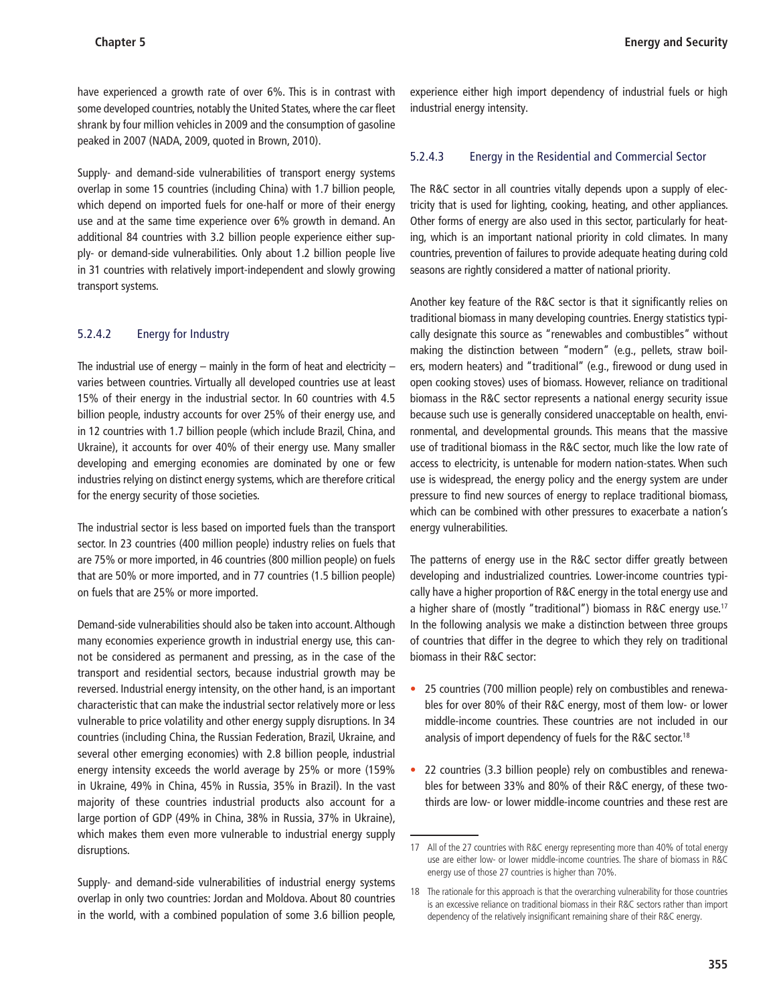have experienced a growth rate of over 6%. This is in contrast with some developed countries, notably the United States, where the car fleet shrank by four million vehicles in 2009 and the consumption of gasoline peaked in 2007 (NADA, 2009, quoted in Brown, 2010).

 Supply- and demand-side vulnerabilities of transport energy systems overlap in some 15 countries (including China) with 1.7 billion people, which depend on imported fuels for one-half or more of their energy use and at the same time experience over 6% growth in demand. An additional 84 countries with 3.2 billion people experience either supply- or demand-side vulnerabilities. Only about 1.2 billion people live in 31 countries with relatively import-independent and slowly growing transport systems.

#### 5.2.4.2 Energy for Industry

 The industrial use of energy – mainly in the form of heat and electricity – varies between countries. Virtually all developed countries use at least 15% of their energy in the industrial sector. In 60 countries with 4.5 billion people, industry accounts for over 25% of their energy use, and in 12 countries with 1.7 billion people (which include Brazil, China, and Ukraine), it accounts for over 40% of their energy use. Many smaller developing and emerging economies are dominated by one or few industries relying on distinct energy systems, which are therefore critical for the energy security of those societies.

 The industrial sector is less based on imported fuels than the transport sector. In 23 countries (400 million people) industry relies on fuels that are 75% or more imported, in 46 countries (800 million people) on fuels that are 50% or more imported, and in 77 countries (1.5 billion people) on fuels that are 25% or more imported.

 Demand-side vulnerabilities should also be taken into account. Although many economies experience growth in industrial energy use, this cannot be considered as permanent and pressing, as in the case of the transport and residential sectors, because industrial growth may be reversed. Industrial energy intensity, on the other hand, is an important characteristic that can make the industrial sector relatively more or less vulnerable to price volatility and other energy supply disruptions. In 34 countries (including China, the Russian Federation, Brazil, Ukraine, and several other emerging economies) with 2.8 billion people, industrial energy intensity exceeds the world average by 25% or more (159% in Ukraine, 49% in China, 45% in Russia, 35% in Brazil). In the vast majority of these countries industrial products also account for a large portion of GDP (49% in China, 38% in Russia, 37% in Ukraine), which makes them even more vulnerable to industrial energy supply disruptions.

 Supply- and demand-side vulnerabilities of industrial energy systems overlap in only two countries: Jordan and Moldova. About 80 countries in the world, with a combined population of some 3.6 billion people,

experience either high import dependency of industrial fuels or high industrial energy intensity.

#### 5.2.4.3 Energy in the Residential and Commercial Sector

 The R&C sector in all countries vitally depends upon a supply of electricity that is used for lighting, cooking, heating, and other appliances. Other forms of energy are also used in this sector, particularly for heating, which is an important national priority in cold climates. In many countries, prevention of failures to provide adequate heating during cold seasons are rightly considered a matter of national priority.

 Another key feature of the R&C sector is that it significantly relies on traditional biomass in many developing countries. Energy statistics typically designate this source as "renewables and combustibles" without making the distinction between "modern" (e.g., pellets, straw boilers, modern heaters) and "traditional" (e.g., firewood or dung used in open cooking stoves) uses of biomass. However, reliance on traditional biomass in the R&C sector represents a national energy security issue because such use is generally considered unacceptable on health, environmental, and developmental grounds. This means that the massive use of traditional biomass in the R&C sector, much like the low rate of access to electricity, is untenable for modern nation-states. When such use is widespread, the energy policy and the energy system are under pressure to find new sources of energy to replace traditional biomass, which can be combined with other pressures to exacerbate a nation's energy vulnerabilities.

 The patterns of energy use in the R&C sector differ greatly between developing and industrialized countries. Lower-income countries typically have a higher proportion of R&C energy in the total energy use and a higher share of (mostly "traditional") biomass in R&C energy use. 17 In the following analysis we make a distinction between three groups of countries that differ in the degree to which they rely on traditional biomass in their R&C sector:

- 25 countries (700 million people) rely on combustibles and renewables for over 80% of their R&C energy, most of them low- or lower middle-income countries. These countries are not included in our analysis of import dependency of fuels for the R&C sector. 18
- 22 countries (3.3 billion people) rely on combustibles and renewables for between 33% and 80% of their R&C energy, of these twothirds are low- or lower middle-income countries and these rest are

 <sup>17</sup> All of the 27 countries with R&C energy representing more than 40% of total energy use are either low- or lower middle-income countries. The share of biomass in R&C energy use of those 27 countries is higher than 70%.

 <sup>18</sup> The rationale for this approach is that the overarching vulnerability for those countries is an excessive reliance on traditional biomass in their R&C sectors rather than import dependency of the relatively insignificant remaining share of their R&C energy.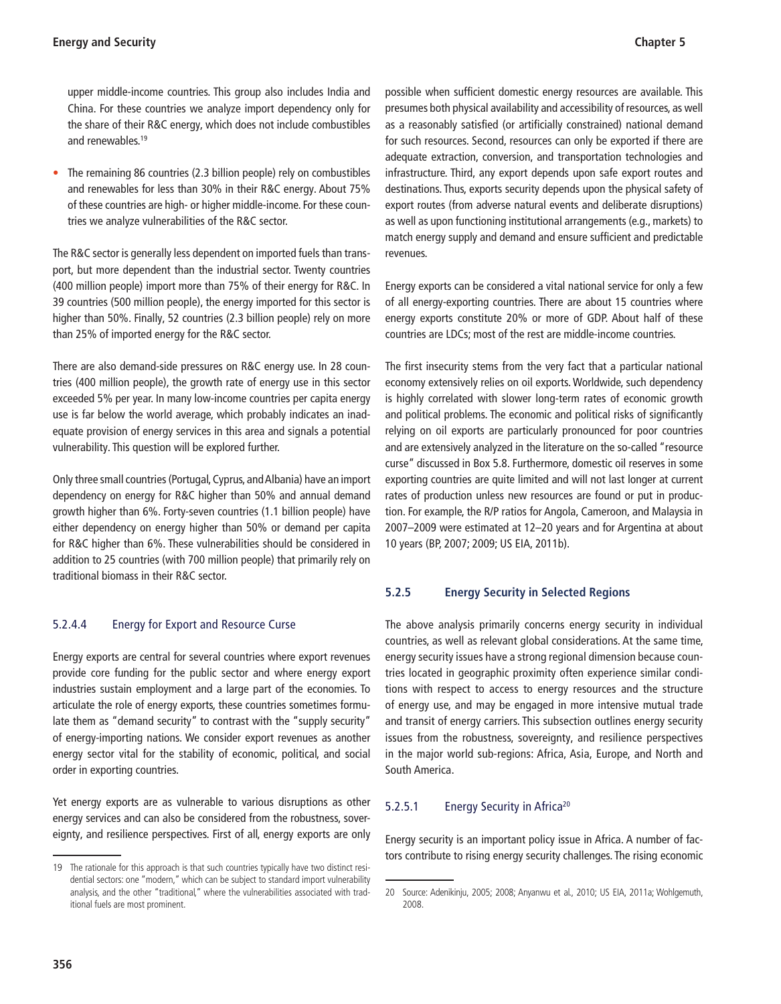upper middle-income countries. This group also includes India and China. For these countries we analyze import dependency only for the share of their R&C energy, which does not include combustibles and renewables.<sup>19</sup>

• The remaining 86 countries (2.3 billion people) rely on combustibles and renewables for less than 30% in their R&C energy. About 75% of these countries are high- or higher middle-income. For these countries we analyze vulnerabilities of the R&C sector.

 The R&C sector is generally less dependent on imported fuels than transport, but more dependent than the industrial sector. Twenty countries (400 million people) import more than 75% of their energy for R&C. In 39 countries (500 million people), the energy imported for this sector is higher than 50%. Finally, 52 countries (2.3 billion people) rely on more than 25% of imported energy for the R&C sector.

 There are also demand-side pressures on R&C energy use. In 28 countries (400 million people), the growth rate of energy use in this sector exceeded 5% per year. In many low-income countries per capita energy use is far below the world average, which probably indicates an inadequate provision of energy services in this area and signals a potential vulnerability. This question will be explored further.

 Only three small countries (Portugal, Cyprus, and Albania) have an import dependency on energy for R&C higher than 50% and annual demand growth higher than 6%. Forty-seven countries (1.1 billion people) have either dependency on energy higher than 50% or demand per capita for R&C higher than 6%. These vulnerabilities should be considered in addition to 25 countries (with 700 million people) that primarily rely on traditional biomass in their R&C sector.

#### 5.2.4.4 Energy for Export and Resource Curse

 Energy exports are central for several countries where export revenues provide core funding for the public sector and where energy export industries sustain employment and a large part of the economies. To articulate the role of energy exports, these countries sometimes formulate them as "demand security" to contrast with the "supply security" of energy-importing nations. We consider export revenues as another energy sector vital for the stability of economic, political, and social order in exporting countries.

 Yet energy exports are as vulnerable to various disruptions as other energy services and can also be considered from the robustness, sovereignty, and resilience perspectives. First of all, energy exports are only possible when sufficient domestic energy resources are available. This presumes both physical availability and accessibility of resources, as well as a reasonably satisfied (or artificially constrained) national demand for such resources. Second, resources can only be exported if there are adequate extraction, conversion, and transportation technologies and infrastructure. Third, any export depends upon safe export routes and destinations. Thus, exports security depends upon the physical safety of export routes (from adverse natural events and deliberate disruptions) as well as upon functioning institutional arrangements (e.g., markets) to match energy supply and demand and ensure sufficient and predictable revenues.

 Energy exports can be considered a vital national service for only a few of all energy-exporting countries. There are about 15 countries where energy exports constitute 20% or more of GDP. About half of these countries are LDCs; most of the rest are middle-income countries.

 The first insecurity stems from the very fact that a particular national economy extensively relies on oil exports. Worldwide, such dependency is highly correlated with slower long-term rates of economic growth and political problems. The economic and political risks of significantly relying on oil exports are particularly pronounced for poor countries and are extensively analyzed in the literature on the so-called "resource curse" discussed in Box 5.8 . Furthermore, domestic oil reserves in some exporting countries are quite limited and will not last longer at current rates of production unless new resources are found or put in production. For example, the R/P ratios for Angola, Cameroon, and Malaysia in 2007–2009 were estimated at 12–20 years and for Argentina at about 10 years (BP, 2007; 2009; US EIA, 2011b).

#### **5.2.5 Energy Security in Selected Regions**

 The above analysis primarily concerns energy security in individual countries, as well as relevant global considerations. At the same time, energy security issues have a strong regional dimension because countries located in geographic proximity often experience similar conditions with respect to access to energy resources and the structure of energy use, and may be engaged in more intensive mutual trade and transit of energy carriers. This subsection outlines energy security issues from the robustness, sovereignty, and resilience perspectives in the major world sub-regions: Africa, Asia, Europe, and North and South America.

#### 5.2.5.1 Energy Security in Africa<sup>20</sup>

 Energy security is an important policy issue in Africa. A number of factors contribute to rising energy security challenges. The rising economic

 <sup>19</sup> The rationale for this approach is that such countries typically have two distinct residential sectors: one "modern," which can be subject to standard import vulnerability analysis, and the other "traditional," where the vulnerabilities associated with traditional fuels are most prominent.

<sup>20</sup> Source: Adenikinju, 2005; 2008; Anyanwu et al., 2010; US EIA, 2011a; Wohlgemuth, 2008 .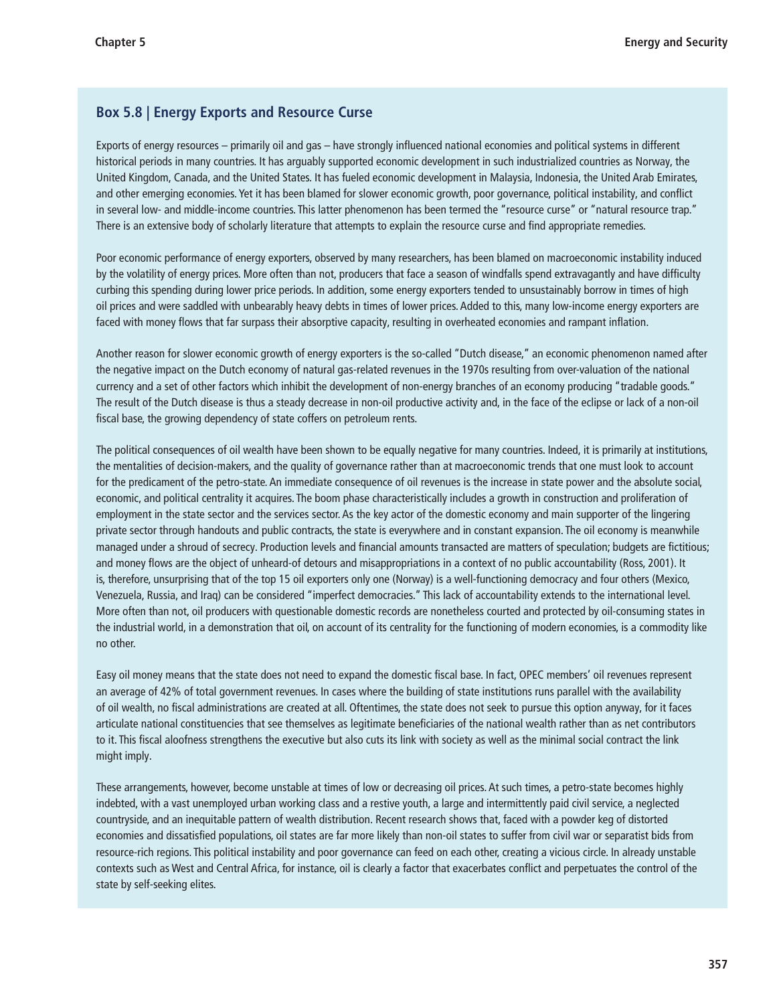## **Box 5.8 | Energy Exports and Resource Curse**

Exports of energy resources – primarily oil and gas – have strongly influenced national economies and political systems in different historical periods in many countries. It has arguably supported economic development in such industrialized countries as Norway, the United Kingdom, Canada, and the United States. It has fueled economic development in Malaysia, Indonesia, the United Arab Emirates, and other emerging economies. Yet it has been blamed for slower economic growth, poor governance, political instability, and conflict in several low- and middle-income countries. This latter phenomenon has been termed the "resource curse" or "natural resource trap." There is an extensive body of scholarly literature that attempts to explain the resource curse and find appropriate remedies.

 Poor economic performance of energy exporters, observed by many researchers, has been blamed on macroeconomic instability induced by the volatility of energy prices. More often than not, producers that face a season of windfalls spend extravagantly and have difficulty curbing this spending during lower price periods. In addition, some energy exporters tended to unsustainably borrow in times of high oil prices and were saddled with unbearably heavy debts in times of lower prices. Added to this, many low-income energy exporters are faced with money flows that far surpass their absorptive capacity, resulting in overheated economies and rampant inflation.

 Another reason for slower economic growth of energy exporters is the so-called "Dutch disease," an economic phenomenon named after the negative impact on the Dutch economy of natural gas-related revenues in the 1970s resulting from over-valuation of the national currency and a set of other factors which inhibit the development of non-energy branches of an economy producing "tradable goods." The result of the Dutch disease is thus a steady decrease in non-oil productive activity and, in the face of the eclipse or lack of a non-oil fiscal base, the growing dependency of state coffers on petroleum rents.

 The political consequences of oil wealth have been shown to be equally negative for many countries. Indeed, it is primarily at institutions, the mentalities of decision-makers, and the quality of governance rather than at macroeconomic trends that one must look to account for the predicament of the petro-state. An immediate consequence of oil revenues is the increase in state power and the absolute social, economic, and political centrality it acquires. The boom phase characteristically includes a growth in construction and proliferation of employment in the state sector and the services sector. As the key actor of the domestic economy and main supporter of the lingering private sector through handouts and public contracts, the state is everywhere and in constant expansion. The oil economy is meanwhile managed under a shroud of secrecy. Production levels and financial amounts transacted are matters of speculation; budgets are fictitious; and money flows are the object of unheard-of detours and misappropriations in a context of no public accountability (Ross, 2001). It is, therefore, unsurprising that of the top 15 oil exporters only one (Norway) is a well-functioning democracy and four others (Mexico, Venezuela, Russia, and Iraq) can be considered "imperfect democracies." This lack of accountability extends to the international level. More often than not, oil producers with questionable domestic records are nonetheless courted and protected by oil-consuming states in the industrial world, in a demonstration that oil, on account of its centrality for the functioning of modern economies, is a commodity like no other.

Easy oil money means that the state does not need to expand the domestic fiscal base. In fact, OPEC members' oil revenues represent an average of 42% of total government revenues. In cases where the building of state institutions runs parallel with the availability of oil wealth, no fiscal administrations are created at all. Oftentimes, the state does not seek to pursue this option anyway, for it faces articulate national constituencies that see themselves as legitimate beneficiaries of the national wealth rather than as net contributors to it. This fiscal aloofness strengthens the executive but also cuts its link with society as well as the minimal social contract the link might imply.

 These arrangements, however, become unstable at times of low or decreasing oil prices. At such times, a petro-state becomes highly indebted, with a vast unemployed urban working class and a restive youth, a large and intermittently paid civil service, a neglected countryside, and an inequitable pattern of wealth distribution. Recent research shows that, faced with a powder keg of distorted economies and dissatisfied populations, oil states are far more likely than non-oil states to suffer from civil war or separatist bids from resource-rich regions. This political instability and poor governance can feed on each other, creating a vicious circle. In already unstable contexts such as West and Central Africa, for instance, oil is clearly a factor that exacerbates confl ict and perpetuates the control of the state by self-seeking elites.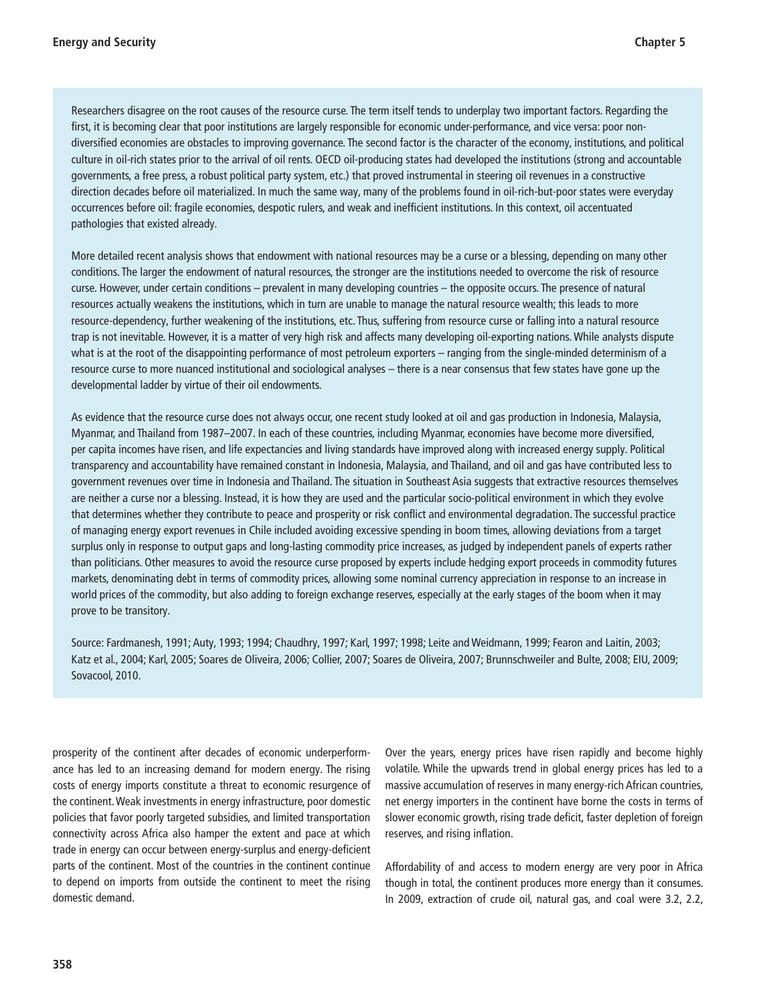Researchers disagree on the root causes of the resource curse. The term itself tends to underplay two important factors. Regarding the first, it is becoming clear that poor institutions are largely responsible for economic under-performance, and vice versa: poor nondiversified economies are obstacles to improving governance. The second factor is the character of the economy, institutions, and political culture in oil-rich states prior to the arrival of oil rents. OECD oil-producing states had developed the institutions (strong and accountable governments, a free press, a robust political party system, etc.) that proved instrumental in steering oil revenues in a constructive direction decades before oil materialized. In much the same way, many of the problems found in oil-rich-but-poor states were everyday occurrences before oil: fragile economies, despotic rulers, and weak and inefficient institutions. In this context, oil accentuated pathologies that existed already.

 More detailed recent analysis shows that endowment with national resources may be a curse or a blessing, depending on many other conditions. The larger the endowment of natural resources, the stronger are the institutions needed to overcome the risk of resource curse. However, under certain conditions – prevalent in many developing countries – the opposite occurs. The presence of natural resources actually weakens the institutions, which in turn are unable to manage the natural resource wealth; this leads to more resource-dependency, further weakening of the institutions, etc. Thus, suffering from resource curse or falling into a natural resource trap is not inevitable. However, it is a matter of very high risk and affects many developing oil-exporting nations. While analysts dispute what is at the root of the disappointing performance of most petroleum exporters – ranging from the single-minded determinism of a resource curse to more nuanced institutional and sociological analyses – there is a near consensus that few states have gone up the developmental ladder by virtue of their oil endowments.

 As evidence that the resource curse does not always occur, one recent study looked at oil and gas production in Indonesia, Malaysia, Myanmar, and Thailand from 1987–2007. In each of these countries, including Myanmar, economies have become more diversified, per capita incomes have risen, and life expectancies and living standards have improved along with increased energy supply. Political transparency and accountability have remained constant in Indonesia, Malaysia, and Thailand, and oil and gas have contributed less to government revenues over time in Indonesia and Thailand. The situation in Southeast Asia suggests that extractive resources themselves are neither a curse nor a blessing. Instead, it is how they are used and the particular socio-political environment in which they evolve that determines whether they contribute to peace and prosperity or risk conflict and environmental degradation. The successful practice of managing energy export revenues in Chile included avoiding excessive spending in boom times, allowing deviations from a target surplus only in response to output gaps and long-lasting commodity price increases, as judged by independent panels of experts rather than politicians. Other measures to avoid the resource curse proposed by experts include hedging export proceeds in commodity futures markets, denominating debt in terms of commodity prices, allowing some nominal currency appreciation in response to an increase in world prices of the commodity, but also adding to foreign exchange reserves, especially at the early stages of the boom when it may prove to be transitory.

Source: Fardmanesh, 1991; Auty, 1993; 1994; Chaudhry, 1997; Karl, 1997; 1998; Leite and Weidmann, 1999; Fearon and Laitin, 2003; Katz et al., 2004; Karl, 2005; Soares de Oliveira, 2006; Collier, 2007; Soares de Oliveira, 2007; Brunnschweiler and Bulte, 2008; EIU, 2009; Sovacool, 2010.

prosperity of the continent after decades of economic underperformance has led to an increasing demand for modern energy. The rising costs of energy imports constitute a threat to economic resurgence of the continent. Weak investments in energy infrastructure, poor domestic policies that favor poorly targeted subsidies, and limited transportation connectivity across Africa also hamper the extent and pace at which trade in energy can occur between energy-surplus and energy-deficient parts of the continent. Most of the countries in the continent continue to depend on imports from outside the continent to meet the rising domestic demand.

 Over the years, energy prices have risen rapidly and become highly volatile. While the upwards trend in global energy prices has led to a massive accumulation of reserves in many energy-rich African countries, net energy importers in the continent have borne the costs in terms of slower economic growth, rising trade deficit, faster depletion of foreign reserves, and rising inflation.

 Affordability of and access to modern energy are very poor in Africa though in total, the continent produces more energy than it consumes. In 2009, extraction of crude oil, natural gas, and coal were 3.2, 2.2,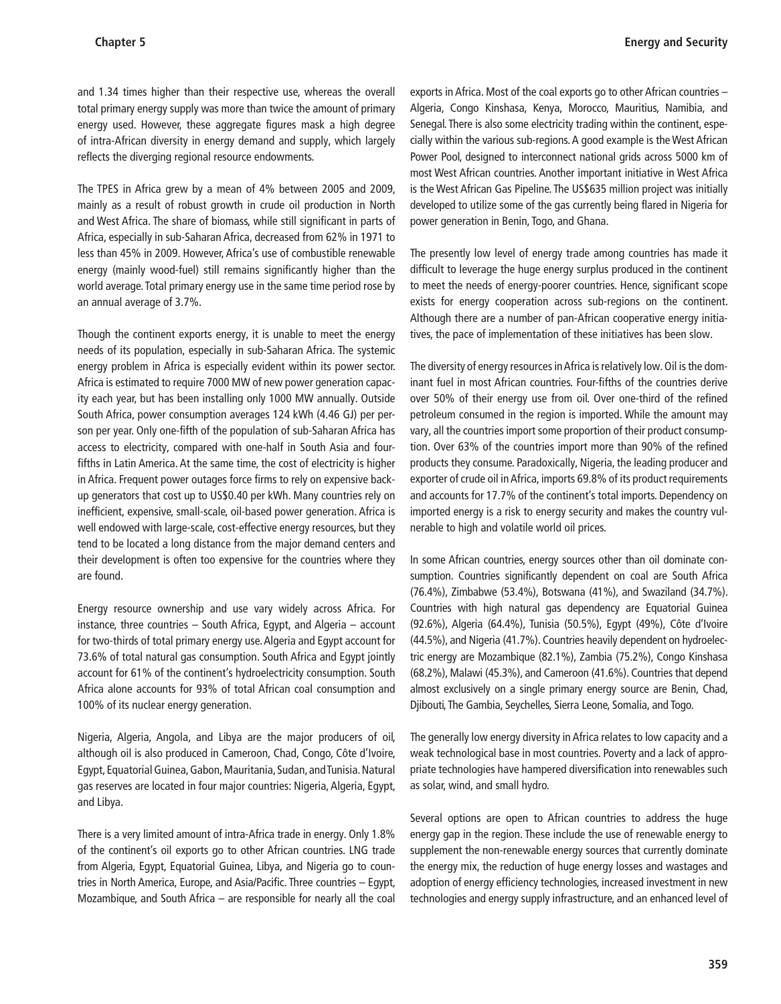and 1.34 times higher than their respective use, whereas the overall total primary energy supply was more than twice the amount of primary energy used. However, these aggregate figures mask a high degree of intra-African diversity in energy demand and supply, which largely reflects the diverging regional resource endowments.

 The TPES in Africa grew by a mean of 4% between 2005 and 2009, mainly as a result of robust growth in crude oil production in North and West Africa. The share of biomass, while still significant in parts of Africa, especially in sub-Saharan Africa, decreased from 62% in 1971 to less than 45% in 2009. However, Africa's use of combustible renewable energy (mainly wood-fuel) still remains significantly higher than the world average. Total primary energy use in the same time period rose by an annual average of 3.7%.

 Though the continent exports energy, it is unable to meet the energy needs of its population, especially in sub-Saharan Africa. The systemic energy problem in Africa is especially evident within its power sector. Africa is estimated to require 7000 MW of new power generation capacity each year, but has been installing only 1000 MW annually. Outside South Africa, power consumption averages 124 kWh (4.46 GJ) per person per year. Only one-fifth of the population of sub-Saharan Africa has access to electricity, compared with one-half in South Asia and fourfifths in Latin America. At the same time, the cost of electricity is higher in Africa. Frequent power outages force firms to rely on expensive backup generators that cost up to US\$0.40 per kWh. Many countries rely on inefficient, expensive, small-scale, oil-based power generation. Africa is well endowed with large-scale, cost-effective energy resources, but they tend to be located a long distance from the major demand centers and their development is often too expensive for the countries where they are found.

 Energy resource ownership and use vary widely across Africa. For instance, three countries – South Africa, Egypt, and Algeria – account for two-thirds of total primary energy use. Algeria and Egypt account for 73.6% of total natural gas consumption. South Africa and Egypt jointly account for 61% of the continent's hydroelectricity consumption. South Africa alone accounts for 93% of total African coal consumption and 100% of its nuclear energy generation.

 Nigeria, Algeria, Angola, and Libya are the major producers of oil, although oil is also produced in Cameroon, Chad, Congo, Côte d'Ivoire, Egypt, Equatorial Guinea, Gabon, Mauritania, Sudan, and Tunisia. Natural gas reserves are located in four major countries: Nigeria, Algeria, Egypt, and Libya.

 There is a very limited amount of intra-Africa trade in energy. Only 1.8% of the continent's oil exports go to other African countries. LNG trade from Algeria, Egypt, Equatorial Guinea, Libya, and Nigeria go to countries in North America, Europe, and Asia/Pacific. Three countries – Egypt, Mozambique, and South Africa – are responsible for nearly all the coal exports in Africa. Most of the coal exports go to other African countries – Algeria, Congo Kinshasa, Kenya, Morocco, Mauritius, Namibia, and Senegal. There is also some electricity trading within the continent, especially within the various sub-regions. A good example is the West African Power Pool, designed to interconnect national grids across 5000 km of most West African countries. Another important initiative in West Africa is the West African Gas Pipeline. The US\$635 million project was initially developed to utilize some of the gas currently being flared in Nigeria for power generation in Benin, Togo, and Ghana.

 The presently low level of energy trade among countries has made it difficult to leverage the huge energy surplus produced in the continent to meet the needs of energy-poorer countries. Hence, significant scope exists for energy cooperation across sub-regions on the continent. Although there are a number of pan-African cooperative energy initiatives, the pace of implementation of these initiatives has been slow.

 The diversity of energy resources in Africa is relatively low. Oil is the dominant fuel in most African countries. Four-fifths of the countries derive over 50% of their energy use from oil. Over one-third of the refined petroleum consumed in the region is imported. While the amount may vary, all the countries import some proportion of their product consumption. Over 63% of the countries import more than 90% of the refined products they consume. Paradoxically, Nigeria, the leading producer and exporter of crude oil in Africa, imports 69.8% of its product requirements and accounts for 17.7% of the continent's total imports. Dependency on imported energy is a risk to energy security and makes the country vulnerable to high and volatile world oil prices.

 In some African countries, energy sources other than oil dominate consumption. Countries significantly dependent on coal are South Africa (76.4%), Zimbabwe (53.4%), Botswana (41%), and Swaziland (34.7%). Countries with high natural gas dependency are Equatorial Guinea (92.6%), Algeria (64.4%), Tunisia (50.5%), Egypt (49%), Côte d'Ivoire (44.5%), and Nigeria (41.7%). Countries heavily dependent on hydroelectric energy are Mozambique (82.1%), Zambia (75.2%), Congo Kinshasa (68.2%), Malawi (45.3%), and Cameroon (41.6%). Countries that depend almost exclusively on a single primary energy source are Benin, Chad, Djibouti, The Gambia, Seychelles, Sierra Leone, Somalia, and Togo.

 The generally low energy diversity in Africa relates to low capacity and a weak technological base in most countries. Poverty and a lack of appropriate technologies have hampered diversification into renewables such as solar, wind, and small hydro.

 Several options are open to African countries to address the huge energy gap in the region. These include the use of renewable energy to supplement the non-renewable energy sources that currently dominate the energy mix, the reduction of huge energy losses and wastages and adoption of energy efficiency technologies, increased investment in new technologies and energy supply infrastructure, and an enhanced level of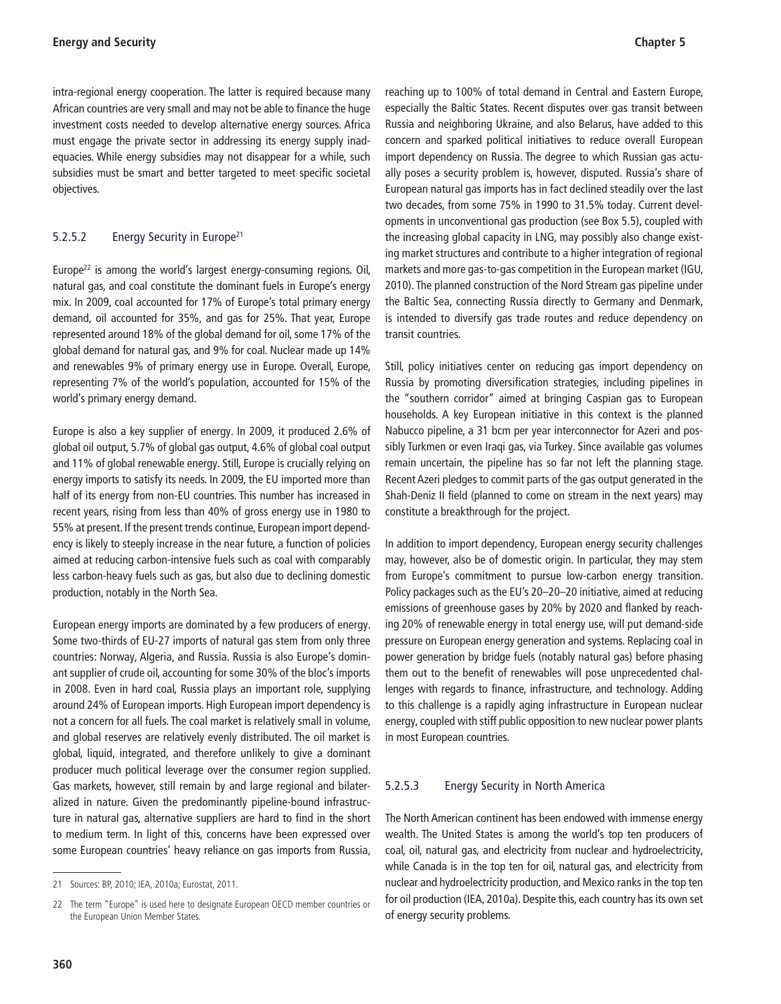intra-regional energy cooperation. The latter is required because many African countries are very small and may not be able to finance the huge investment costs needed to develop alternative energy sources. Africa must engage the private sector in addressing its energy supply inadequacies. While energy subsidies may not disappear for a while, such subsidies must be smart and better targeted to meet specific societal objectives.

#### 5.2.5.2 Energy Security in Europe<sup>21</sup>

Europe<sup>22</sup> is among the world's largest energy-consuming regions. Oil, natural gas, and coal constitute the dominant fuels in Europe's energy mix. In 2009, coal accounted for 17% of Europe's total primary energy demand, oil accounted for 35%, and gas for 25%. That year, Europe represented around 18% of the global demand for oil, some 17% of the global demand for natural gas, and 9% for coal. Nuclear made up 14% and renewables 9% of primary energy use in Europe. Overall, Europe, representing 7% of the world's population, accounted for 15% of the world's primary energy demand.

 Europe is also a key supplier of energy. In 2009, it produced 2.6% of global oil output, 5.7% of global gas output, 4.6% of global coal output and 11% of global renewable energy. Still, Europe is crucially relying on energy imports to satisfy its needs. In 2009, the EU imported more than half of its energy from non-EU countries. This number has increased in recent years, rising from less than 40% of gross energy use in 1980 to 55% at present. If the present trends continue, European import dependency is likely to steeply increase in the near future, a function of policies aimed at reducing carbon-intensive fuels such as coal with comparably less carbon-heavy fuels such as gas, but also due to declining domestic production, notably in the North Sea.

 European energy imports are dominated by a few producers of energy. Some two-thirds of EU-27 imports of natural gas stem from only three countries: Norway, Algeria, and Russia. Russia is also Europe's dominant supplier of crude oil, accounting for some 30% of the bloc's imports in 2008. Even in hard coal, Russia plays an important role, supplying around 24% of European imports. High European import dependency is not a concern for all fuels. The coal market is relatively small in volume, and global reserves are relatively evenly distributed. The oil market is global, liquid, integrated, and therefore unlikely to give a dominant producer much political leverage over the consumer region supplied. Gas markets, however, still remain by and large regional and bilateralized in nature. Given the predominantly pipeline-bound infrastructure in natural gas, alternative suppliers are hard to find in the short to medium term. In light of this, concerns have been expressed over some European countries' heavy reliance on gas imports from Russia,

reaching up to 100% of total demand in Central and Eastern Europe, especially the Baltic States. Recent disputes over gas transit between Russia and neighboring Ukraine, and also Belarus, have added to this concern and sparked political initiatives to reduce overall European import dependency on Russia. The degree to which Russian gas actually poses a security problem is, however, disputed. Russia's share of European natural gas imports has in fact declined steadily over the last two decades, from some 75% in 1990 to 31.5% today. Current developments in unconventional gas production (see Box 5.5 ), coupled with the increasing global capacity in LNG, may possibly also change existing market structures and contribute to a higher integration of regional markets and more gas-to-gas competition in the European market (IGU, 2010). The planned construction of the Nord Stream gas pipeline under the Baltic Sea, connecting Russia directly to Germany and Denmark, is intended to diversify gas trade routes and reduce dependency on transit countries.

 Still, policy initiatives center on reducing gas import dependency on Russia by promoting diversification strategies, including pipelines in the "southern corridor" aimed at bringing Caspian gas to European households. A key European initiative in this context is the planned Nabucco pipeline, a 31 bcm per year interconnector for Azeri and possibly Turkmen or even Iraqi gas, via Turkey. Since available gas volumes remain uncertain, the pipeline has so far not left the planning stage. Recent Azeri pledges to commit parts of the gas output generated in the Shah-Deniz II field (planned to come on stream in the next years) may constitute a breakthrough for the project.

 In addition to import dependency, European energy security challenges may, however, also be of domestic origin. In particular, they may stem from Europe's commitment to pursue low-carbon energy transition. Policy packages such as the EU's 20–20–20 initiative, aimed at reducing emissions of greenhouse gases by 20% by 2020 and flanked by reaching 20% of renewable energy in total energy use, will put demand-side pressure on European energy generation and systems. Replacing coal in power generation by bridge fuels (notably natural gas) before phasing them out to the benefit of renewables will pose unprecedented challenges with regards to finance, infrastructure, and technology. Adding to this challenge is a rapidly aging infrastructure in European nuclear energy, coupled with stiff public opposition to new nuclear power plants in most European countries.

#### 5.2.5.3 Energy Security in North America

 The North American continent has been endowed with immense energy wealth. The United States is among the world's top ten producers of coal, oil, natural gas, and electricity from nuclear and hydroelectricity, while Canada is in the top ten for oil, natural gas, and electricity from nuclear and hydroelectricity production, and Mexico ranks in the top ten for oil production (IEA, 2010a). Despite this, each country has its own set of energy security problems.

<sup>21</sup> Sources: BP, 2010; IEA, 2010a; Eurostat, 2011.

 <sup>22</sup> The term "Europe" is used here to designate European OECD member countries or the European Union Member States.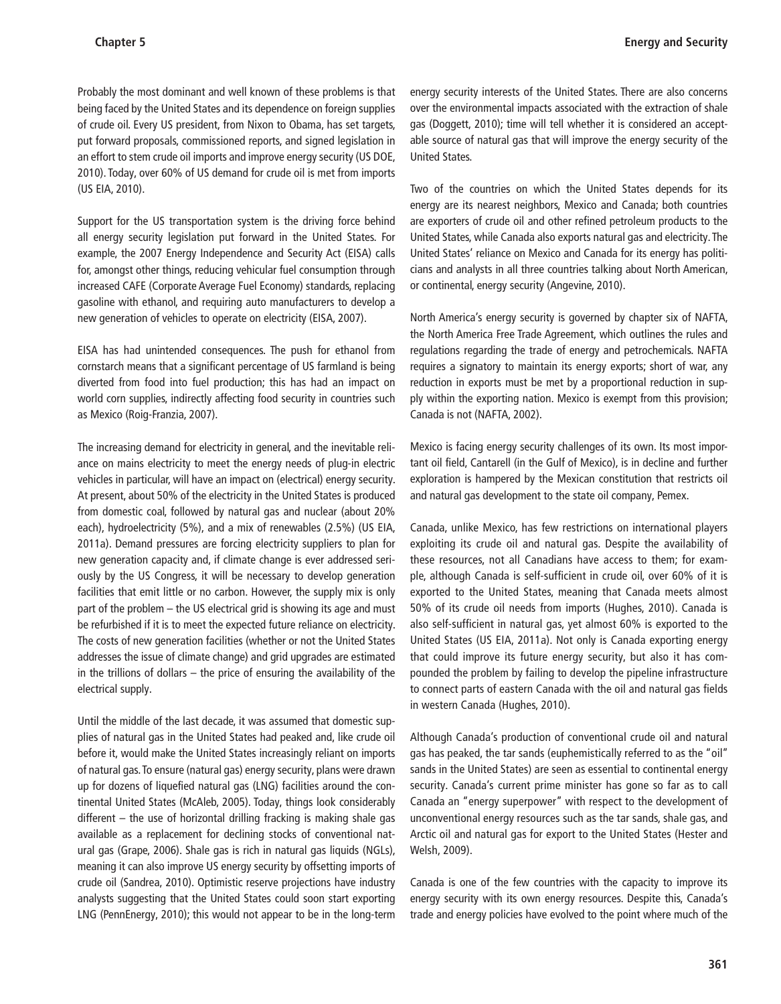Probably the most dominant and well known of these problems is that being faced by the United States and its dependence on foreign supplies of crude oil. Every US president, from Nixon to Obama, has set targets, put forward proposals, commissioned reports, and signed legislation in an effort to stem crude oil imports and improve energy security (US DOE, 2010). Today, over 60% of US demand for crude oil is met from imports (US EIA, 2010).

 Support for the US transportation system is the driving force behind all energy security legislation put forward in the United States. For example, the 2007 Energy Independence and Security Act (EISA) calls for, amongst other things, reducing vehicular fuel consumption through increased CAFE (Corporate Average Fuel Economy) standards, replacing gasoline with ethanol, and requiring auto manufacturers to develop a new generation of vehicles to operate on electricity (EISA, 2007).

 EISA has had unintended consequences. The push for ethanol from cornstarch means that a significant percentage of US farmland is being diverted from food into fuel production; this has had an impact on world corn supplies, indirectly affecting food security in countries such as Mexico (Roig-Franzia, 2007).

 The increasing demand for electricity in general, and the inevitable reliance on mains electricity to meet the energy needs of plug-in electric vehicles in particular, will have an impact on (electrical) energy security. At present, about 50% of the electricity in the United States is produced from domestic coal, followed by natural gas and nuclear (about 20% each), hydroelectricity (5%), and a mix of renewables (2.5%) (US EIA, 2011a). Demand pressures are forcing electricity suppliers to plan for new generation capacity and, if climate change is ever addressed seriously by the US Congress, it will be necessary to develop generation facilities that emit little or no carbon. However, the supply mix is only part of the problem – the US electrical grid is showing its age and must be refurbished if it is to meet the expected future reliance on electricity. The costs of new generation facilities (whether or not the United States addresses the issue of climate change) and grid upgrades are estimated in the trillions of dollars – the price of ensuring the availability of the electrical supply.

 Until the middle of the last decade, it was assumed that domestic supplies of natural gas in the United States had peaked and, like crude oil before it, would make the United States increasingly reliant on imports of natural gas. To ensure (natural gas) energy security, plans were drawn up for dozens of liquefied natural gas (LNG) facilities around the continental United States (McAleb, 2005). Today, things look considerably different – the use of horizontal drilling fracking is making shale gas available as a replacement for declining stocks of conventional natural gas (Grape, 2006). Shale gas is rich in natural gas liguids (NGLs), meaning it can also improve US energy security by offsetting imports of crude oil (Sandrea, 2010). Optimistic reserve projections have industry analysts suggesting that the United States could soon start exporting LNG (PennEnergy, 2010); this would not appear to be in the long-term energy security interests of the United States. There are also concerns over the environmental impacts associated with the extraction of shale gas (Doggett, 2010); time will tell whether it is considered an acceptable source of natural gas that will improve the energy security of the United States.

 Two of the countries on which the United States depends for its energy are its nearest neighbors, Mexico and Canada; both countries are exporters of crude oil and other refined petroleum products to the United States, while Canada also exports natural gas and electricity. The United States' reliance on Mexico and Canada for its energy has politicians and analysts in all three countries talking about North American, or continental, energy security (Angevine, 2010).

 North America's energy security is governed by chapter six of NAFTA, the North America Free Trade Agreement, which outlines the rules and regulations regarding the trade of energy and petrochemicals. NAFTA requires a signatory to maintain its energy exports; short of war, any reduction in exports must be met by a proportional reduction in supply within the exporting nation. Mexico is exempt from this provision; Canada is not (NAFTA, 2002).

 Mexico is facing energy security challenges of its own. Its most important oil field, Cantarell (in the Gulf of Mexico), is in decline and further exploration is hampered by the Mexican constitution that restricts oil and natural gas development to the state oil company, Pemex.

 Canada, unlike Mexico, has few restrictions on international players exploiting its crude oil and natural gas. Despite the availability of these resources, not all Canadians have access to them; for example, although Canada is self-sufficient in crude oil, over 60% of it is exported to the United States, meaning that Canada meets almost 50% of its crude oil needs from imports (Hughes, 2010). Canada is also self-sufficient in natural gas, yet almost 60% is exported to the United States (US EIA, 2011a). Not only is Canada exporting energy that could improve its future energy security, but also it has compounded the problem by failing to develop the pipeline infrastructure to connect parts of eastern Canada with the oil and natural gas fields in western Canada (Hughes, 2010).

 Although Canada's production of conventional crude oil and natural gas has peaked, the tar sands (euphemistically referred to as the "oil" sands in the United States) are seen as essential to continental energy security. Canada's current prime minister has gone so far as to call Canada an "energy superpower" with respect to the development of unconventional energy resources such as the tar sands, shale gas, and Arctic oil and natural gas for export to the United States (Hester and Welsh, 2009).

 Canada is one of the few countries with the capacity to improve its energy security with its own energy resources. Despite this, Canada's trade and energy policies have evolved to the point where much of the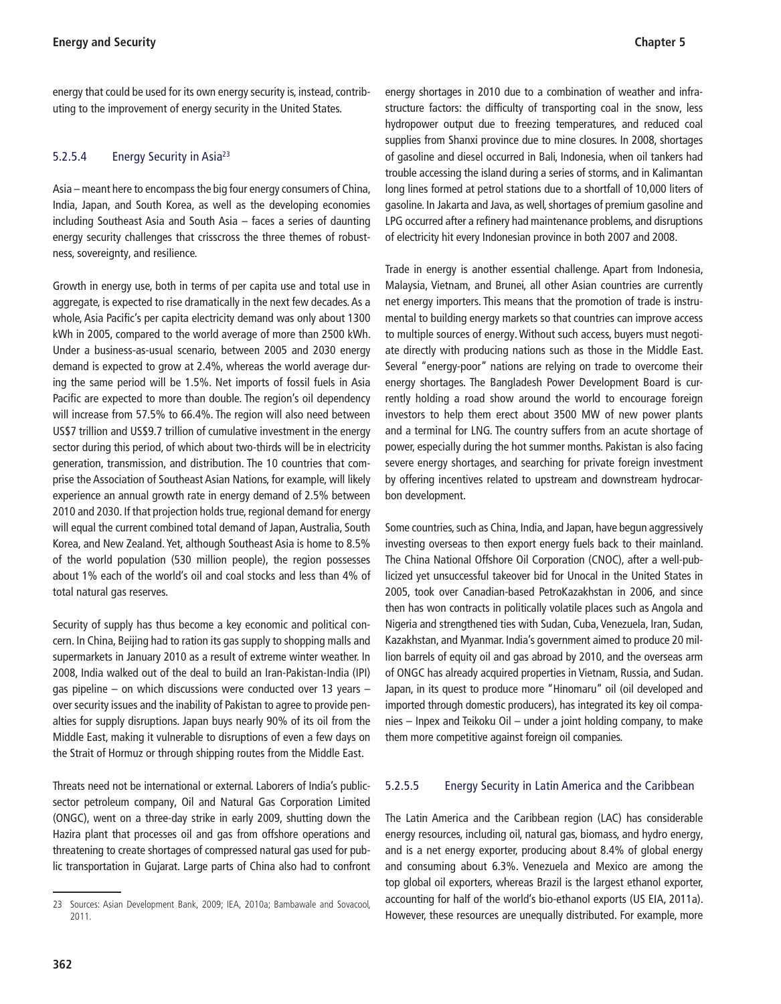energy that could be used for its own energy security is, instead, contributing to the improvement of energy security in the United States.

#### 5.2.5.4 Energy Security in Asia<sup>23</sup>

 Asia – meant here to encompass the big four energy consumers of China, India, Japan, and South Korea, as well as the developing economies including Southeast Asia and South Asia – faces a series of daunting energy security challenges that crisscross the three themes of robustness, sovereignty, and resilience.

 Growth in energy use, both in terms of per capita use and total use in aggregate, is expected to rise dramatically in the next few decades. As a whole, Asia Pacific's per capita electricity demand was only about 1300 kWh in 2005, compared to the world average of more than 2500 kWh. Under a business-as-usual scenario, between 2005 and 2030 energy demand is expected to grow at 2.4%, whereas the world average during the same period will be 1.5%. Net imports of fossil fuels in Asia Pacific are expected to more than double. The region's oil dependency will increase from 57.5% to 66.4%. The region will also need between US\$7 trillion and US\$9.7 trillion of cumulative investment in the energy sector during this period, of which about two-thirds will be in electricity generation, transmission, and distribution. The 10 countries that comprise the Association of Southeast Asian Nations, for example, will likely experience an annual growth rate in energy demand of 2.5% between 2010 and 2030. If that projection holds true, regional demand for energy will equal the current combined total demand of Japan, Australia, South Korea, and New Zealand. Yet, although Southeast Asia is home to 8.5% of the world population (530 million people), the region possesses about 1% each of the world's oil and coal stocks and less than 4% of total natural gas reserves.

 Security of supply has thus become a key economic and political concern. In China, Beijing had to ration its gas supply to shopping malls and supermarkets in January 2010 as a result of extreme winter weather. In 2008, India walked out of the deal to build an Iran-Pakistan-India (IPI) gas pipeline – on which discussions were conducted over 13 years – over security issues and the inability of Pakistan to agree to provide penalties for supply disruptions. Japan buys nearly 90% of its oil from the Middle East, making it vulnerable to disruptions of even a few days on the Strait of Hormuz or through shipping routes from the Middle East.

 Threats need not be international or external. Laborers of India's publicsector petroleum company, Oil and Natural Gas Corporation Limited (ONGC), went on a three-day strike in early 2009, shutting down the Hazira plant that processes oil and gas from offshore operations and threatening to create shortages of compressed natural gas used for public transportation in Gujarat. Large parts of China also had to confront

energy shortages in 2010 due to a combination of weather and infrastructure factors: the difficulty of transporting coal in the snow, less hydropower output due to freezing temperatures, and reduced coal supplies from Shanxi province due to mine closures. In 2008, shortages of gasoline and diesel occurred in Bali, Indonesia, when oil tankers had trouble accessing the island during a series of storms, and in Kalimantan long lines formed at petrol stations due to a shortfall of 10,000 liters of gasoline. In Jakarta and Java, as well, shortages of premium gasoline and LPG occurred after a refinery had maintenance problems, and disruptions of electricity hit every Indonesian province in both 2007 and 2008.

 Trade in energy is another essential challenge. Apart from Indonesia, Malaysia, Vietnam, and Brunei, all other Asian countries are currently net energy importers. This means that the promotion of trade is instrumental to building energy markets so that countries can improve access to multiple sources of energy. Without such access, buyers must negotiate directly with producing nations such as those in the Middle East. Several "energy-poor" nations are relying on trade to overcome their energy shortages. The Bangladesh Power Development Board is currently holding a road show around the world to encourage foreign investors to help them erect about 3500 MW of new power plants and a terminal for LNG. The country suffers from an acute shortage of power, especially during the hot summer months. Pakistan is also facing severe energy shortages, and searching for private foreign investment by offering incentives related to upstream and downstream hydrocarbon development.

 Some countries, such as China, India, and Japan, have begun aggressively investing overseas to then export energy fuels back to their mainland. The China National Offshore Oil Corporation (CNOC), after a well-publicized yet unsuccessful takeover bid for Unocal in the United States in 2005, took over Canadian-based PetroKazakhstan in 2006, and since then has won contracts in politically volatile places such as Angola and Nigeria and strengthened ties with Sudan, Cuba, Venezuela, Iran, Sudan, Kazakhstan, and Myanmar. India's government aimed to produce 20 million barrels of equity oil and gas abroad by 2010, and the overseas arm of ONGC has already acquired properties in Vietnam, Russia, and Sudan. Japan, in its quest to produce more "Hinomaru" oil (oil developed and imported through domestic producers), has integrated its key oil companies – Inpex and Teikoku Oil – under a joint holding company, to make them more competitive against foreign oil companies.

#### 5.2.5.5 Energy Security in Latin America and the Caribbean

 The Latin America and the Caribbean region (LAC) has considerable energy resources, including oil, natural gas, biomass, and hydro energy, and is a net energy exporter, producing about 8.4% of global energy and consuming about 6.3%. Venezuela and Mexico are among the top global oil exporters, whereas Brazil is the largest ethanol exporter, accounting for half of the world's bio-ethanol exports (US EIA, 2011a). However, these resources are unequally distributed. For example, more

<sup>23</sup> Sources: Asian Development Bank, 2009; IEA, 2010a; Bambawale and Sovacool, 2011.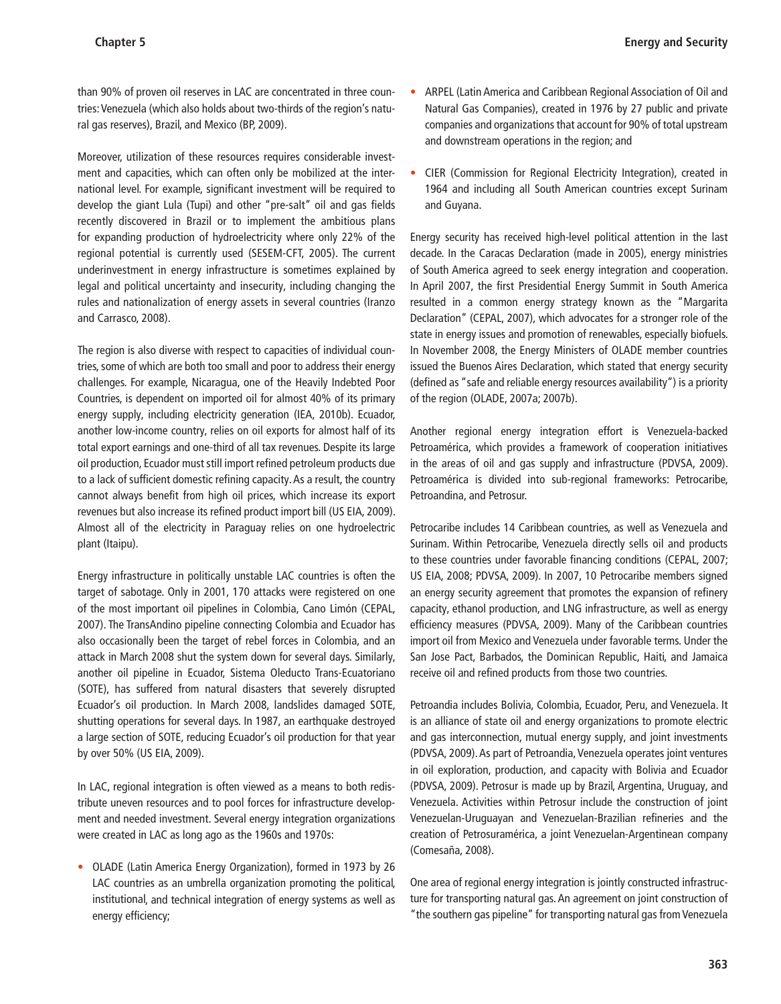than 90% of proven oil reserves in LAC are concentrated in three countries: Venezuela (which also holds about two-thirds of the region's natural gas reserves), Brazil, and Mexico (BP, 2009).

 Moreover, utilization of these resources requires considerable investment and capacities, which can often only be mobilized at the international level. For example, significant investment will be required to develop the giant Lula (Tupi) and other "pre-salt" oil and gas fields recently discovered in Brazil or to implement the ambitious plans for expanding production of hydroelectricity where only 22% of the regional potential is currently used (SESEM-CFT, 2005). The current underinvestment in energy infrastructure is sometimes explained by legal and political uncertainty and insecurity, including changing the rules and nationalization of energy assets in several countries (Iranzo and Carrasco, 2008).

 The region is also diverse with respect to capacities of individual countries, some of which are both too small and poor to address their energy challenges. For example, Nicaragua, one of the Heavily Indebted Poor Countries, is dependent on imported oil for almost 40% of its primary energy supply, including electricity generation (IEA, 2010b). Ecuador, another low-income country, relies on oil exports for almost half of its total export earnings and one-third of all tax revenues. Despite its large oil production, Ecuador must still import refined petroleum products due to a lack of sufficient domestic refining capacity. As a result, the country cannot always benefit from high oil prices, which increase its export revenues but also increase its refined product import bill (US EIA, 2009). Almost all of the electricity in Paraguay relies on one hydroelectric plant (Itaipu).

 Energy infrastructure in politically unstable LAC countries is often the target of sabotage. Only in 2001, 170 attacks were registered on one of the most important oil pipelines in Colombia, Cano Limón (CEPAL, 2007). The TransAndino pipeline connecting Colombia and Ecuador has also occasionally been the target of rebel forces in Colombia, and an attack in March 2008 shut the system down for several days. Similarly, another oil pipeline in Ecuador, Sistema Oleducto Trans-Ecuatoriano (SOTE), has suffered from natural disasters that severely disrupted Ecuador's oil production. In March 2008, landslides damaged SOTE, shutting operations for several days. In 1987, an earthquake destroyed a large section of SOTE, reducing Ecuador's oil production for that year by over 50% (US EIA, 2009).

 In LAC, regional integration is often viewed as a means to both redistribute uneven resources and to pool forces for infrastructure development and needed investment. Several energy integration organizations were created in LAC as long ago as the 1960s and 1970s:

• OLADE (Latin America Energy Organization), formed in 1973 by 26 LAC countries as an umbrella organization promoting the political, institutional, and technical integration of energy systems as well as energy efficiency;

- ARPEL (Latin America and Caribbean Regional Association of Oil and Natural Gas Companies), created in 1976 by 27 public and private companies and organizations that account for 90% of total upstream and downstream operations in the region; and
- CIER (Commission for Regional Electricity Integration), created in 1964 and including all South American countries except Surinam and Guyana.

 Energy security has received high-level political attention in the last decade. In the Caracas Declaration (made in 2005), energy ministries of South America agreed to seek energy integration and cooperation. In April 2007, the first Presidential Energy Summit in South America resulted in a common energy strategy known as the "Margarita Declaration" (CEPAL, 2007), which advocates for a stronger role of the state in energy issues and promotion of renewables, especially biofuels. In November 2008, the Energy Ministers of OLADE member countries issued the Buenos Aires Declaration, which stated that energy security (defined as "safe and reliable energy resources availability") is a priority of the region (OLADE, 2007a; 2007b).

 Another regional energy integration effort is Venezuela-backed Petroamérica, which provides a framework of cooperation initiatives in the areas of oil and gas supply and infrastructure (PDVSA, 2009). Petroamérica is divided into sub-regional frameworks: Petrocaribe, Petroandina, and Petrosur.

 Petrocaribe includes 14 Caribbean countries, as well as Venezuela and Surinam. Within Petrocaribe, Venezuela directly sells oil and products to these countries under favorable financing conditions (CEPAL, 2007; US EIA, 2008; PDVSA, 2009). In 2007, 10 Petrocaribe members signed an energy security agreement that promotes the expansion of refinery capacity, ethanol production, and LNG infrastructure, as well as energy efficiency measures (PDVSA, 2009). Many of the Caribbean countries import oil from Mexico and Venezuela under favorable terms. Under the San Jose Pact, Barbados, the Dominican Republic, Haiti, and Jamaica receive oil and refined products from those two countries.

 Petroandia includes Bolivia, Colombia, Ecuador, Peru, and Venezuela. It is an alliance of state oil and energy organizations to promote electric and gas interconnection, mutual energy supply, and joint investments (PDVSA, 2009). As part of Petroandia, Venezuela operates joint ventures in oil exploration, production, and capacity with Bolivia and Ecuador (PDVSA, 2009). Petrosur is made up by Brazil, Argentina, Uruguay, and Venezuela. Activities within Petrosur include the construction of joint Venezuelan-Uruguayan and Venezuelan-Brazilian refineries and the creation of Petrosuramérica, a joint Venezuelan-Argentinean company (Comesaña, 2008).

 One area of regional energy integration is jointly constructed infrastructure for transporting natural gas. An agreement on joint construction of "the southern gas pipeline" for transporting natural gas from Venezuela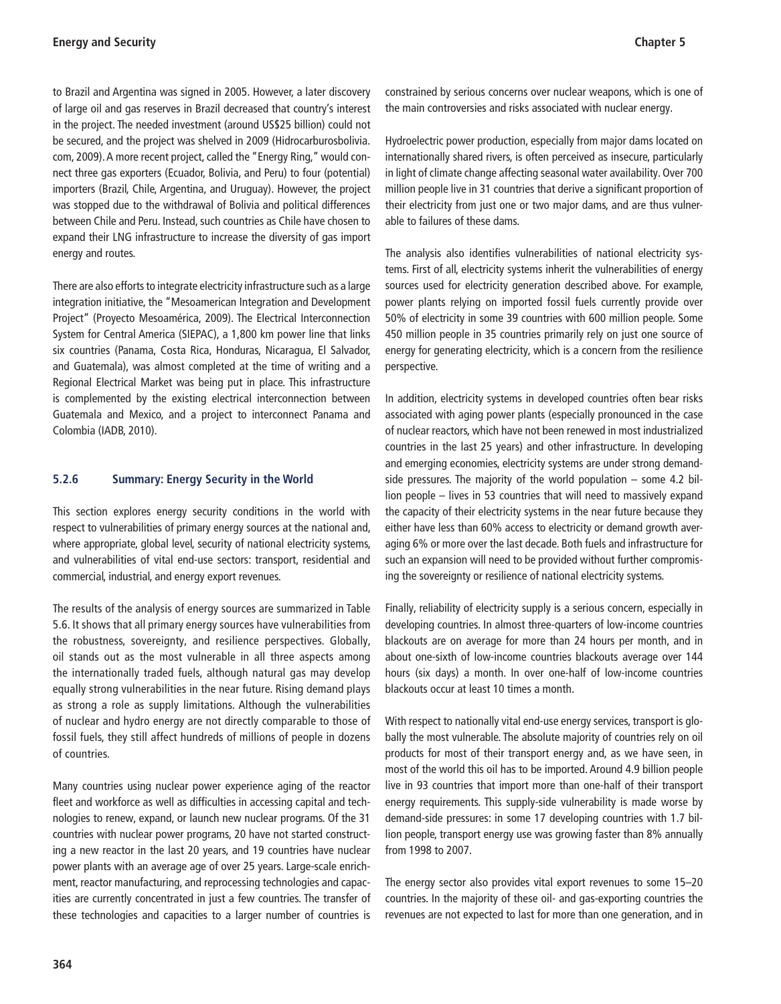to Brazil and Argentina was signed in 2005. However, a later discovery of large oil and gas reserves in Brazil decreased that country's interest in the project. The needed investment (around US\$25 billion) could not be secured, and the project was shelved in 2009 (Hidrocarburosbolivia. com, 2009). A more recent project, called the "Energy Ring," would connect three gas exporters (Ecuador, Bolivia, and Peru) to four (potential) importers (Brazil, Chile, Argentina, and Uruguay). However, the project was stopped due to the withdrawal of Bolivia and political differences between Chile and Peru. Instead, such countries as Chile have chosen to expand their LNG infrastructure to increase the diversity of gas import energy and routes.

 There are also efforts to integrate electricity infrastructure such as a large integration initiative, the "Mesoamerican Integration and Development Project" (Proyecto Mesoamérica, 2009). The Electrical Interconnection System for Central America (SIEPAC), a 1,800 km power line that links six countries (Panama, Costa Rica, Honduras, Nicaragua, El Salvador, and Guatemala), was almost completed at the time of writing and a Regional Electrical Market was being put in place. This infrastructure is complemented by the existing electrical interconnection between Guatemala and Mexico, and a project to interconnect Panama and Colombia (IADB, 2010).

#### **5.2.6 Summary: Energy Security in the World**

 This section explores energy security conditions in the world with respect to vulnerabilities of primary energy sources at the national and, where appropriate, global level, security of national electricity systems, and vulnerabilities of vital end-use sectors: transport, residential and commercial, industrial, and energy export revenues.

 The results of the analysis of energy sources are summarized in Table 5.6 . It shows that all primary energy sources have vulnerabilities from the robustness, sovereignty, and resilience perspectives. Globally, oil stands out as the most vulnerable in all three aspects among the internationally traded fuels, although natural gas may develop equally strong vulnerabilities in the near future. Rising demand plays as strong a role as supply limitations. Although the vulnerabilities of nuclear and hydro energy are not directly comparable to those of fossil fuels, they still affect hundreds of millions of people in dozens of countries.

 Many countries using nuclear power experience aging of the reactor fleet and workforce as well as difficulties in accessing capital and technologies to renew, expand, or launch new nuclear programs. Of the 31 countries with nuclear power programs, 20 have not started constructing a new reactor in the last 20 years, and 19 countries have nuclear power plants with an average age of over 25 years. Large-scale enrichment, reactor manufacturing, and reprocessing technologies and capacities are currently concentrated in just a few countries. The transfer of these technologies and capacities to a larger number of countries is constrained by serious concerns over nuclear weapons, which is one of the main controversies and risks associated with nuclear energy.

 Hydroelectric power production, especially from major dams located on internationally shared rivers, is often perceived as insecure, particularly in light of climate change affecting seasonal water availability. Over 700 million people live in 31 countries that derive a significant proportion of their electricity from just one or two major dams, and are thus vulnerable to failures of these dams.

 The analysis also identifies vulnerabilities of national electricity systems. First of all, electricity systems inherit the vulnerabilities of energy sources used for electricity generation described above. For example, power plants relying on imported fossil fuels currently provide over 50% of electricity in some 39 countries with 600 million people. Some 450 million people in 35 countries primarily rely on just one source of energy for generating electricity, which is a concern from the resilience perspective.

 In addition, electricity systems in developed countries often bear risks associated with aging power plants (especially pronounced in the case of nuclear reactors, which have not been renewed in most industrialized countries in the last 25 years) and other infrastructure. In developing and emerging economies, electricity systems are under strong demandside pressures. The majority of the world population – some 4.2 billion people – lives in 53 countries that will need to massively expand the capacity of their electricity systems in the near future because they either have less than 60% access to electricity or demand growth averaging 6% or more over the last decade. Both fuels and infrastructure for such an expansion will need to be provided without further compromising the sovereignty or resilience of national electricity systems.

 Finally, reliability of electricity supply is a serious concern, especially in developing countries. In almost three-quarters of low-income countries blackouts are on average for more than 24 hours per month, and in about one-sixth of low-income countries blackouts average over 144 hours (six days) a month. In over one-half of low-income countries blackouts occur at least 10 times a month.

 With respect to nationally vital end-use energy services, transport is globally the most vulnerable. The absolute majority of countries rely on oil products for most of their transport energy and, as we have seen, in most of the world this oil has to be imported. Around 4.9 billion people live in 93 countries that import more than one-half of their transport energy requirements. This supply-side vulnerability is made worse by demand-side pressures: in some 17 developing countries with 1.7 billion people, transport energy use was growing faster than 8% annually from 1998 to 2007.

 The energy sector also provides vital export revenues to some 15–20 countries. In the majority of these oil- and gas-exporting countries the revenues are not expected to last for more than one generation, and in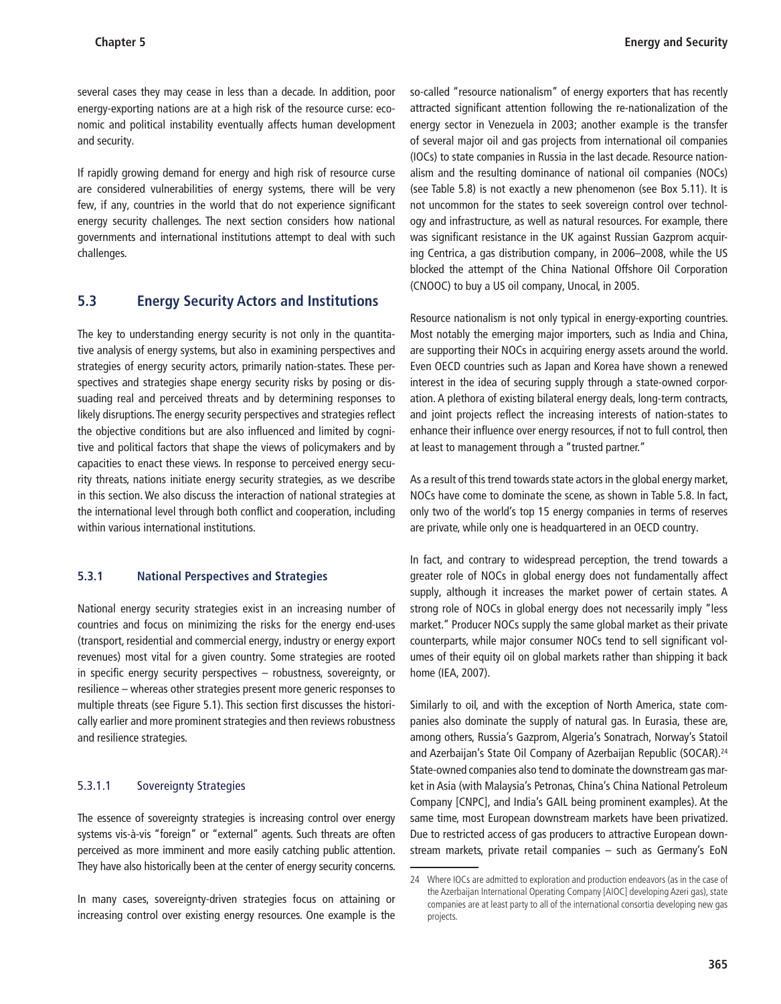several cases they may cease in less than a decade. In addition, poor energy-exporting nations are at a high risk of the resource curse: economic and political instability eventually affects human development and security.

 If rapidly growing demand for energy and high risk of resource curse are considered vulnerabilities of energy systems, there will be very few, if any, countries in the world that do not experience significant energy security challenges. The next section considers how national governments and international institutions attempt to deal with such challenges.

## **5.3 Energy Security Actors and Institutions**

 The key to understanding energy security is not only in the quantitative analysis of energy systems, but also in examining perspectives and strategies of energy security actors, primarily nation-states. These perspectives and strategies shape energy security risks by posing or dissuading real and perceived threats and by determining responses to likely disruptions. The energy security perspectives and strategies reflect the objective conditions but are also influenced and limited by cognitive and political factors that shape the views of policymakers and by capacities to enact these views. In response to perceived energy security threats, nations initiate energy security strategies, as we describe in this section. We also discuss the interaction of national strategies at the international level through both conflict and cooperation, including within various international institutions.

#### **5.3.1 National Perspectives and Strategies**

 National energy security strategies exist in an increasing number of countries and focus on minimizing the risks for the energy end-uses (transport, residential and commercial energy, industry or energy export revenues) most vital for a given country. Some strategies are rooted in specific energy security perspectives – robustness, sovereignty, or resilience – whereas other strategies present more generic responses to multiple threats (see Figure 5.1 ). This section first discusses the historically earlier and more prominent strategies and then reviews robustness and resilience strategies.

#### 5.3.1.1 Sovereignty Strategies

 The essence of sovereignty strategies is increasing control over energy systems vis-à-vis "foreign" or "external" agents. Such threats are often perceived as more imminent and more easily catching public attention. They have also historically been at the center of energy security concerns.

 In many cases, sovereignty-driven strategies focus on attaining or increasing control over existing energy resources. One example is the

so-called "resource nationalism" of energy exporters that has recently attracted significant attention following the re-nationalization of the energy sector in Venezuela in 2003; another example is the transfer of several major oil and gas projects from international oil companies (IOCs) to state companies in Russia in the last decade. Resource nationalism and the resulting dominance of national oil companies (NOCs) (see Table 5.8) is not exactly a new phenomenon (see Box 5.11). It is not uncommon for the states to seek sovereign control over technology and infrastructure, as well as natural resources. For example, there was significant resistance in the UK against Russian Gazprom acquiring Centrica, a gas distribution company, in 2006–2008, while the US blocked the attempt of the China National Offshore Oil Corporation (CNOOC) to buy a US oil company, Unocal, in 2005.

 Resource nationalism is not only typical in energy-exporting countries. Most notably the emerging major importers, such as India and China, are supporting their NOCs in acquiring energy assets around the world. Even OECD countries such as Japan and Korea have shown a renewed interest in the idea of securing supply through a state-owned corporation. A plethora of existing bilateral energy deals, long-term contracts, and joint projects reflect the increasing interests of nation-states to enhance their influence over energy resources, if not to full control, then at least to management through a "trusted partner."

 As a result of this trend towards state actors in the global energy market, NOCs have come to dominate the scene, as shown in Table 5.8 . In fact, only two of the world's top 15 energy companies in terms of reserves are private, while only one is headquartered in an OECD country.

 In fact, and contrary to widespread perception, the trend towards a greater role of NOCs in global energy does not fundamentally affect supply, although it increases the market power of certain states. A strong role of NOCs in global energy does not necessarily imply "less market." Producer NOCs supply the same global market as their private counterparts, while major consumer NOCs tend to sell significant volumes of their equity oil on global markets rather than shipping it back home (IEA, 2007).

 Similarly to oil, and with the exception of North America, state companies also dominate the supply of natural gas. In Eurasia, these are, among others, Russia's Gazprom, Algeria's Sonatrach, Norway's Statoil and Azerbaijan's State Oil Company of Azerbaijan Republic (SOCAR). 24 State-owned companies also tend to dominate the downstream gas market in Asia (with Malaysia's Petronas, China's China National Petroleum Company [CNPC], and India's GAIL being prominent examples). At the same time, most European downstream markets have been privatized. Due to restricted access of gas producers to attractive European downstream markets, private retail companies – such as Germany's EoN

 <sup>24</sup> Where IOCs are admitted to exploration and production endeavors (as in the case of the Azerbaijan International Operating Company [AIOC] developing Azeri gas), state companies are at least party to all of the international consortia developing new gas projects.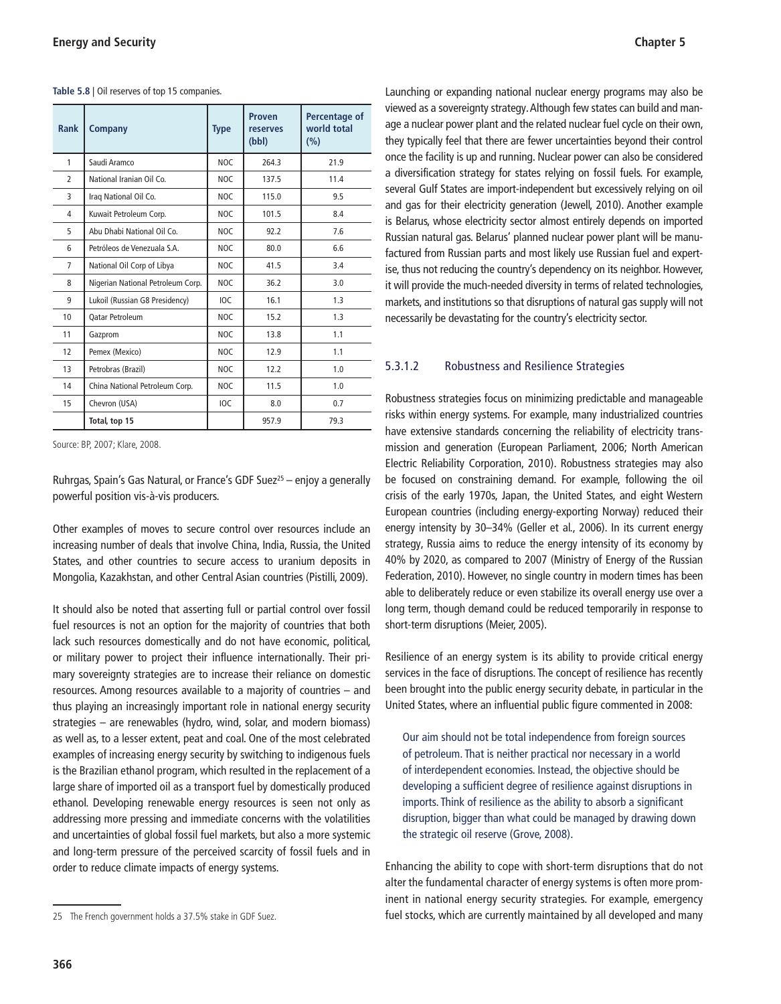| <b>Rank</b>    | <b>Company</b>                    | <b>Type</b> | <b>Proven</b><br>reserves<br>(bbl) | Percentage of<br>world total<br>(%) |
|----------------|-----------------------------------|-------------|------------------------------------|-------------------------------------|
| 1              | Saudi Aramco                      | NOC         | 264.3                              | 21.9                                |
| $\overline{2}$ | National Iranian Oil Co.          | <b>NOC</b>  | 137.5                              | 11.4                                |
| 3              | Iraq National Oil Co.             | NOC         | 115.0                              | 9.5                                 |
| 4              | Kuwait Petroleum Corp.            | NOC         | 101.5                              | 8.4                                 |
| 5              | Abu Dhabi National Oil Co.        | <b>NOC</b>  | 92.2                               | 7.6                                 |
| 6              | Petróleos de Venezuala S.A.       | <b>NOC</b>  | 80.0                               | 6.6                                 |
| 7              | National Oil Corp of Libya        | NOC         | 41.5                               | 3.4                                 |
| 8              | Nigerian National Petroleum Corp. | <b>NOC</b>  | 36.2                               | 3.0                                 |
| 9              | Lukoil (Russian G8 Presidency)    | IOC         | 16.1                               | 1.3                                 |
| 10             | Qatar Petroleum                   | NOC         | 15.2                               | 1.3                                 |
| 11             | Gazprom                           | NOC         | 13.8                               | 1.1                                 |
| 12             | Pemex (Mexico)                    | NOC         | 12.9                               | 1.1                                 |
| 13             | Petrobras (Brazil)                | NOC         | 12.2                               | 1.0                                 |
| 14             | China National Petroleum Corp.    | <b>NOC</b>  | 11.5                               | 1.0                                 |
| 15             | Chevron (USA)                     | IOC         | 8.0                                | 0.7                                 |
|                | Total, top 15                     |             | 957.9                              | 79.3                                |

#### **Table 5.8** | Oil reserves of top 15 companies.

Source: BP, 2007; Klare, 2008 .

Ruhrgas, Spain's Gas Natural, or France's GDF Suez<sup>25</sup> – enjoy a generally powerful position vis-à-vis producers.

 Other examples of moves to secure control over resources include an increasing number of deals that involve China, India, Russia, the United States, and other countries to secure access to uranium deposits in Mongolia, Kazakhstan, and other Central Asian countries (Pistilli, 2009 ).

 It should also be noted that asserting full or partial control over fossil fuel resources is not an option for the majority of countries that both lack such resources domestically and do not have economic, political, or military power to project their influence internationally. Their primary sovereignty strategies are to increase their reliance on domestic resources. Among resources available to a majority of countries – and thus playing an increasingly important role in national energy security strategies – are renewables (hydro, wind, solar, and modern biomass) as well as, to a lesser extent, peat and coal. One of the most celebrated examples of increasing energy security by switching to indigenous fuels is the Brazilian ethanol program, which resulted in the replacement of a large share of imported oil as a transport fuel by domestically produced ethanol. Developing renewable energy resources is seen not only as addressing more pressing and immediate concerns with the volatilities and uncertainties of global fossil fuel markets, but also a more systemic and long-term pressure of the perceived scarcity of fossil fuels and in order to reduce climate impacts of energy systems.

 Launching or expanding national nuclear energy programs may also be viewed as a sovereignty strategy. Although few states can build and manage a nuclear power plant and the related nuclear fuel cycle on their own, they typically feel that there are fewer uncertainties beyond their control once the facility is up and running. Nuclear power can also be considered a diversification strategy for states relying on fossil fuels. For example, several Gulf States are import-independent but excessively relying on oil and gas for their electricity generation (Jewell, 2010). Another example is Belarus, whose electricity sector almost entirely depends on imported Russian natural gas. Belarus' planned nuclear power plant will be manufactured from Russian parts and most likely use Russian fuel and expertise, thus not reducing the country's dependency on its neighbor. However, it will provide the much-needed diversity in terms of related technologies, markets, and institutions so that disruptions of natural gas supply will not necessarily be devastating for the country's electricity sector.

#### 5.3.1.2 Robustness and Resilience Strategies

 Robustness strategies focus on minimizing predictable and manageable risks within energy systems. For example, many industrialized countries have extensive standards concerning the reliability of electricity transmission and generation (European Parliament, 2006; North American Electric Reliability Corporation, 2010). Robustness strategies may also be focused on constraining demand. For example, following the oil crisis of the early 1970s, Japan, the United States, and eight Western European countries (including energy-exporting Norway) reduced their energy intensity by 30-34% (Geller et al., 2006). In its current energy strategy, Russia aims to reduce the energy intensity of its economy by 40% by 2020, as compared to 2007 (Ministry of Energy of the Russian Federation, 2010). However, no single country in modern times has been able to deliberately reduce or even stabilize its overall energy use over a long term, though demand could be reduced temporarily in response to short-term disruptions (Meier, 2005).

 Resilience of an energy system is its ability to provide critical energy services in the face of disruptions. The concept of resilience has recently been brought into the public energy security debate, in particular in the United States, where an influential public figure commented in 2008:

 Our aim should not be total independence from foreign sources of petroleum. That is neither practical nor necessary in a world of interdependent economies. Instead, the objective should be developing a sufficient degree of resilience against disruptions in imports. Think of resilience as the ability to absorb a significant disruption, bigger than what could be managed by drawing down the strategic oil reserve (Grove, 2008).

 Enhancing the ability to cope with short-term disruptions that do not alter the fundamental character of energy systems is often more prominent in national energy security strategies. For example, emergency fuel stocks, which are currently maintained by all developed and many

 <sup>25</sup> The French government holds a 37.5% stake in GDF Suez.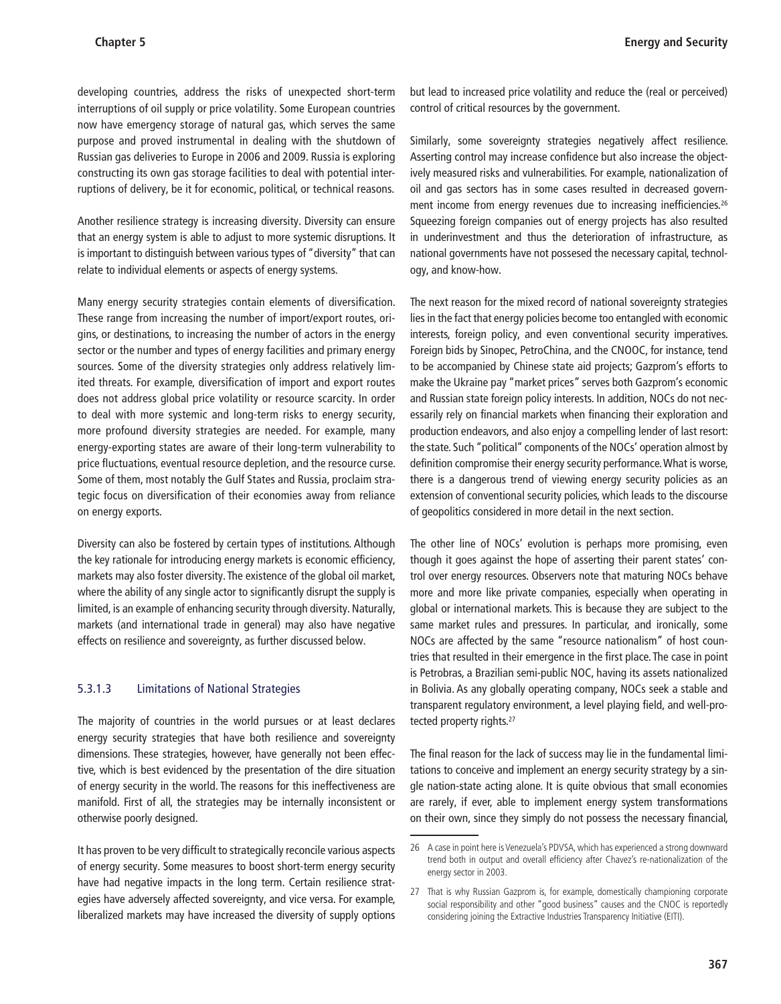developing countries, address the risks of unexpected short-term interruptions of oil supply or price volatility. Some European countries now have emergency storage of natural gas, which serves the same purpose and proved instrumental in dealing with the shutdown of Russian gas deliveries to Europe in 2006 and 2009 . Russia is exploring constructing its own gas storage facilities to deal with potential interruptions of delivery, be it for economic, political, or technical reasons.

 Another resilience strategy is increasing diversity. Diversity can ensure that an energy system is able to adjust to more systemic disruptions. It is important to distinguish between various types of "diversity" that can relate to individual elements or aspects of energy systems.

 Many energy security strategies contain elements of diversification. These range from increasing the number of import/export routes, origins, or destinations, to increasing the number of actors in the energy sector or the number and types of energy facilities and primary energy sources. Some of the diversity strategies only address relatively limited threats. For example, diversification of import and export routes does not address global price volatility or resource scarcity. In order to deal with more systemic and long-term risks to energy security, more profound diversity strategies are needed. For example, many energy-exporting states are aware of their long-term vulnerability to price fluctuations, eventual resource depletion, and the resource curse. Some of them, most notably the Gulf States and Russia, proclaim strategic focus on diversification of their economies away from reliance on energy exports.

 Diversity can also be fostered by certain types of institutions. Although the key rationale for introducing energy markets is economic efficiency, markets may also foster diversity. The existence of the global oil market, where the ability of any single actor to significantly disrupt the supply is limited, is an example of enhancing security through diversity. Naturally, markets (and international trade in general) may also have negative effects on resilience and sovereignty, as further discussed below.

#### 5.3.1.3 Limitations of National Strategies

 The majority of countries in the world pursues or at least declares energy security strategies that have both resilience and sovereignty dimensions. These strategies, however, have generally not been effective, which is best evidenced by the presentation of the dire situation of energy security in the world. The reasons for this ineffectiveness are manifold. First of all, the strategies may be internally inconsistent or otherwise poorly designed.

 It has proven to be very difficult to strategically reconcile various aspects of energy security. Some measures to boost short-term energy security have had negative impacts in the long term. Certain resilience strategies have adversely affected sovereignty, and vice versa. For example, liberalized markets may have increased the diversity of supply options

but lead to increased price volatility and reduce the (real or perceived) control of critical resources by the government.

 Similarly, some sovereignty strategies negatively affect resilience. Asserting control may increase confidence but also increase the objectively measured risks and vulnerabilities. For example, nationalization of oil and gas sectors has in some cases resulted in decreased government income from energy revenues due to increasing inefficiencies.<sup>26</sup> Squeezing foreign companies out of energy projects has also resulted in underinvestment and thus the deterioration of infrastructure, as national governments have not possesed the necessary capital, technology, and know-how.

 The next reason for the mixed record of national sovereignty strategies lies in the fact that energy policies become too entangled with economic interests, foreign policy, and even conventional security imperatives. Foreign bids by Sinopec, PetroChina, and the CNOOC, for instance, tend to be accompanied by Chinese state aid projects; Gazprom's efforts to make the Ukraine pay "market prices" serves both Gazprom's economic and Russian state foreign policy interests. In addition, NOCs do not necessarily rely on financial markets when financing their exploration and production endeavors, and also enjoy a compelling lender of last resort: the state. Such "political" components of the NOCs' operation almost by definition compromise their energy security performance. What is worse, there is a dangerous trend of viewing energy security policies as an extension of conventional security policies, which leads to the discourse of geopolitics considered in more detail in the next section.

 The other line of NOCs' evolution is perhaps more promising, even though it goes against the hope of asserting their parent states' control over energy resources. Observers note that maturing NOCs behave more and more like private companies, especially when operating in global or international markets. This is because they are subject to the same market rules and pressures. In particular, and ironically, some NOCs are affected by the same "resource nationalism" of host countries that resulted in their emergence in the first place. The case in point is Petrobras, a Brazilian semi-public NOC, having its assets nationalized in Bolivia. As any globally operating company, NOCs seek a stable and transparent regulatory environment, a level playing field, and well-protected property rights.<sup>27</sup>

 The final reason for the lack of success may lie in the fundamental limitations to conceive and implement an energy security strategy by a single nation-state acting alone. It is quite obvious that small economies are rarely, if ever, able to implement energy system transformations on their own, since they simply do not possess the necessary financial,

 <sup>26</sup> A case in point here is Venezuela's PDVSA, which has experienced a strong downward trend both in output and overall efficiency after Chavez's re-nationalization of the energy sector in 2003.

 <sup>27</sup> That is why Russian Gazprom is, for example, domestically championing corporate social responsibility and other "good business" causes and the CNOC is reportedly considering joining the Extractive Industries Transparency Initiative (EITI).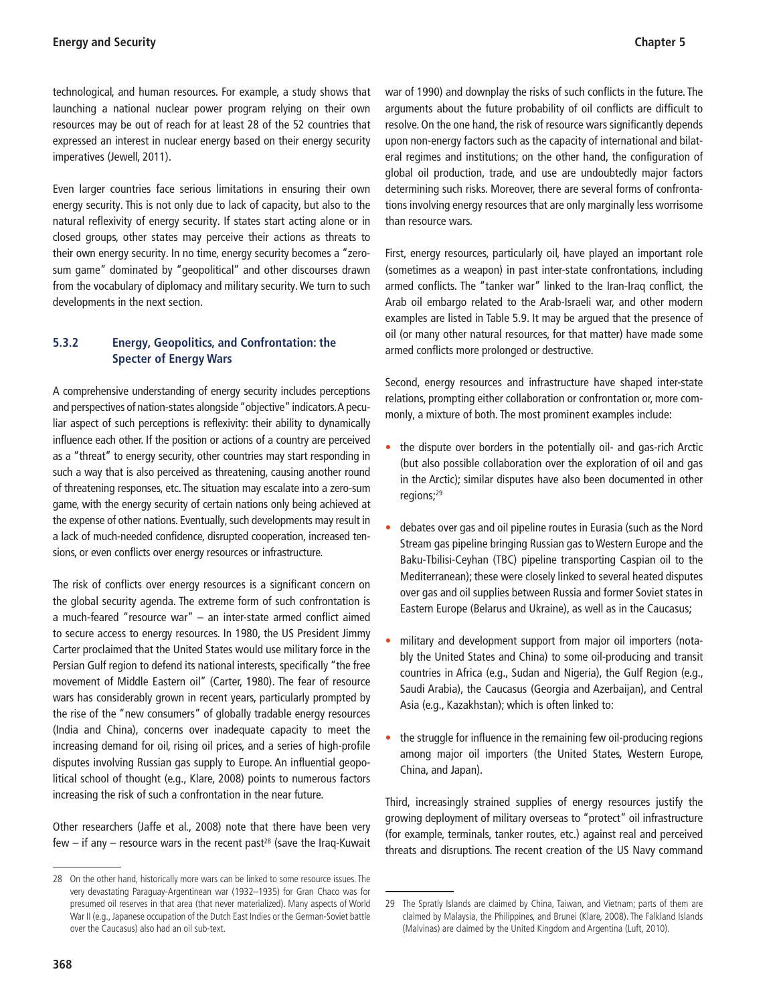technological, and human resources. For example, a study shows that launching a national nuclear power program relying on their own resources may be out of reach for at least 28 of the 52 countries that expressed an interest in nuclear energy based on their energy security imperatives (Jewell, 2011).

 Even larger countries face serious limitations in ensuring their own energy security. This is not only due to lack of capacity, but also to the natural reflexivity of energy security. If states start acting alone or in closed groups, other states may perceive their actions as threats to their own energy security. In no time, energy security becomes a "zerosum game" dominated by "geopolitical" and other discourses drawn from the vocabulary of diplomacy and military security. We turn to such developments in the next section.

## **5.3.2 Energy, Geopolitics, and Confrontation: the Specter of Energy Wars**

 A comprehensive understanding of energy security includes perceptions and perspectives of nation-states alongside "objective" indicators. A peculiar aspect of such perceptions is reflexivity: their ability to dynamically influence each other. If the position or actions of a country are perceived as a "threat" to energy security, other countries may start responding in such a way that is also perceived as threatening, causing another round of threatening responses, etc. The situation may escalate into a zero-sum game, with the energy security of certain nations only being achieved at the expense of other nations. Eventually, such developments may result in a lack of much-needed confidence, disrupted cooperation, increased tensions, or even conflicts over energy resources or infrastructure.

 The risk of conflicts over energy resources is a significant concern on the global security agenda. The extreme form of such confrontation is a much-feared "resource war" – an inter-state armed conflict aimed to secure access to energy resources. In 1980, the US President Jimmy Carter proclaimed that the United States would use military force in the Persian Gulf region to defend its national interests, specifically "the free movement of Middle Eastern oil" (Carter, 1980). The fear of resource wars has considerably grown in recent years, particularly prompted by the rise of the "new consumers" of globally tradable energy resources (India and China), concerns over inadequate capacity to meet the increasing demand for oil, rising oil prices, and a series of high-profile disputes involving Russian gas supply to Europe. An influential geopolitical school of thought (e.g., Klare, 2008) points to numerous factors increasing the risk of such a confrontation in the near future.

Other researchers (Jaffe et al., 2008) note that there have been very few – if any – resource wars in the recent past<sup>28</sup> (save the Iraq-Kuwait war of 1990) and downplay the risks of such conflicts in the future. The arguments about the future probability of oil conflicts are difficult to resolve. On the one hand, the risk of resource wars significantly depends upon non-energy factors such as the capacity of international and bilateral regimes and institutions; on the other hand, the configuration of global oil production, trade, and use are undoubtedly major factors determining such risks. Moreover, there are several forms of confrontations involving energy resources that are only marginally less worrisome than resource wars.

 First, energy resources, particularly oil, have played an important role (sometimes as a weapon) in past inter-state confrontations, including armed conflicts. The "tanker war" linked to the Iran-Iraq conflict, the Arab oil embargo related to the Arab-Israeli war, and other modern examples are listed in Table 5.9 . It may be argued that the presence of oil (or many other natural resources, for that matter) have made some armed conflicts more prolonged or destructive.

 Second, energy resources and infrastructure have shaped inter-state relations, prompting either collaboration or confrontation or, more commonly, a mixture of both. The most prominent examples include:

- the dispute over borders in the potentially oil- and gas-rich Arctic (but also possible collaboration over the exploration of oil and gas in the Arctic); similar disputes have also been documented in other regions;<sup>29</sup>
- debates over gas and oil pipeline routes in Eurasia (such as the Nord Stream gas pipeline bringing Russian gas to Western Europe and the Baku-Tbilisi-Ceyhan (TBC) pipeline transporting Caspian oil to the Mediterranean); these were closely linked to several heated disputes over gas and oil supplies between Russia and former Soviet states in Eastern Europe (Belarus and Ukraine), as well as in the Caucasus;
- military and development support from major oil importers (notably the United States and China) to some oil-producing and transit countries in Africa (e.g., Sudan and Nigeria), the Gulf Region (e.g., Saudi Arabia), the Caucasus (Georgia and Azerbaijan), and Central Asia (e.g., Kazakhstan); which is often linked to:
- the struggle for influence in the remaining few oil-producing regions among major oil importers (the United States, Western Europe, China, and Japan).

 Third, increasingly strained supplies of energy resources justify the growing deployment of military overseas to "protect" oil infrastructure (for example, terminals, tanker routes, etc.) against real and perceived threats and disruptions. The recent creation of the US Navy command

 <sup>28</sup> On the other hand, historically more wars can be linked to some resource issues. The very devastating Paraguay-Argentinean war (1932–1935) for Gran Chaco was for presumed oil reserves in that area (that never materialized). Many aspects of World War II (e.g., Japanese occupation of the Dutch East Indies or the German-Soviet battle over the Caucasus) also had an oil sub-text.

 <sup>29</sup> The Spratly Islands are claimed by China, Taiwan, and Vietnam; parts of them are claimed by Malaysia, the Philippines, and Brunei (Klare, 2008). The Falkland Islands (Malvinas) are claimed by the United Kingdom and Argentina (Luft, 2010).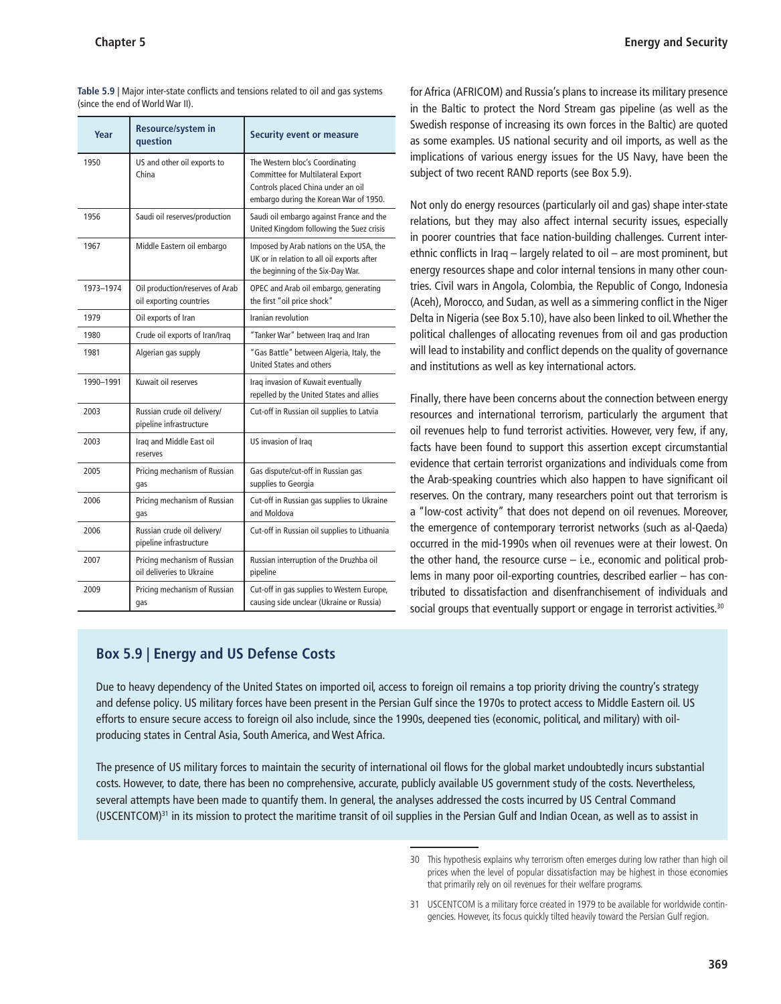| Year      | Resource/system in<br>question                             | <b>Security event or measure</b>                                                                                                                            |
|-----------|------------------------------------------------------------|-------------------------------------------------------------------------------------------------------------------------------------------------------------|
| 1950      | US and other oil exports to<br>China                       | The Western bloc's Coordinating<br><b>Committee for Multilateral Export</b><br>Controls placed China under an oil<br>embargo during the Korean War of 1950. |
| 1956      | Saudi oil reserves/production                              | Saudi oil embargo against France and the<br>United Kingdom following the Suez crisis                                                                        |
| 1967      | Middle Eastern oil embargo                                 | Imposed by Arab nations on the USA, the<br>UK or in relation to all oil exports after<br>the beginning of the Six-Day War.                                  |
| 1973-1974 | Oil production/reserves of Arab<br>oil exporting countries | OPEC and Arab oil embargo, generating<br>the first "oil price shock"                                                                                        |
| 1979      | Oil exports of Iran                                        | Iranian revolution                                                                                                                                          |
| 1980      | Crude oil exports of Iran/Iraq                             | "Tanker War" between Iraq and Iran                                                                                                                          |
| 1981      | Algerian gas supply                                        | "Gas Battle" between Algeria, Italy, the<br>United States and others                                                                                        |
| 1990-1991 | Kuwait oil reserves                                        | Iraq invasion of Kuwait eventually<br>repelled by the United States and allies                                                                              |
| 2003      | Russian crude oil delivery/<br>pipeline infrastructure     | Cut-off in Russian oil supplies to Latvia                                                                                                                   |
| 2003      | Iraq and Middle East oil<br>reserves                       | US invasion of Iraq                                                                                                                                         |
| 2005      | Pricing mechanism of Russian<br>qas                        | Gas dispute/cut-off in Russian gas<br>supplies to Georgia                                                                                                   |
| 2006      | Pricing mechanism of Russian<br>qas                        | Cut-off in Russian gas supplies to Ukraine<br>and Moldova                                                                                                   |
| 2006      | Russian crude oil delivery/<br>pipeline infrastructure     | Cut-off in Russian oil supplies to Lithuania                                                                                                                |
| 2007      | Pricing mechanism of Russian<br>oil deliveries to Ukraine  | Russian interruption of the Druzhba oil<br>pipeline                                                                                                         |
| 2009      | Pricing mechanism of Russian<br>qas                        | Cut-off in gas supplies to Western Europe,<br>causing side unclear (Ukraine or Russia)                                                                      |

Table 5.9 | Major inter-state conflicts and tensions related to oil and gas systems (since the end of World War II).

for Africa (AFRICOM) and Russia's plans to increase its military presence in the Baltic to protect the Nord Stream gas pipeline (as well as the Swedish response of increasing its own forces in the Baltic) are quoted as some examples. US national security and oil imports, as well as the implications of various energy issues for the US Navy, have been the subject of two recent RAND reports (see Box 5.9).

 Not only do energy resources (particularly oil and gas) shape inter-state relations, but they may also affect internal security issues, especially in poorer countries that face nation-building challenges. Current interethnic conflicts in Iraq – largely related to oil – are most prominent, but energy resources shape and color internal tensions in many other countries. Civil wars in Angola, Colombia, the Republic of Congo, Indonesia (Aceh), Morocco, and Sudan, as well as a simmering conflict in the Niger Delta in Nigeria (see Box 5.10 ), have also been linked to oil. Whether the political challenges of allocating revenues from oil and gas production will lead to instability and conflict depends on the quality of governance and institutions as well as key international actors.

 Finally, there have been concerns about the connection between energy resources and international terrorism, particularly the argument that oil revenues help to fund terrorist activities. However, very few, if any, facts have been found to support this assertion except circumstantial evidence that certain terrorist organizations and individuals come from the Arab-speaking countries which also happen to have significant oil reserves. On the contrary, many researchers point out that terrorism is a "low-cost activity" that does not depend on oil revenues. Moreover, the emergence of contemporary terrorist networks (such as al-Qaeda) occurred in the mid-1990s when oil revenues were at their lowest. On the other hand, the resource curse  $-$  i.e., economic and political problems in many poor oil-exporting countries, described earlier – has contributed to dissatisfaction and disenfranchisement of individuals and social groups that eventually support or engage in terrorist activities.<sup>30</sup>

## **Box 5.9 | Energy and US Defense Costs**

 Due to heavy dependency of the United States on imported oil, access to foreign oil remains a top priority driving the country's strategy and defense policy. US military forces have been present in the Persian Gulf since the 1970s to protect access to Middle Eastern oil. US efforts to ensure secure access to foreign oil also include, since the 1990s, deepened ties (economic, political, and military) with oilproducing states in Central Asia, South America, and West Africa.

The presence of US military forces to maintain the security of international oil flows for the global market undoubtedly incurs substantial costs. However, to date, there has been no comprehensive, accurate, publicly available US government study of the costs. Nevertheless, several attempts have been made to quantify them. In general, the analyses addressed the costs incurred by US Central Command  $(USCENTCOM)^{31}$  in its mission to protect the maritime transit of oil supplies in the Persian Gulf and Indian Ocean, as well as to assist in

 <sup>30</sup> This hypothesis explains why terrorism often emerges during low rather than high oil prices when the level of popular dissatisfaction may be highest in those economies that primarily rely on oil revenues for their welfare programs.

 <sup>31</sup> USCENTCOM is a military force created in 1979 to be available for worldwide contingencies. However, its focus quickly tilted heavily toward the Persian Gulf region.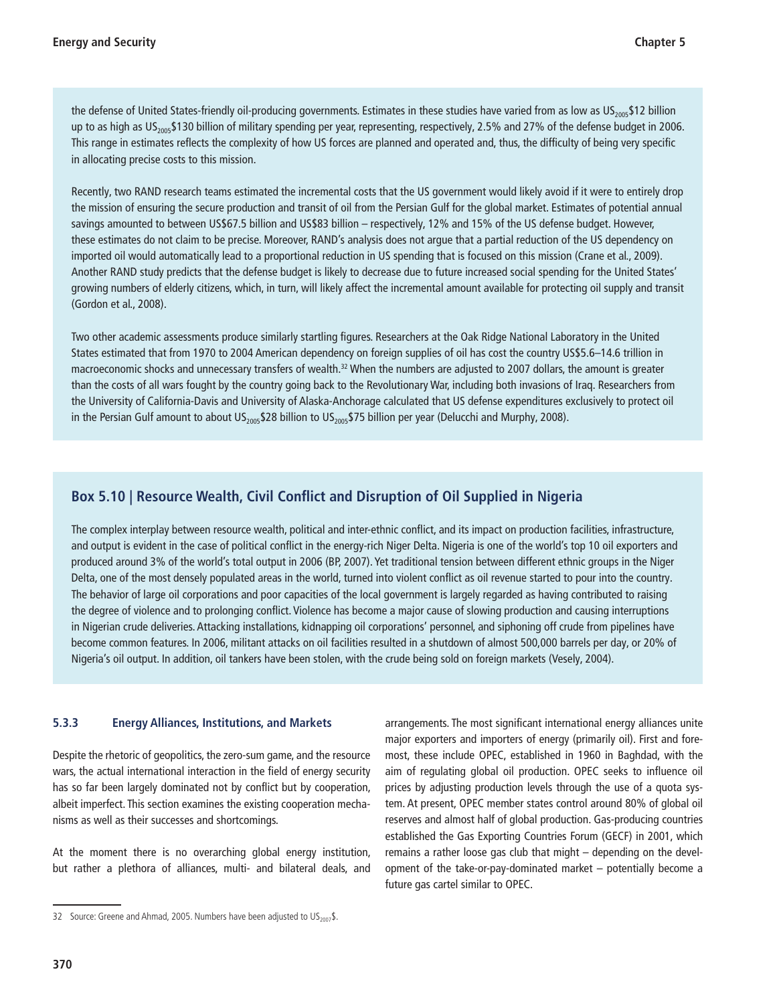the defense of United States-friendly oil-producing governments. Estimates in these studies have varied from as low as US<sub>2005</sub>\$12 billion up to as high as US<sub>2005</sub>\$130 billion of military spending per year, representing, respectively, 2.5% and 27% of the defense budget in 2006. This range in estimates reflects the complexity of how US forces are planned and operated and, thus, the difficulty of being very specific in allocating precise costs to this mission.

 Recently, two RAND research teams estimated the incremental costs that the US government would likely avoid if it were to entirely drop the mission of ensuring the secure production and transit of oil from the Persian Gulf for the global market. Estimates of potential annual savings amounted to between US\$67.5 billion and US\$83 billion – respectively, 12% and 15% of the US defense budget. However, these estimates do not claim to be precise. Moreover, RAND's analysis does not argue that a partial reduction of the US dependency on imported oil would automatically lead to a proportional reduction in US spending that is focused on this mission (Crane et al., 2009). Another RAND study predicts that the defense budget is likely to decrease due to future increased social spending for the United States' growing numbers of elderly citizens, which, in turn, will likely affect the incremental amount available for protecting oil supply and transit (Gordon et al., 2008).

Two other academic assessments produce similarly startling figures. Researchers at the Oak Ridge National Laboratory in the United States estimated that from 1970 to 2004 American dependency on foreign supplies of oil has cost the country US\$5.6–14.6 trillion in macroeconomic shocks and unnecessary transfers of wealth. 32 When the numbers are adjusted to 2007 dollars, the amount is greater than the costs of all wars fought by the country going back to the Revolutionary War, including both invasions of Iraq. Researchers from the University of California-Davis and University of Alaska-Anchorage calculated that US defense expenditures exclusively to protect oil in the Persian Gulf amount to about US<sub>2005</sub>\$28 billion to US<sub>2005</sub>\$75 billion per year (Delucchi and Murphy, 2008).

## **Box 5.10 | Resource Wealth, Civil Conflict and Disruption of Oil Supplied in Nigeria**

The complex interplay between resource wealth, political and inter-ethnic conflict, and its impact on production facilities, infrastructure, and output is evident in the case of political conflict in the energy-rich Niger Delta. Nigeria is one of the world's top 10 oil exporters and produced around 3% of the world's total output in 2006 (BP, 2007). Yet traditional tension between different ethnic groups in the Niger Delta, one of the most densely populated areas in the world, turned into violent conflict as oil revenue started to pour into the country. The behavior of large oil corporations and poor capacities of the local government is largely regarded as having contributed to raising the degree of violence and to prolonging conflict. Violence has become a major cause of slowing production and causing interruptions in Nigerian crude deliveries. Attacking installations, kidnapping oil corporations' personnel, and siphoning off crude from pipelines have become common features. In 2006, militant attacks on oil facilities resulted in a shutdown of almost 500,000 barrels per day, or 20% of Nigeria's oil output. In addition, oil tankers have been stolen, with the crude being sold on foreign markets (Vesely, 2004).

#### **5.3.3 Energy Alliances, Institutions, and Markets**

 Despite the rhetoric of geopolitics, the zero-sum game, and the resource wars, the actual international interaction in the field of energy security has so far been largely dominated not by conflict but by cooperation, albeit imperfect. This section examines the existing cooperation mechanisms as well as their successes and shortcomings.

 At the moment there is no overarching global energy institution, but rather a plethora of alliances, multi- and bilateral deals, and

arrangements. The most significant international energy alliances unite major exporters and importers of energy (primarily oil). First and foremost, these include OPEC, established in 1960 in Baghdad, with the aim of regulating global oil production. OPEC seeks to influence oil prices by adjusting production levels through the use of a quota system. At present, OPEC member states control around 80% of global oil reserves and almost half of global production. Gas-producing countries established the Gas Exporting Countries Forum (GECF) in 2001, which remains a rather loose gas club that might – depending on the development of the take-or-pay-dominated market – potentially become a future gas cartel similar to OPEC.

<sup>32</sup> Source: Greene and Ahmad, 2005. Numbers have been adjusted to  $US_{2007}$ \$.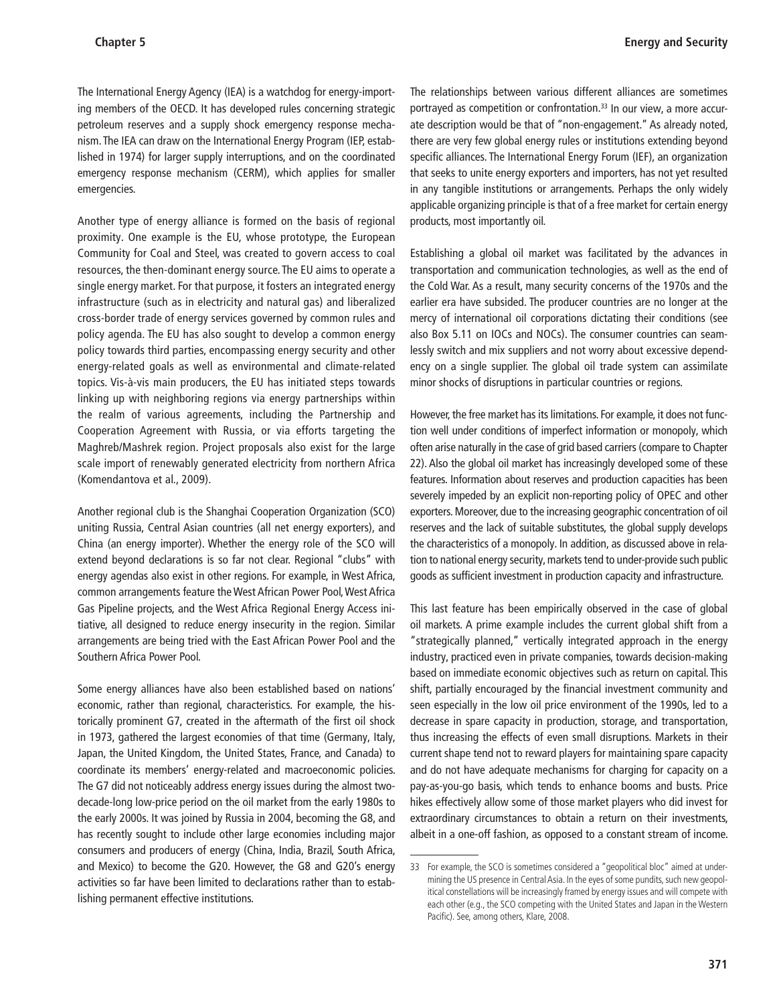The International Energy Agency (IEA) is a watchdog for energy-importing members of the OECD. It has developed rules concerning strategic petroleum reserves and a supply shock emergency response mechanism. The IEA can draw on the International Energy Program (IEP, established in 1974) for larger supply interruptions, and on the coordinated emergency response mechanism (CERM), which applies for smaller emergencies.

 Another type of energy alliance is formed on the basis of regional proximity. One example is the EU, whose prototype, the European Community for Coal and Steel, was created to govern access to coal resources, the then-dominant energy source. The EU aims to operate a single energy market. For that purpose, it fosters an integrated energy infrastructure (such as in electricity and natural gas) and liberalized cross-border trade of energy services governed by common rules and policy agenda. The EU has also sought to develop a common energy policy towards third parties, encompassing energy security and other energy-related goals as well as environmental and climate-related topics. Vis-à-vis main producers, the EU has initiated steps towards linking up with neighboring regions via energy partnerships within the realm of various agreements, including the Partnership and Cooperation Agreement with Russia, or via efforts targeting the Maghreb/Mashrek region. Project proposals also exist for the large scale import of renewably generated electricity from northern Africa (Komendantova et al., 2009).

 Another regional club is the Shanghai Cooperation Organization (SCO) uniting Russia, Central Asian countries (all net energy exporters), and China (an energy importer). Whether the energy role of the SCO will extend beyond declarations is so far not clear. Regional "clubs" with energy agendas also exist in other regions. For example, in West Africa, common arrangements feature the West African Power Pool, West Africa Gas Pipeline projects, and the West Africa Regional Energy Access initiative, all designed to reduce energy insecurity in the region. Similar arrangements are being tried with the East African Power Pool and the Southern Africa Power Pool.

 Some energy alliances have also been established based on nations' economic, rather than regional, characteristics. For example, the historically prominent G7, created in the aftermath of the first oil shock in 1973, gathered the largest economies of that time (Germany, Italy, Japan, the United Kingdom, the United States, France, and Canada) to coordinate its members' energy-related and macroeconomic policies. The G7 did not noticeably address energy issues during the almost twodecade-long low-price period on the oil market from the early 1980s to the early 2000s. It was joined by Russia in 2004, becoming the G8, and has recently sought to include other large economies including major consumers and producers of energy (China, India, Brazil, South Africa, and Mexico) to become the G20. However, the G8 and G20's energy activities so far have been limited to declarations rather than to establishing permanent effective institutions.

 The relationships between various different alliances are sometimes portrayed as competition or confrontation.<sup>33</sup> In our view, a more accurate description would be that of "non-engagement." As already noted, there are very few global energy rules or institutions extending beyond specific alliances. The International Energy Forum (IEF), an organization that seeks to unite energy exporters and importers, has not yet resulted in any tangible institutions or arrangements. Perhaps the only widely applicable organizing principle is that of a free market for certain energy products, most importantly oil.

 Establishing a global oil market was facilitated by the advances in transportation and communication technologies, as well as the end of the Cold War. As a result, many security concerns of the 1970s and the earlier era have subsided. The producer countries are no longer at the mercy of international oil corporations dictating their conditions (see also Box 5.11 on IOCs and NOCs). The consumer countries can seamlessly switch and mix suppliers and not worry about excessive dependency on a single supplier. The global oil trade system can assimilate minor shocks of disruptions in particular countries or regions.

 However, the free market has its limitations. For example, it does not function well under conditions of imperfect information or monopoly, which often arise naturally in the case of grid based carriers (compare to Chapter 22). Also the global oil market has increasingly developed some of these features. Information about reserves and production capacities has been severely impeded by an explicit non-reporting policy of OPEC and other exporters. Moreover, due to the increasing geographic concentration of oil reserves and the lack of suitable substitutes, the global supply develops the characteristics of a monopoly. In addition, as discussed above in relation to national energy security, markets tend to under-provide such public goods as sufficient investment in production capacity and infrastructure.

 This last feature has been empirically observed in the case of global oil markets. A prime example includes the current global shift from a "strategically planned," vertically integrated approach in the energy industry, practiced even in private companies, towards decision-making based on immediate economic objectives such as return on capital. This shift, partially encouraged by the financial investment community and seen especially in the low oil price environment of the 1990s, led to a decrease in spare capacity in production, storage, and transportation, thus increasing the effects of even small disruptions. Markets in their current shape tend not to reward players for maintaining spare capacity and do not have adequate mechanisms for charging for capacity on a pay-as-you-go basis, which tends to enhance booms and busts. Price hikes effectively allow some of those market players who did invest for extraordinary circumstances to obtain a return on their investments, albeit in a one-off fashion, as opposed to a constant stream of income.

 <sup>33</sup> For example, the SCO is sometimes considered a "geopolitical bloc" aimed at undermining the US presence in Central Asia. In the eyes of some pundits, such new geopolitical constellations will be increasingly framed by energy issues and will compete with each other (e.g., the SCO competing with the United States and Japan in the Western Pacific). See, among others, Klare, 2008.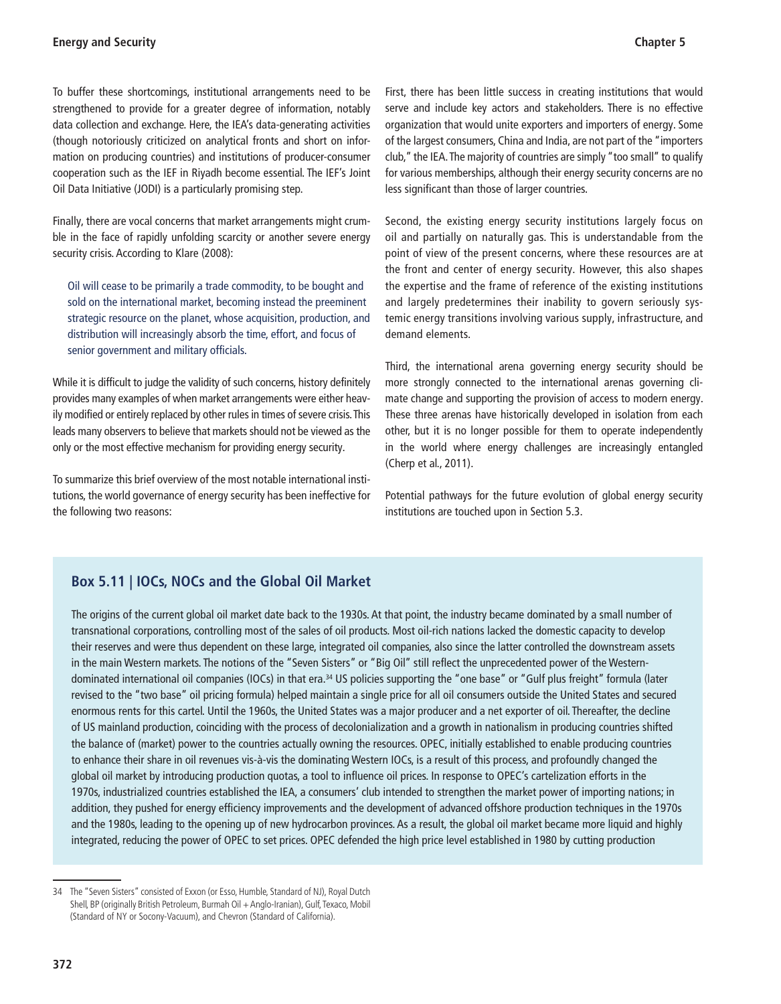To buffer these shortcomings, institutional arrangements need to be strengthened to provide for a greater degree of information, notably data collection and exchange. Here, the IEA's data-generating activities (though notoriously criticized on analytical fronts and short on information on producing countries) and institutions of producer-consumer cooperation such as the IEF in Riyadh become essential. The IEF's Joint Oil Data Initiative (JODI) is a particularly promising step.

 Finally, there are vocal concerns that market arrangements might crumble in the face of rapidly unfolding scarcity or another severe energy security crisis. According to Klare (2008):

 Oil will cease to be primarily a trade commodity, to be bought and sold on the international market, becoming instead the preeminent strategic resource on the planet, whose acquisition, production, and distribution will increasingly absorb the time, effort, and focus of senior government and military officials.

 While it is difficult to judge the validity of such concerns, history definitely provides many examples of when market arrangements were either heavily modified or entirely replaced by other rules in times of severe crisis. This leads many observers to believe that markets should not be viewed as the only or the most effective mechanism for providing energy security.

 To summarize this brief overview of the most notable international institutions, the world governance of energy security has been ineffective for the following two reasons:

 First, there has been little success in creating institutions that would serve and include key actors and stakeholders. There is no effective organization that would unite exporters and importers of energy. Some of the largest consumers, China and India, are not part of the "importers club," the IEA. The majority of countries are simply "too small" to qualify for various memberships, although their energy security concerns are no less significant than those of larger countries.

 Second, the existing energy security institutions largely focus on oil and partially on naturally gas. This is understandable from the point of view of the present concerns, where these resources are at the front and center of energy security. However, this also shapes the expertise and the frame of reference of the existing institutions and largely predetermines their inability to govern seriously systemic energy transitions involving various supply, infrastructure, and demand elements.

 Third, the international arena governing energy security should be more strongly connected to the international arenas governing climate change and supporting the provision of access to modern energy. These three arenas have historically developed in isolation from each other, but it is no longer possible for them to operate independently in the world where energy challenges are increasingly entangled (Cherp et al., 2011).

 Potential pathways for the future evolution of global energy security institutions are touched upon in Section 5.3 .

## **Box 5.11 | IOCs, NOCs and the Global Oil Market**

 The origins of the current global oil market date back to the 1930s. At that point, the industry became dominated by a small number of transnational corporations, controlling most of the sales of oil products. Most oil-rich nations lacked the domestic capacity to develop their reserves and were thus dependent on these large, integrated oil companies, also since the latter controlled the downstream assets in the main Western markets. The notions of the "Seven Sisters" or "Big Oil" still reflect the unprecedented power of the Westerndominated international oil companies (IOCs) in that era. 34 US policies supporting the "one base" or "Gulf plus freight" formula (later revised to the "two base" oil pricing formula) helped maintain a single price for all oil consumers outside the United States and secured enormous rents for this cartel. Until the 1960s, the United States was a major producer and a net exporter of oil. Thereafter, the decline of US mainland production, coinciding with the process of decolonialization and a growth in nationalism in producing countries shifted the balance of (market) power to the countries actually owning the resources. OPEC, initially established to enable producing countries to enhance their share in oil revenues vis-à-vis the dominating Western IOCs, is a result of this process, and profoundly changed the global oil market by introducing production quotas, a tool to influence oil prices. In response to OPEC's cartelization efforts in the 1970s, industrialized countries established the IEA, a consumers' club intended to strengthen the market power of importing nations; in addition, they pushed for energy efficiency improvements and the development of advanced offshore production techniques in the 1970s and the 1980s, leading to the opening up of new hydrocarbon provinces. As a result, the global oil market became more liquid and highly integrated, reducing the power of OPEC to set prices. OPEC defended the high price level established in 1980 by cutting production

 34 The "Seven Sisters" consisted of Exxon (or Esso, Humble, Standard of NJ), Royal Dutch Shell, BP (originally British Petroleum, Burmah Oil + Anglo-Iranian), Gulf, Texaco, Mobil (Standard of NY or Socony-Vacuum), and Chevron (Standard of California).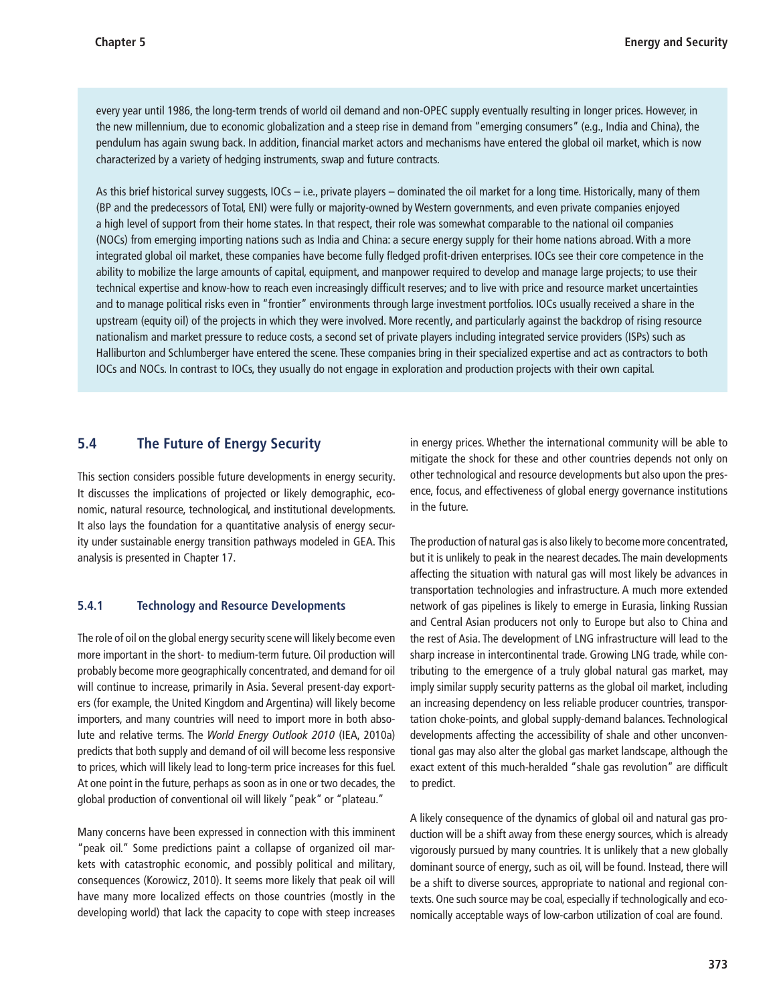every year until 1986, the long-term trends of world oil demand and non-OPEC supply eventually resulting in longer prices. However, in the new millennium, due to economic globalization and a steep rise in demand from "emerging consumers" (e.g., India and China), the pendulum has again swung back. In addition, financial market actors and mechanisms have entered the global oil market, which is now characterized by a variety of hedging instruments, swap and future contracts.

 As this brief historical survey suggests, IOCs – i.e., private players – dominated the oil market for a long time. Historically, many of them (BP and the predecessors of Total, ENI) were fully or majority-owned by Western governments, and even private companies enjoyed a high level of support from their home states. In that respect, their role was somewhat comparable to the national oil companies (NOCs) from emerging importing nations such as India and China: a secure energy supply for their home nations abroad. With a more integrated global oil market, these companies have become fully fledged profit-driven enterprises. IOCs see their core competence in the ability to mobilize the large amounts of capital, equipment, and manpower required to develop and manage large projects; to use their technical expertise and know-how to reach even increasingly difficult reserves; and to live with price and resource market uncertainties and to manage political risks even in "frontier" environments through large investment portfolios. IOCs usually received a share in the upstream (equity oil) of the projects in which they were involved. More recently, and particularly against the backdrop of rising resource nationalism and market pressure to reduce costs, a second set of private players including integrated service providers (ISPs) such as Halliburton and Schlumberger have entered the scene. These companies bring in their specialized expertise and act as contractors to both IOCs and NOCs. In contrast to IOCs, they usually do not engage in exploration and production projects with their own capital.

## **5.4 The Future of Energy Security**

 This section considers possible future developments in energy security. It discusses the implications of projected or likely demographic, economic, natural resource, technological, and institutional developments. It also lays the foundation for a quantitative analysis of energy security under sustainable energy transition pathways modeled in GEA. This analysis is presented in Chapter 17 .

#### **5.4.1 Technology and Resource Developments**

 The role of oil on the global energy security scene will likely become even more important in the short- to medium-term future. Oil production will probably become more geographically concentrated, and demand for oil will continue to increase, primarily in Asia. Several present-day exporters (for example, the United Kingdom and Argentina) will likely become importers, and many countries will need to import more in both absolute and relative terms. The World Energy Outlook 2010 (IEA, 2010a) predicts that both supply and demand of oil will become less responsive to prices, which will likely lead to long-term price increases for this fuel. At one point in the future, perhaps as soon as in one or two decades, the global production of conventional oil will likely "peak" or "plateau."

 Many concerns have been expressed in connection with this imminent "peak oil." Some predictions paint a collapse of organized oil markets with catastrophic economic, and possibly political and military, consequences (Korowicz, 2010). It seems more likely that peak oil will have many more localized effects on those countries (mostly in the developing world) that lack the capacity to cope with steep increases

in energy prices. Whether the international community will be able to mitigate the shock for these and other countries depends not only on other technological and resource developments but also upon the presence, focus, and effectiveness of global energy governance institutions in the future.

 The production of natural gas is also likely to become more concentrated, but it is unlikely to peak in the nearest decades. The main developments affecting the situation with natural gas will most likely be advances in transportation technologies and infrastructure. A much more extended network of gas pipelines is likely to emerge in Eurasia, linking Russian and Central Asian producers not only to Europe but also to China and the rest of Asia. The development of LNG infrastructure will lead to the sharp increase in intercontinental trade. Growing LNG trade, while contributing to the emergence of a truly global natural gas market, may imply similar supply security patterns as the global oil market, including an increasing dependency on less reliable producer countries, transportation choke-points, and global supply-demand balances. Technological developments affecting the accessibility of shale and other unconventional gas may also alter the global gas market landscape, although the exact extent of this much-heralded "shale gas revolution" are difficult to predict.

 A likely consequence of the dynamics of global oil and natural gas production will be a shift away from these energy sources, which is already vigorously pursued by many countries. It is unlikely that a new globally dominant source of energy, such as oil, will be found. Instead, there will be a shift to diverse sources, appropriate to national and regional contexts. One such source may be coal, especially if technologically and economically acceptable ways of low-carbon utilization of coal are found.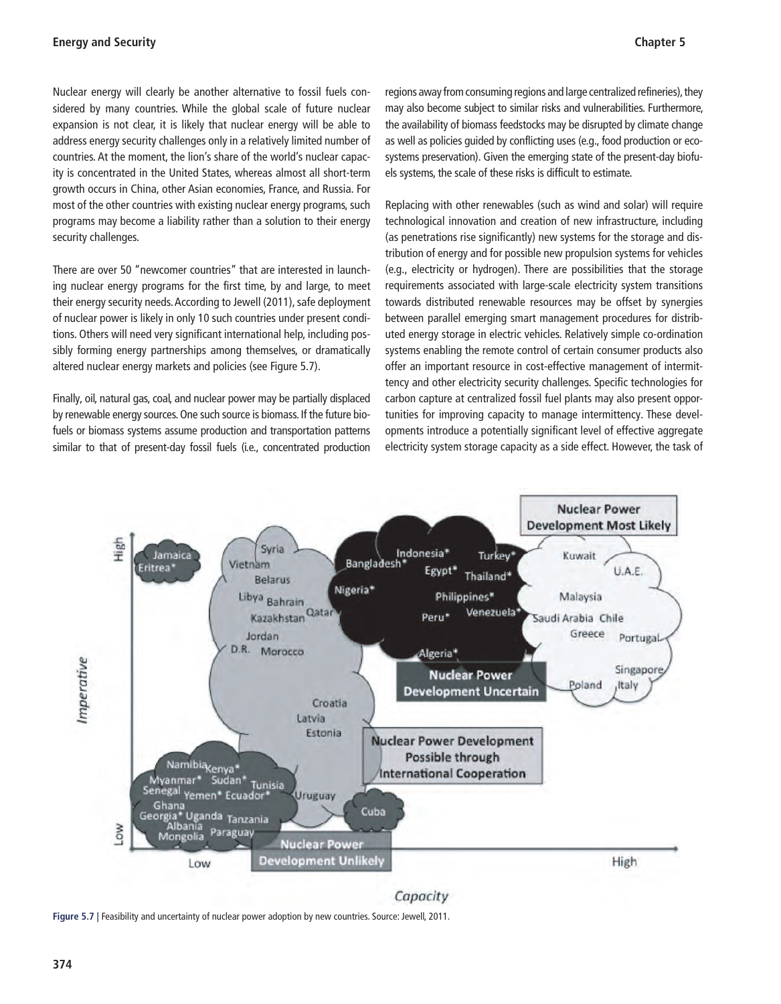Nuclear energy will clearly be another alternative to fossil fuels considered by many countries. While the global scale of future nuclear expansion is not clear, it is likely that nuclear energy will be able to address energy security challenges only in a relatively limited number of countries. At the moment, the lion's share of the world's nuclear capacity is concentrated in the United States, whereas almost all short-term growth occurs in China, other Asian economies, France, and Russia. For most of the other countries with existing nuclear energy programs, such programs may become a liability rather than a solution to their energy security challenges.

 There are over 50 "newcomer countries" that are interested in launching nuclear energy programs for the first time, by and large, to meet their energy security needs. According to Jewell (2011), safe deployment of nuclear power is likely in only 10 such countries under present conditions. Others will need very significant international help, including possibly forming energy partnerships among themselves, or dramatically altered nuclear energy markets and policies (see Figure 5.7).

 Finally, oil, natural gas, coal, and nuclear power may be partially displaced by renewable energy sources. One such source is biomass. If the future biofuels or biomass systems assume production and transportation patterns similar to that of present-day fossil fuels (i.e., concentrated production regions away from consuming regions and large centralized refineries), they may also become subject to similar risks and vulnerabilities. Furthermore, the availability of biomass feedstocks may be disrupted by climate change as well as policies guided by conflicting uses (e.g., food production or ecosystems preservation). Given the emerging state of the present-day biofuels systems, the scale of these risks is difficult to estimate.

 Replacing with other renewables (such as wind and solar) will require technological innovation and creation of new infrastructure, including (as penetrations rise significantly) new systems for the storage and distribution of energy and for possible new propulsion systems for vehicles (e.g., electricity or hydrogen). There are possibilities that the storage requirements associated with large-scale electricity system transitions towards distributed renewable resources may be offset by synergies between parallel emerging smart management procedures for distributed energy storage in electric vehicles. Relatively simple co-ordination systems enabling the remote control of certain consumer products also offer an important resource in cost-effective management of intermittency and other electricity security challenges. Specific technologies for carbon capture at centralized fossil fuel plants may also present opportunities for improving capacity to manage intermittency. These developments introduce a potentially significant level of effective aggregate electricity system storage capacity as a side effect. However, the task of



 **Figure 5.7 |** Feasibility and uncertainty of nuclear power adoption by new countries. Source: Jewell, 2011 .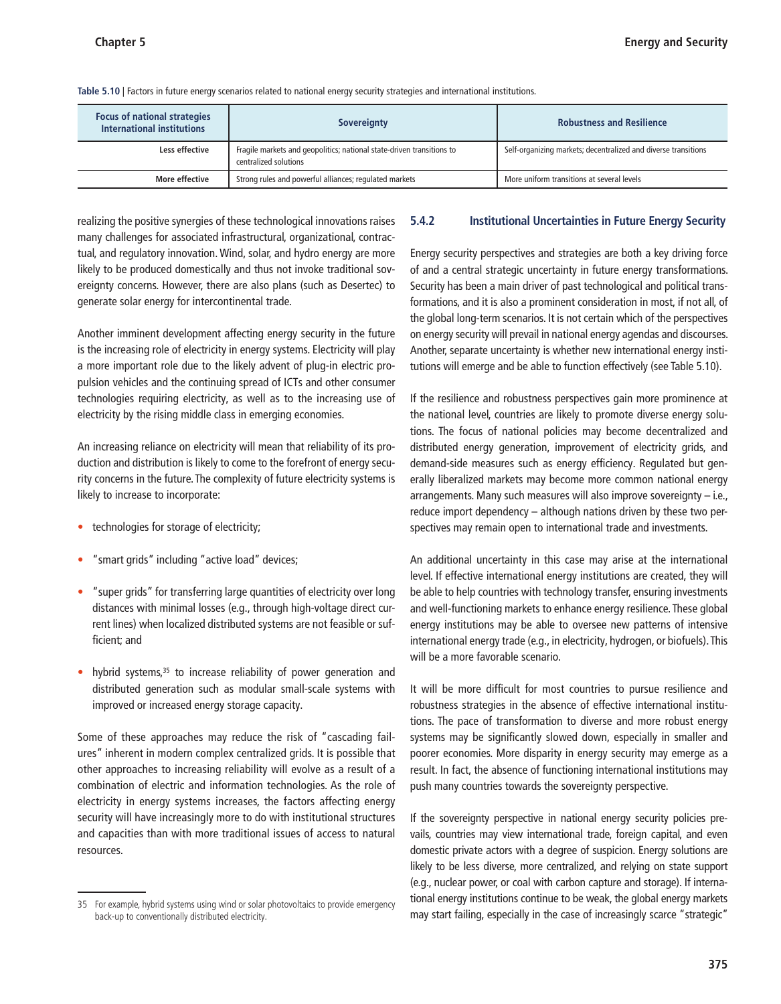**Table 5.10** | Factors in future energy scenarios related to national energy security strategies and international institutions.

| <b>Focus of national strategies</b><br>International institutions | <b>Sovereignty</b>                                                                             | <b>Robustness and Resilience</b>                               |
|-------------------------------------------------------------------|------------------------------------------------------------------------------------------------|----------------------------------------------------------------|
| Less effective                                                    | Fragile markets and geopolitics; national state-driven transitions to<br>centralized solutions | Self-organizing markets; decentralized and diverse transitions |
| More effective                                                    | Strong rules and powerful alliances; regulated markets                                         | More uniform transitions at several levels                     |

realizing the positive synergies of these technological innovations raises many challenges for associated infrastructural, organizational, contractual, and regulatory innovation. Wind, solar, and hydro energy are more likely to be produced domestically and thus not invoke traditional sovereignty concerns. However, there are also plans (such as Desertec) to generate solar energy for intercontinental trade.

 Another imminent development affecting energy security in the future is the increasing role of electricity in energy systems. Electricity will play a more important role due to the likely advent of plug-in electric propulsion vehicles and the continuing spread of ICTs and other consumer technologies requiring electricity, as well as to the increasing use of electricity by the rising middle class in emerging economies.

 An increasing reliance on electricity will mean that reliability of its production and distribution is likely to come to the forefront of energy security concerns in the future. The complexity of future electricity systems is likely to increase to incorporate:

- technologies for storage of electricity;
- "smart grids" including "active load" devices;
- "super grids" for transferring large quantities of electricity over long distances with minimal losses (e.g., through high-voltage direct current lines) when localized distributed systems are not feasible or sufficient; and
- hybrid systems,<sup>35</sup> to increase reliability of power generation and distributed generation such as modular small-scale systems with improved or increased energy storage capacity.

 Some of these approaches may reduce the risk of "cascading failures" inherent in modern complex centralized grids. It is possible that other approaches to increasing reliability will evolve as a result of a combination of electric and information technologies. As the role of electricity in energy systems increases, the factors affecting energy security will have increasingly more to do with institutional structures and capacities than with more traditional issues of access to natural resources.

#### **5.4.2 Institutional Uncertainties in Future Energy Security**

 Energy security perspectives and strategies are both a key driving force of and a central strategic uncertainty in future energy transformations. Security has been a main driver of past technological and political transformations, and it is also a prominent consideration in most, if not all, of the global long-term scenarios. It is not certain which of the perspectives on energy security will prevail in national energy agendas and discourses. Another, separate uncertainty is whether new international energy institutions will emerge and be able to function effectively (see Table 5.10).

 If the resilience and robustness perspectives gain more prominence at the national level, countries are likely to promote diverse energy solutions. The focus of national policies may become decentralized and distributed energy generation, improvement of electricity grids, and demand-side measures such as energy efficiency. Regulated but generally liberalized markets may become more common national energy arrangements. Many such measures will also improve sovereignty – i.e., reduce import dependency – although nations driven by these two perspectives may remain open to international trade and investments.

 An additional uncertainty in this case may arise at the international level. If effective international energy institutions are created, they will be able to help countries with technology transfer, ensuring investments and well-functioning markets to enhance energy resilience. These global energy institutions may be able to oversee new patterns of intensive international energy trade (e.g., in electricity, hydrogen, or biofuels). This will be a more favorable scenario.

 It will be more difficult for most countries to pursue resilience and robustness strategies in the absence of effective international institutions. The pace of transformation to diverse and more robust energy systems may be significantly slowed down, especially in smaller and poorer economies. More disparity in energy security may emerge as a result. In fact, the absence of functioning international institutions may push many countries towards the sovereignty perspective.

 If the sovereignty perspective in national energy security policies prevails, countries may view international trade, foreign capital, and even domestic private actors with a degree of suspicion. Energy solutions are likely to be less diverse, more centralized, and relying on state support (e.g., nuclear power, or coal with carbon capture and storage). If international energy institutions continue to be weak, the global energy markets ing increasing tiertly institutions continue to be weak, the global energy markets<br>"back-up to conventionally distributed electricity. motovoltaics to provide emergency may start failing, especially in the case of increasi

back-up to conventionally distributed electricity.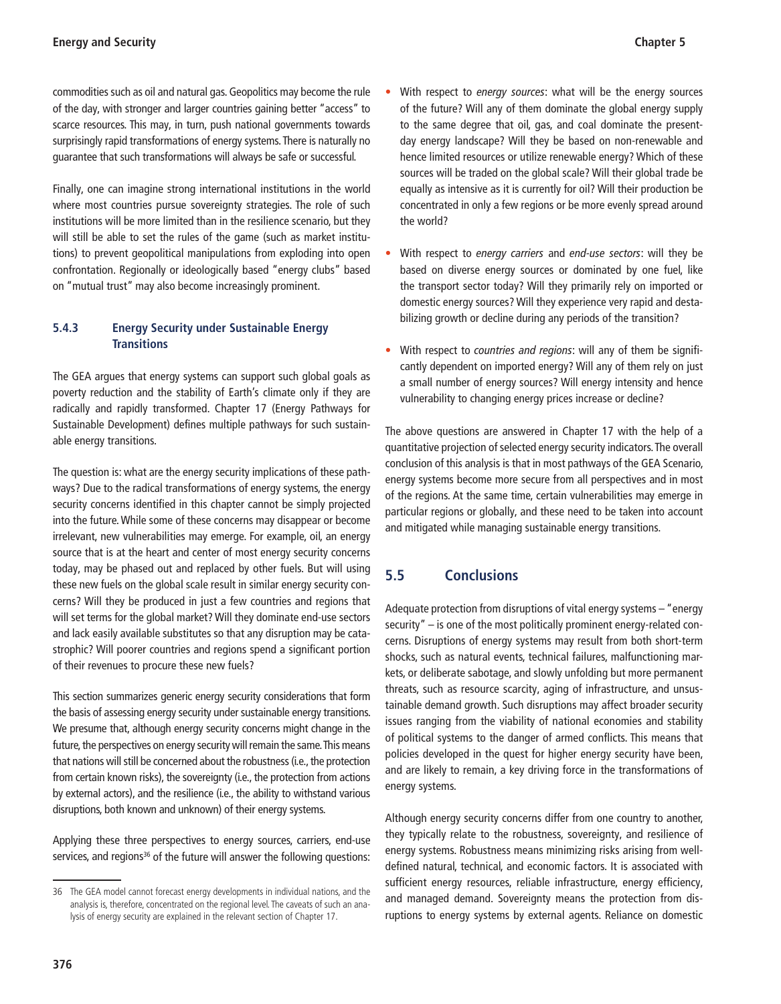commodities such as oil and natural gas. Geopolitics may become the rule of the day, with stronger and larger countries gaining better "access" to scarce resources. This may, in turn, push national governments towards surprisingly rapid transformations of energy systems. There is naturally no guarantee that such transformations will always be safe or successful.

 Finally, one can imagine strong international institutions in the world where most countries pursue sovereignty strategies. The role of such institutions will be more limited than in the resilience scenario, but they will still be able to set the rules of the game (such as market institutions) to prevent geopolitical manipulations from exploding into open confrontation. Regionally or ideologically based "energy clubs" based on "mutual trust" may also become increasingly prominent.

## **5.4.3 Energy Security under Sustainable Energy Transitions**

 The GEA argues that energy systems can support such global goals as poverty reduction and the stability of Earth's climate only if they are radically and rapidly transformed. Chapter 17 (Energy Pathways for Sustainable Development) defines multiple pathways for such sustainable energy transitions.

 The question is: what are the energy security implications of these pathways? Due to the radical transformations of energy systems, the energy security concerns identified in this chapter cannot be simply projected into the future. While some of these concerns may disappear or become irrelevant, new vulnerabilities may emerge. For example, oil, an energy source that is at the heart and center of most energy security concerns today, may be phased out and replaced by other fuels. But will using these new fuels on the global scale result in similar energy security concerns? Will they be produced in just a few countries and regions that will set terms for the global market? Will they dominate end-use sectors and lack easily available substitutes so that any disruption may be catastrophic? Will poorer countries and regions spend a significant portion of their revenues to procure these new fuels?

 This section summarizes generic energy security considerations that form the basis of assessing energy security under sustainable energy transitions. We presume that, although energy security concerns might change in the future, the perspectives on energy security will remain the same. This means that nations will still be concerned about the robustness (i.e., the protection from certain known risks), the sovereignty (i.e., the protection from actions by external actors), and the resilience (i.e., the ability to withstand various disruptions, both known and unknown) of their energy systems.

 Applying these three perspectives to energy sources, carriers, end-use services, and regions<sup>36</sup> of the future will answer the following questions:

- With respect to energy sources: what will be the energy sources of the future? Will any of them dominate the global energy supply to the same degree that oil, gas, and coal dominate the presentday energy landscape? Will they be based on non-renewable and hence limited resources or utilize renewable energy? Which of these sources will be traded on the global scale? Will their global trade be equally as intensive as it is currently for oil? Will their production be concentrated in only a few regions or be more evenly spread around the world?
- With respect to energy carriers and end-use sectors: will they be based on diverse energy sources or dominated by one fuel, like the transport sector today? Will they primarily rely on imported or domestic energy sources? Will they experience very rapid and destabilizing growth or decline during any periods of the transition?
- With respect to countries and regions: will any of them be significantly dependent on imported energy? Will any of them rely on just a small number of energy sources? Will energy intensity and hence vulnerability to changing energy prices increase or decline?

 The above questions are answered in Chapter 17 with the help of a quantitative projection of selected energy security indicators. The overall conclusion of this analysis is that in most pathways of the GEA Scenario, energy systems become more secure from all perspectives and in most of the regions. At the same time, certain vulnerabilities may emerge in particular regions or globally, and these need to be taken into account and mitigated while managing sustainable energy transitions.

## **5.5 Conclusions**

 Adequate protection from disruptions of vital energy systems – "energy security" – is one of the most politically prominent energy-related concerns. Disruptions of energy systems may result from both short-term shocks, such as natural events, technical failures, malfunctioning markets, or deliberate sabotage, and slowly unfolding but more permanent threats, such as resource scarcity, aging of infrastructure, and unsustainable demand growth. Such disruptions may affect broader security issues ranging from the viability of national economies and stability of political systems to the danger of armed conflicts. This means that policies developed in the quest for higher energy security have been, and are likely to remain, a key driving force in the transformations of energy systems.

 Although energy security concerns differ from one country to another, they typically relate to the robustness, sovereignty, and resilience of energy systems. Robustness means minimizing risks arising from welldefined natural, technical, and economic factors. It is associated with sufficient energy resources, reliable infrastructure, energy efficiency, and managed demand. Sovereignty means the protection from disruptions to energy systems by external agents. Reliance on domestic

 <sup>36</sup> The GEA model cannot forecast energy developments in individual nations, and the analysis is, therefore, concentrated on the regional level. The caveats of such an analysis of energy security are explained in the relevant section of Chapter 17 .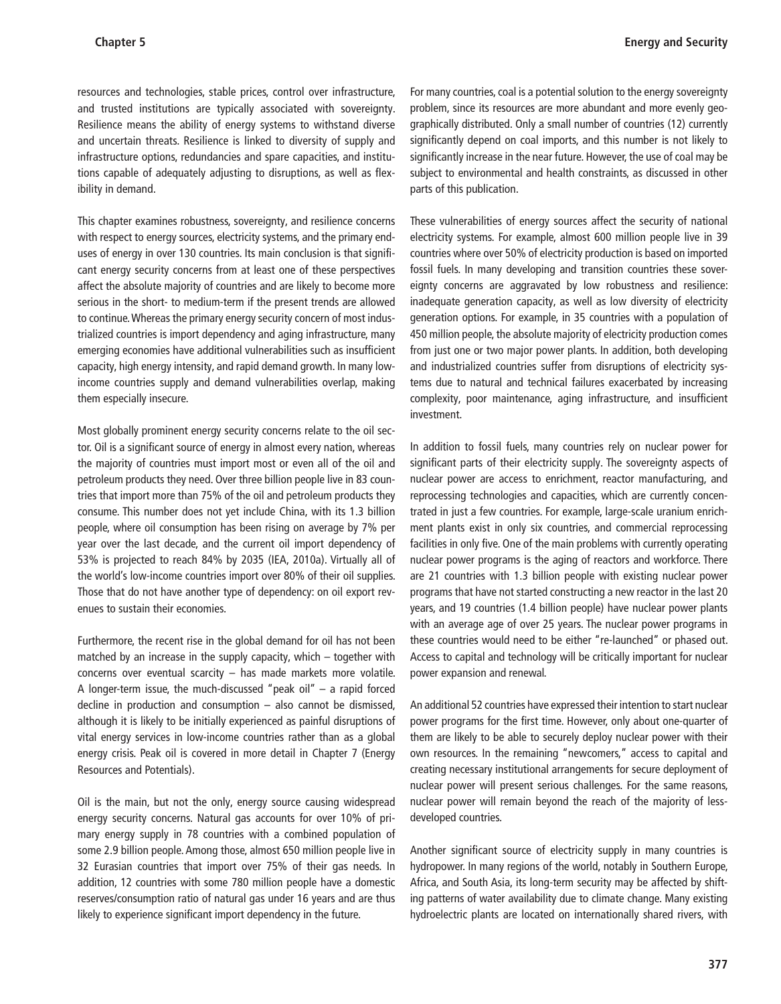resources and technologies, stable prices, control over infrastructure, and trusted institutions are typically associated with sovereignty. Resilience means the ability of energy systems to withstand diverse and uncertain threats. Resilience is linked to diversity of supply and infrastructure options, redundancies and spare capacities, and institutions capable of adequately adjusting to disruptions, as well as flexibility in demand.

 This chapter examines robustness, sovereignty, and resilience concerns with respect to energy sources, electricity systems, and the primary enduses of energy in over 130 countries. Its main conclusion is that significant energy security concerns from at least one of these perspectives affect the absolute majority of countries and are likely to become more serious in the short- to medium-term if the present trends are allowed to continue. Whereas the primary energy security concern of most industrialized countries is import dependency and aging infrastructure, many emerging economies have additional vulnerabilities such as insufficient capacity, high energy intensity, and rapid demand growth. In many lowincome countries supply and demand vulnerabilities overlap, making them especially insecure.

 Most globally prominent energy security concerns relate to the oil sector. Oil is a significant source of energy in almost every nation, whereas the majority of countries must import most or even all of the oil and petroleum products they need. Over three billion people live in 83 countries that import more than 75% of the oil and petroleum products they consume. This number does not yet include China, with its 1.3 billion people, where oil consumption has been rising on average by 7% per year over the last decade, and the current oil import dependency of 53% is projected to reach 84% by 2035 (IEA, 2010a). Virtually all of the world's low-income countries import over 80% of their oil supplies. Those that do not have another type of dependency: on oil export revenues to sustain their economies.

 Furthermore, the recent rise in the global demand for oil has not been matched by an increase in the supply capacity, which – together with concerns over eventual scarcity – has made markets more volatile. A longer-term issue, the much-discussed "peak oil" – a rapid forced decline in production and consumption – also cannot be dismissed, although it is likely to be initially experienced as painful disruptions of vital energy services in low-income countries rather than as a global energy crisis. Peak oil is covered in more detail in Chapter 7 (Energy Resources and Potentials).

 Oil is the main, but not the only, energy source causing widespread energy security concerns. Natural gas accounts for over 10% of primary energy supply in 78 countries with a combined population of some 2.9 billion people. Among those, almost 650 million people live in 32 Eurasian countries that import over 75% of their gas needs. In addition, 12 countries with some 780 million people have a domestic reserves/consumption ratio of natural gas under 16 years and are thus likely to experience significant import dependency in the future.

 For many countries, coal is a potential solution to the energy sovereignty problem, since its resources are more abundant and more evenly geographically distributed. Only a small number of countries (12) currently significantly depend on coal imports, and this number is not likely to significantly increase in the near future. However, the use of coal may be subject to environmental and health constraints, as discussed in other parts of this publication.

 These vulnerabilities of energy sources affect the security of national electricity systems. For example, almost 600 million people live in 39 countries where over 50% of electricity production is based on imported fossil fuels. In many developing and transition countries these sovereignty concerns are aggravated by low robustness and resilience: inadequate generation capacity, as well as low diversity of electricity generation options. For example, in 35 countries with a population of 450 million people, the absolute majority of electricity production comes from just one or two major power plants. In addition, both developing and industrialized countries suffer from disruptions of electricity systems due to natural and technical failures exacerbated by increasing complexity, poor maintenance, aging infrastructure, and insufficient investment.

 In addition to fossil fuels, many countries rely on nuclear power for significant parts of their electricity supply. The sovereignty aspects of nuclear power are access to enrichment, reactor manufacturing, and reprocessing technologies and capacities, which are currently concentrated in just a few countries. For example, large-scale uranium enrichment plants exist in only six countries, and commercial reprocessing facilities in only five. One of the main problems with currently operating nuclear power programs is the aging of reactors and workforce. There are 21 countries with 1.3 billion people with existing nuclear power programs that have not started constructing a new reactor in the last 20 years, and 19 countries (1.4 billion people) have nuclear power plants with an average age of over 25 years. The nuclear power programs in these countries would need to be either "re-launched" or phased out. Access to capital and technology will be critically important for nuclear power expansion and renewal.

 An additional 52 countries have expressed their intention to start nuclear power programs for the first time. However, only about one-quarter of them are likely to be able to securely deploy nuclear power with their own resources. In the remaining "newcomers," access to capital and creating necessary institutional arrangements for secure deployment of nuclear power will present serious challenges. For the same reasons, nuclear power will remain beyond the reach of the majority of lessdeveloped countries.

 Another significant source of electricity supply in many countries is hydropower. In many regions of the world, notably in Southern Europe, Africa, and South Asia, its long-term security may be affected by shifting patterns of water availability due to climate change. Many existing hydroelectric plants are located on internationally shared rivers, with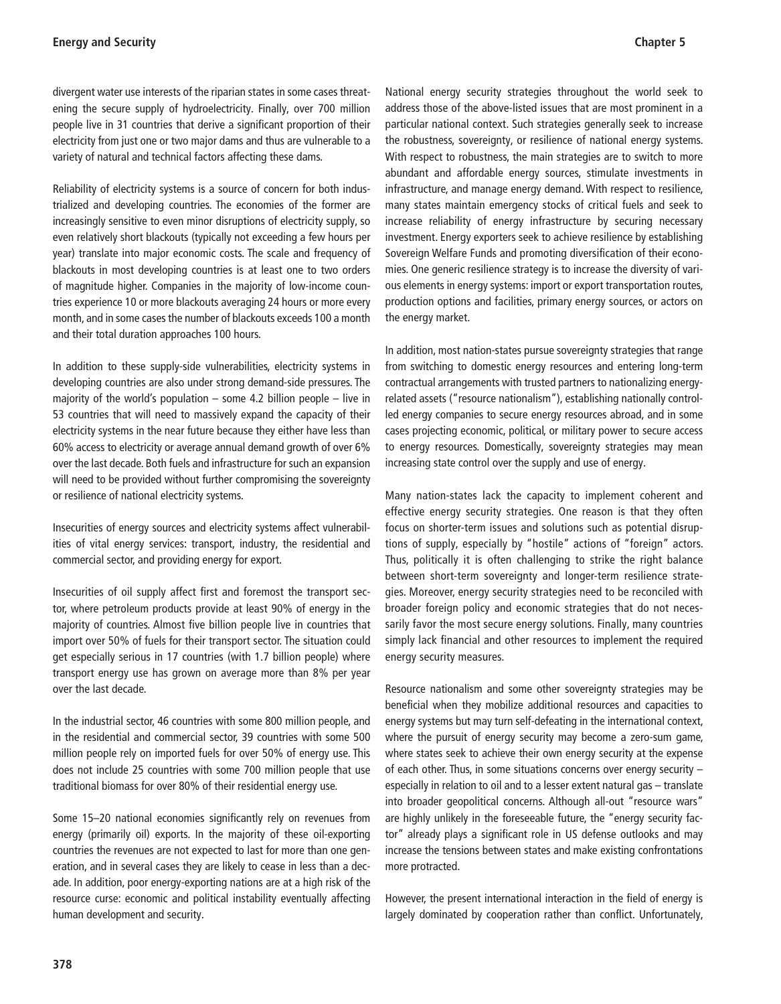divergent water use interests of the riparian states in some cases threatening the secure supply of hydroelectricity. Finally, over 700 million people live in 31 countries that derive a significant proportion of their electricity from just one or two major dams and thus are vulnerable to a variety of natural and technical factors affecting these dams.

 Reliability of electricity systems is a source of concern for both industrialized and developing countries. The economies of the former are increasingly sensitive to even minor disruptions of electricity supply, so even relatively short blackouts (typically not exceeding a few hours per year) translate into major economic costs. The scale and frequency of blackouts in most developing countries is at least one to two orders of magnitude higher. Companies in the majority of low-income countries experience 10 or more blackouts averaging 24 hours or more every month, and in some cases the number of blackouts exceeds 100 a month and their total duration approaches 100 hours.

 In addition to these supply-side vulnerabilities, electricity systems in developing countries are also under strong demand-side pressures. The majority of the world's population  $-$  some 4.2 billion people  $-$  live in 53 countries that will need to massively expand the capacity of their electricity systems in the near future because they either have less than 60% access to electricity or average annual demand growth of over 6% over the last decade. Both fuels and infrastructure for such an expansion will need to be provided without further compromising the sovereignty or resilience of national electricity systems.

 Insecurities of energy sources and electricity systems affect vulnerabilities of vital energy services: transport, industry, the residential and commercial sector, and providing energy for export.

 Insecurities of oil supply affect first and foremost the transport sector, where petroleum products provide at least 90% of energy in the majority of countries. Almost five billion people live in countries that import over 50% of fuels for their transport sector. The situation could get especially serious in 17 countries (with 1.7 billion people) where transport energy use has grown on average more than 8% per year over the last decade.

 In the industrial sector, 46 countries with some 800 million people, and in the residential and commercial sector, 39 countries with some 500 million people rely on imported fuels for over 50% of energy use. This does not include 25 countries with some 700 million people that use traditional biomass for over 80% of their residential energy use.

 Some 15–20 national economies significantly rely on revenues from energy (primarily oil) exports. In the majority of these oil-exporting countries the revenues are not expected to last for more than one generation, and in several cases they are likely to cease in less than a decade. In addition, poor energy-exporting nations are at a high risk of the resource curse: economic and political instability eventually affecting human development and security.

 National energy security strategies throughout the world seek to address those of the above-listed issues that are most prominent in a particular national context. Such strategies generally seek to increase the robustness, sovereignty, or resilience of national energy systems. With respect to robustness, the main strategies are to switch to more abundant and affordable energy sources, stimulate investments in infrastructure, and manage energy demand. With respect to resilience, many states maintain emergency stocks of critical fuels and seek to increase reliability of energy infrastructure by securing necessary investment. Energy exporters seek to achieve resilience by establishing Sovereign Welfare Funds and promoting diversification of their economies. One generic resilience strategy is to increase the diversity of various elements in energy systems: import or export transportation routes, production options and facilities, primary energy sources, or actors on the energy market.

 In addition, most nation-states pursue sovereignty strategies that range from switching to domestic energy resources and entering long-term contractual arrangements with trusted partners to nationalizing energyrelated assets ("resource nationalism"), establishing nationally controlled energy companies to secure energy resources abroad, and in some cases projecting economic, political, or military power to secure access to energy resources. Domestically, sovereignty strategies may mean increasing state control over the supply and use of energy.

 Many nation-states lack the capacity to implement coherent and effective energy security strategies. One reason is that they often focus on shorter-term issues and solutions such as potential disruptions of supply, especially by "hostile" actions of "foreign" actors. Thus, politically it is often challenging to strike the right balance between short-term sovereignty and longer-term resilience strategies. Moreover, energy security strategies need to be reconciled with broader foreign policy and economic strategies that do not necessarily favor the most secure energy solutions. Finally, many countries simply lack financial and other resources to implement the required energy security measures.

 Resource nationalism and some other sovereignty strategies may be beneficial when they mobilize additional resources and capacities to energy systems but may turn self-defeating in the international context, where the pursuit of energy security may become a zero-sum game, where states seek to achieve their own energy security at the expense of each other. Thus, in some situations concerns over energy security – especially in relation to oil and to a lesser extent natural gas – translate into broader geopolitical concerns. Although all-out "resource wars" are highly unlikely in the foreseeable future, the "energy security factor" already plays a significant role in US defense outlooks and may increase the tensions between states and make existing confrontations more protracted.

 However, the present international interaction in the field of energy is largely dominated by cooperation rather than conflict. Unfortunately,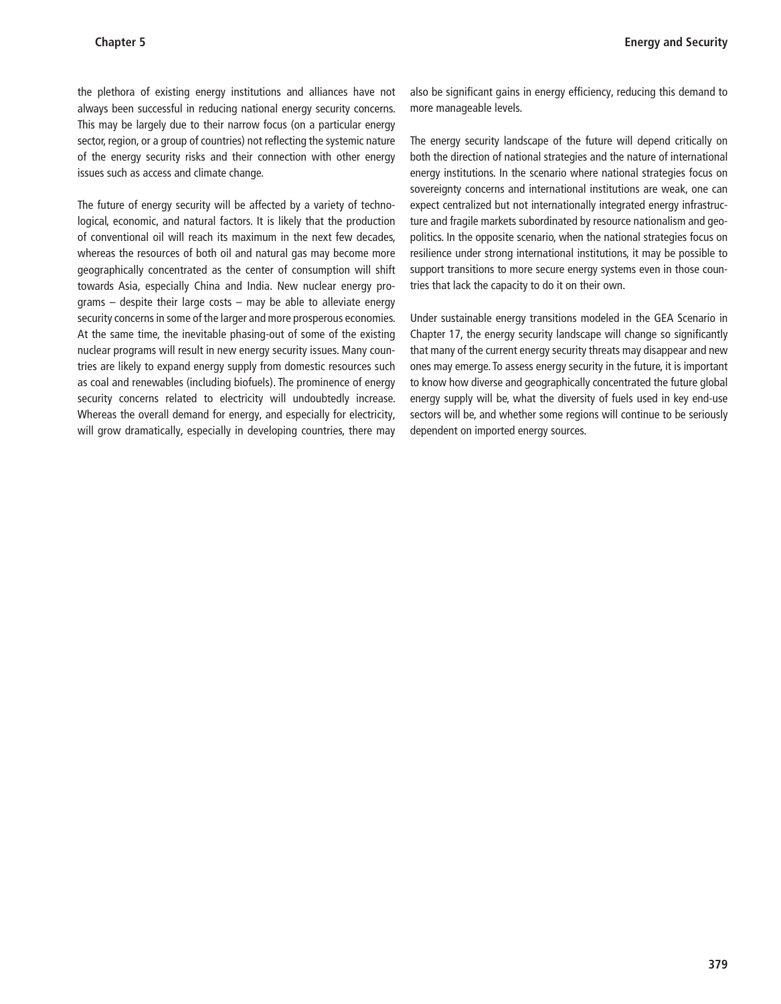the plethora of existing energy institutions and alliances have not always been successful in reducing national energy security concerns. This may be largely due to their narrow focus (on a particular energy sector, region, or a group of countries) not reflecting the systemic nature of the energy security risks and their connection with other energy issues such as access and climate change.

 The future of energy security will be affected by a variety of technological, economic, and natural factors. It is likely that the production of conventional oil will reach its maximum in the next few decades, whereas the resources of both oil and natural gas may become more geographically concentrated as the center of consumption will shift towards Asia, especially China and India. New nuclear energy programs – despite their large costs – may be able to alleviate energy security concerns in some of the larger and more prosperous economies. At the same time, the inevitable phasing-out of some of the existing nuclear programs will result in new energy security issues. Many countries are likely to expand energy supply from domestic resources such as coal and renewables (including biofuels). The prominence of energy security concerns related to electricity will undoubtedly increase. Whereas the overall demand for energy, and especially for electricity, will grow dramatically, especially in developing countries, there may also be significant gains in energy efficiency, reducing this demand to more manageable levels.

 The energy security landscape of the future will depend critically on both the direction of national strategies and the nature of international energy institutions. In the scenario where national strategies focus on sovereignty concerns and international institutions are weak, one can expect centralized but not internationally integrated energy infrastructure and fragile markets subordinated by resource nationalism and geopolitics. In the opposite scenario, when the national strategies focus on resilience under strong international institutions, it may be possible to support transitions to more secure energy systems even in those countries that lack the capacity to do it on their own.

 Under sustainable energy transitions modeled in the GEA Scenario in Chapter 17 , the energy security landscape will change so significantly that many of the current energy security threats may disappear and new ones may emerge. To assess energy security in the future, it is important to know how diverse and geographically concentrated the future global energy supply will be, what the diversity of fuels used in key end-use sectors will be, and whether some regions will continue to be seriously dependent on imported energy sources.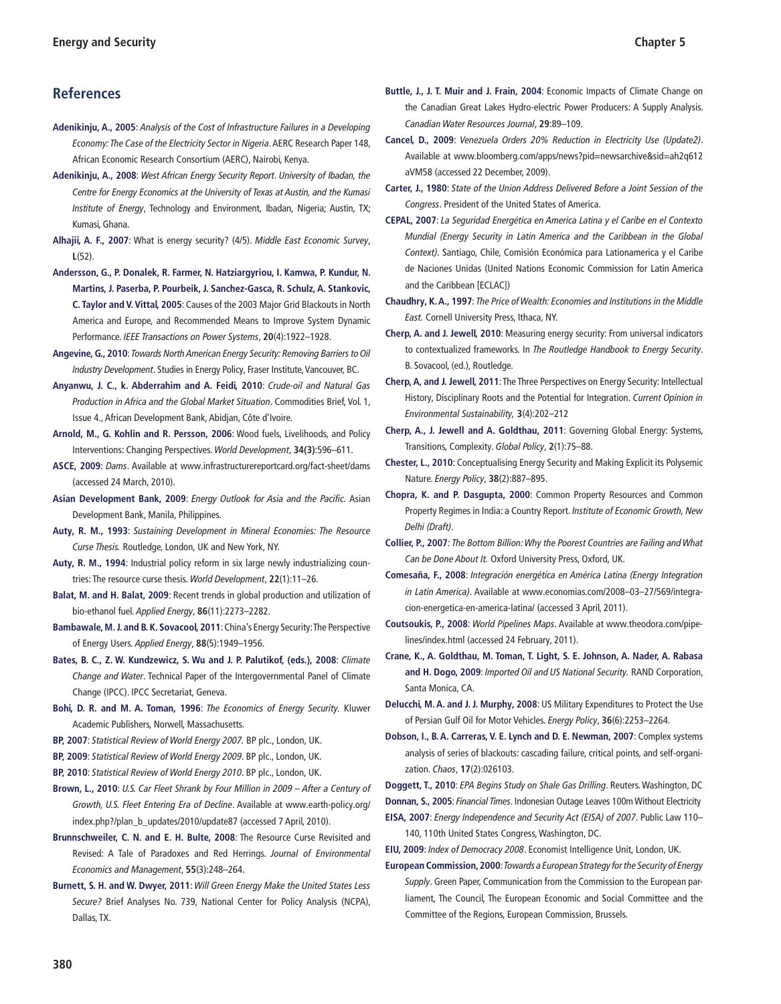## **References**

- **Adenikinju , A. , 2005** : Analysis of the Cost of Infrastructure Failures in a Developing Economy: The Case of the Electricity Sector in Nigeria . AERC Research Paper 148, African Economic Research Consortium (AERC), Nairobi, Kenya.
- Adenikinju, A., 2008: West African Energy Security Report. University of Ibadan, the Centre for Energy Economics at the University of Texas at Austin, and the Kumasi Institute of Energy, Technology and Environment, Ibadan, Nigeria; Austin, TX; Kumasi, Ghana.
- Alhajii, A. F., 2007: What is energy security? (4/5). Middle East Economic Survey,  $L(52)$ .
- Andersson, G., P. Donalek, R. Farmer, N. Hatziargyriou, I. Kamwa, P. Kundur, N. Martins, J. Paserba, P. Pourbeik, J. Sanchez-Gasca, R. Schulz, A. Stankovic, **C. Taylor and V. Vittal, 2005: Causes of the 2003 Major Grid Blackouts in North** America and Europe, and Recommended Means to Improve System Dynamic Performance. IEEE Transactions on Power Systems, 20(4):1922-1928.
- **Angevine , G., 2010** : Towards North American Energy Security: Removing Barriers to Oil Industry Development. Studies in Energy Policy, Fraser Institute, Vancouver, BC.
- Anyanwu, J. C., k. Abderrahim and A. Feidi, 2010: Crude-oil and Natural Gas Production in Africa and the Global Market Situation. Commodities Brief, Vol. 1, Issue 4., African Development Bank, Abidjan, Côte d'Ivoire.
- Arnold, M., G. Kohlin and R. Persson, 2006: Wood fuels, Livelihoods, and Policy Interventions: Changing Perspectives. World Development, 34(3):596-611.
- ASCE, 2009: Dams. Available at www.infrastructurereportcard.org/fact-sheet/dams (accessed 24 March, 2010).
- Asian Development Bank, 2009: Energy Outlook for Asia and the Pacific. Asian Development Bank, Manila, Philippines.
- Auty, R. M., 1993: Sustaining Development in Mineral Economies: The Resource Curse Thesis. Routledge, London, UK and New York, NY.
- Auty, R. M., 1994: Industrial policy reform in six large newly industrializing countries: The resource curse thesis. World Development, 22(1):11-26.
- Balat, M. and H. Balat, 2009: Recent trends in global production and utilization of bio-ethanol fuel. Applied Energy , **86** (11): 2273 – 2282 .
- Bambawale, M. J. and B. K. Sovacool, 2011: China's Energy Security: The Perspective of Energy Users. Applied Energy , **88** (5): 1949 – 1956 .
- Bates, B. C., Z. W. Kundzewicz, S. Wu and J. P. Palutikof, (eds.), 2008: Climate Change and Water. Technical Paper of the Intergovernmental Panel of Climate Change (IPCC). IPCC Secretariat, Geneva.
- Bohi, D. R. and M. A. Toman, 1996: The Economics of Energy Security. Kluwer Academic Publishers, Norwell, Massachusetts.
- BP, 2007: Statistical Review of World Energy 2007. BP plc., London, UK.
- **BP, 2009**: Statistical Review of World Energy 2009. BP plc., London, UK.
- BP, 2010: Statistical Review of World Energy 2010. BP plc., London, UK.
- Brown, L., 2010: U.S. Car Fleet Shrank by Four Million in 2009 After a Century of Growth, U.S. Fleet Entering Era of Decline . Available at www.earth-policy.org/ index.php?/plan\_b\_updates/2010/update87 (accessed 7 April, 2010).
- Brunnschweiler, C. N. and E. H. Bulte, 2008: The Resource Curse Revisited and Revised: A Tale of Paradoxes and Red Herrings. Journal of Environmental Economics and Management, 55(3):248-264.
- **Burnett, S. H. and W. Dwyer, 2011: Will Green Energy Make the United States Less** Secure? Brief Analyses No. 739, National Center for Policy Analysis (NCPA), Dallas, TX.
- Buttle, J., J. T. Muir and J. Frain, 2004: Economic Impacts of Climate Change on the Canadian Great Lakes Hydro-electric Power Producers: A Supply Analysis. Canadian Water Resources Journal, 29:89-109.
- **Cancel, D., 2009:** Venezuela Orders 20% Reduction in Electricity Use (Update2). Available at www.bloomberg.com/apps/news?pid=newsarchive&sid=ah2q612 aVM58 (accessed 22 December, 2009).
- Carter, J., 1980: State of the Union Address Delivered Before a Joint Session of the Congress. President of the United States of America.
- **CEPAL, 2007**: La Seguridad Energética en America Latina y el Caribe en el Contexto Mundial (Energy Security in Latin America and the Caribbean in the Global Context). Santiago, Chile, Comisión Económica para Lationamerica y el Caribe de Naciones Unidas (United Nations Economic Commission for Latin America and the Caribbean [ECLAC])
- **Chaudhry , K. A. , 1997** : The Price of Wealth: Economies and Institutions in the Middle East. Cornell University Press, Ithaca, NY.
- Cherp, A. and J. Jewell, 2010: Measuring energy security: From universal indicators to contextualized frameworks. In The Routledge Handbook to Energy Security. B. Sovacool, (ed.), Routledge.
- **Cherp, A, and J. Jewell, 2011:** The Three Perspectives on Energy Security: Intellectual History, Disciplinary Roots and the Potential for Integration. Current Opinion in Environmental Sustainability, **3** (4): 202 – 212
- **Cherp, A., J. Jewell and A. Goldthau, 2011: Governing Global Energy: Systems,** Transitions, Complexity. Global Policy, 2(1):75-88.
- **Chester , L. , 2010** : Conceptualising Energy Security and Making Explicit its Polysemic Nature. Energy Policy , **38** (2): 887 – 895 .
- **Chopra, K. and P. Dasqupta, 2000: Common Property Resources and Common** Property Regimes in India: a Country Report. Institute of Economic Growth, New Delhi (Draft) .
- **Collier, P., 2007**: The Bottom Billion: Why the Poorest Countries are Failing and What Can be Done About It. Oxford University Press, Oxford, UK.
- **Comesaña, F., 2008**: Integración energética en América Latina (Energy Integration in Latin America). Available at www.economias.com/2008-03-27/569/integracion-energetica-en-america-latina/ (accessed 3 April, 2011).
- Coutsoukis, P., 2008: World Pipelines Maps. Available at www.theodora.com/pipelines/index.html (accessed 24 February, 2011).
- Crane, K., A. Goldthau, M. Toman, T. Light, S. E. Johnson, A. Nader, A. Rabasa and H. Dogo, 2009: Imported Oil and US National Security. RAND Corporation, Santa Monica, CA.
- Delucchi, M. A. and J. J. Murphy, 2008: US Military Expenditures to Protect the Use of Persian Gulf Oil for Motor Vehicles. Energy Policy, 36(6):2253-2264.
- Dobson, I., B. A. Carreras, V. E. Lynch and D. E. Newman, 2007: Complex systems analysis of series of blackouts: cascading failure, critical points, and self-organization. Chaos , **17** (2): 026103 .

**Doggett, T., 2010**: EPA Begins Study on Shale Gas Drilling. Reuters. Washington, DC **Donnan, S., 2005**: Financial Times. Indonesian Outage Leaves 100m Without Electricity EISA, 2007: Energy Independence and Security Act (EISA) of 2007. Public Law 110-

- 140, 110th United States Congress, Washington, DC.
- **EIU, 2009**: Index of Democracy 2008. Economist Intelligence Unit, London, UK.
- **European Commission, 2000**: Towards a European Strategy for the Security of Energy Supply. Green Paper, Communication from the Commission to the European parliament, The Council, The European Economic and Social Committee and the Committee of the Regions, European Commission, Brussels.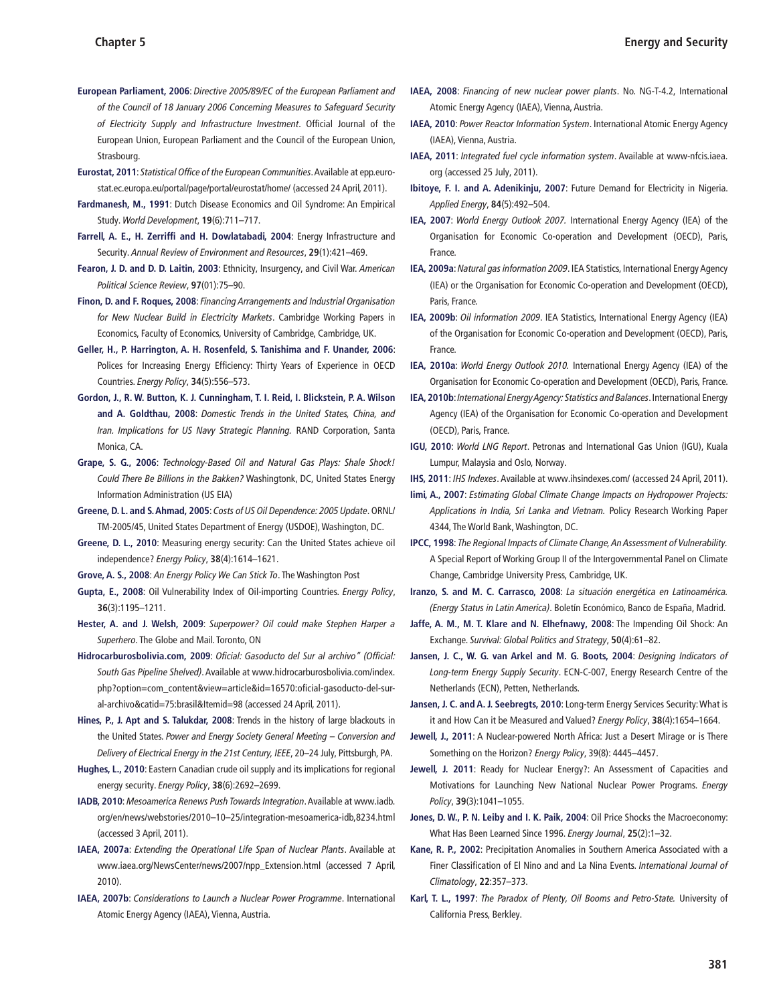- **European Parliament, 2006**: Directive 2005/89/EC of the European Parliament and of the Council of 18 January 2006 Concerning Measures to Safeguard Security of Electricity Supply and Infrastructure Investment. Official Journal of the European Union, European Parliament and the Council of the European Union, Strasbourg.
- Eurostat, 2011: Statistical Office of the European Communities. Available at epp.eurostat.ec.europa.eu/portal/page/portal/eurostat/home/ (accessed 24 April, 2011).
- Fardmanesh, M., 1991: Dutch Disease Economics and Oil Syndrome: An Empirical Study. World Development, 19(6):711-717.
- Farrell, A. E., H. Zerriffi and H. Dowlatabadi, 2004: Energy Infrastructure and Security. Annual Review of Environment and Resources, 29(1):421-469.
- Fearon, J. D. and D. D. Laitin, 2003: Ethnicity, Insurgency, and Civil War. American Political Science Review, 97(01):75-90.
- Finon, D. and F. Roques, 2008: Financing Arrangements and Industrial Organisation for New Nuclear Build in Electricity Markets. Cambridge Working Papers in Economics, Faculty of Economics, University of Cambridge, Cambridge, UK.
- Geller, H., P. Harrington, A. H. Rosenfeld, S. Tanishima and F. Unander, 2006: Polices for Increasing Energy Efficiency: Thirty Years of Experience in OECD Countries. Energy Policy, 34(5):556-573.
- Gordon, J., R. W. Button, K. J. Cunningham, T. I. Reid, I. Blickstein, P. A. Wilson and A. Goldthau, 2008: Domestic Trends in the United States, China, and Iran. Implications for US Navy Strategic Planning. RAND Corporation, Santa Monica, CA.
- Grape, S. G., 2006: Technology-Based Oil and Natural Gas Plays: Shale Shock! Could There Be Billions in the Bakken? Washingtonk, DC, United States Energy Information Administration (US EIA)
- **Greene, D. L. and S. Ahmad, 2005**: Costs of US Oil Dependence: 2005 Update. ORNL/ TM-2005/45, United States Department of Energy (USDOE), Washington, DC.
- Greene, D. L., 2010: Measuring energy security: Can the United States achieve oil independence? Energy Policy, 38(4):1614-1621.
- Grove, A. S., 2008: An Energy Policy We Can Stick To. The Washington Post
- Gupta, E., 2008: Oil Vulnerability Index of Oil-importing Countries. Energy Policy, **36** (3): 1195 – 1211 .
- Hester, A. and J. Welsh, 2009: Superpower? Oil could make Stephen Harper a Superhero. The Globe and Mail. Toronto, ON
- Hidrocarburosbolivia.com, 2009: Oficial: Gasoducto del Sur al archivo" (Official: South Gas Pipeline Shelved). Available at www.hidrocarburosbolivia.com/index. php?option=com\_content&view=article&id=16570:oficial-gasoducto-del-sural-archivo&catid=75:brasil&Itemid=98 (accessed 24 April, 2011).
- Hines, P., J. Apt and S. Talukdar, 2008: Trends in the history of large blackouts in the United States. Power and Energy Society General Meeting - Conversion and Delivery of Electrical Energy in the 21st Century, IEEE, 20-24 July, Pittsburgh, PA.
- Hughes, L., 2010: Eastern Canadian crude oil supply and its implications for regional energy security. Energy Policy, 38(6):2692-2699.
- **IADB, 2010**: Mesoamerica Renews Push Towards Integration. Available at www.iadb. org/en/news/webstories/2010–10–25/integration-mesoamerica-idb,8234.html (accessed 3 April, 2011).
- **IAEA, 2007a:** Extending the Operational Life Span of Nuclear Plants. Available at www.iaea.org/NewsCenter/news/2007/npp\_Extension.html (accessed 7 April, 2010).
- **IAEA, 2007b**: Considerations to Launch a Nuclear Power Programme. International Atomic Energy Agency (IAEA), Vienna, Austria.
- **IAEA, 2008**: Financing of new nuclear power plants. No. NG-T-4.2, International Atomic Energy Agency (IAEA), Vienna, Austria.
- **IAEA, 2010**: Power Reactor Information System. International Atomic Energy Agency (IAEA), Vienna, Austria.
- **IAEA, 2011**: Integrated fuel cycle information system. Available at www-nfcis.iaea. org (accessed 25 July, 2011).
- **Ibitoye, F. I. and A. Adenikinju, 2007: Future Demand for Electricity in Nigeria.** Applied Energy, 84(5):492-504.
- **IEA, 2007:** World Energy Outlook 2007. International Energy Agency (IEA) of the Organisation for Economic Co-operation and Development (OECD), Paris, France.
- **IEA, 2009a**: Natural gas information 2009. IEA Statistics, International Energy Agency (IEA) or the Organisation for Economic Co-operation and Development (OECD) , Paris, France.
- **IEA, 2009b**: Oil information 2009. IEA Statistics, International Energy Agency (IEA) of the Organisation for Economic Co-operation and Development (OECD), Paris, France .
- **IEA, 2010a**: World Energy Outlook 2010. International Energy Agency (IEA) of the Organisation for Economic Co-operation and Development (OECD), Paris, France.
- IEA, 2010b: International Energy Agency: Statistics and Balances. International Energy Agency (IEA) of the Organisation for Economic Co-operation and Development (OECD), Paris, France.
- **IGU, 2010**: World LNG Report. Petronas and International Gas Union (IGU), Kuala Lumpur, Malaysia and Oslo, Norway.
- **IHS , 2011** : IHS Indexes. Available at www.ihsindexes.com/ (accessed 24 April, 2011).
- **Iimi, A., 2007: Estimating Global Climate Change Impacts on Hydropower Projects:** Applications in India, Sri Lanka and Vietnam. Policy Research Working Paper 4344, The World Bank, Washington, DC.
- **IPCC, 1998**: The Regional Impacts of Climate Change, An Assessment of Vulnerability. A Special Report of Working Group II of the Intergovernmental Panel on Climate Change, Cambridge University Press, Cambridge, UK.
- Iranzo, S. and M. C. Carrasco, 2008: La situación energética en Latinoamérica. (Energy Status in Latin America). Boletín Económico, Banco de España, Madrid.
- Jaffe, A. M., M. T. Klare and N. Elhefnawy, 2008: The Impending Oil Shock: An Exchange. Survival: Global Politics and Strategy , **50** (4): 61 – 82 .
- Jansen, J. C., W. G. van Arkel and M. G. Boots, 2004: Designing Indicators of Long-term Energy Supply Security. ECN-C-007, Energy Research Centre of the Netherlands (ECN), Petten, Netherlands.
- Jansen, J. C. and A. J. Seebregts, 2010: Long-term Energy Services Security: What is it and How Can it be Measured and Valued? Energy Policy, 38(4):1654-1664.
- Jewell, J., 2011: A Nuclear-powered North Africa: Just a Desert Mirage or is There Something on the Horizon? Energy Policy, 39(8): 4445-4457.
- Jewell, J. 2011: Ready for Nuclear Energy?: An Assessment of Capacities and Motivations for Launching New National Nuclear Power Programs. Energy Policy, 39(3):1041-1055.
- **Jones, D. W., P. N. Leiby and I. K. Paik, 2004: Oil Price Shocks the Macroeconomy:** What Has Been Learned Since 1996. Energy Journal, 25(2):1-32.
- **Kane, R. P., 2002: Precipitation Anomalies in Southern America Associated with a** Finer Classification of El Nino and and La Nina Events. International Journal of Climatology, 22:357-373.
- Karl, T. L., 1997: The Paradox of Plenty, Oil Booms and Petro-State. University of California Press, Berkley.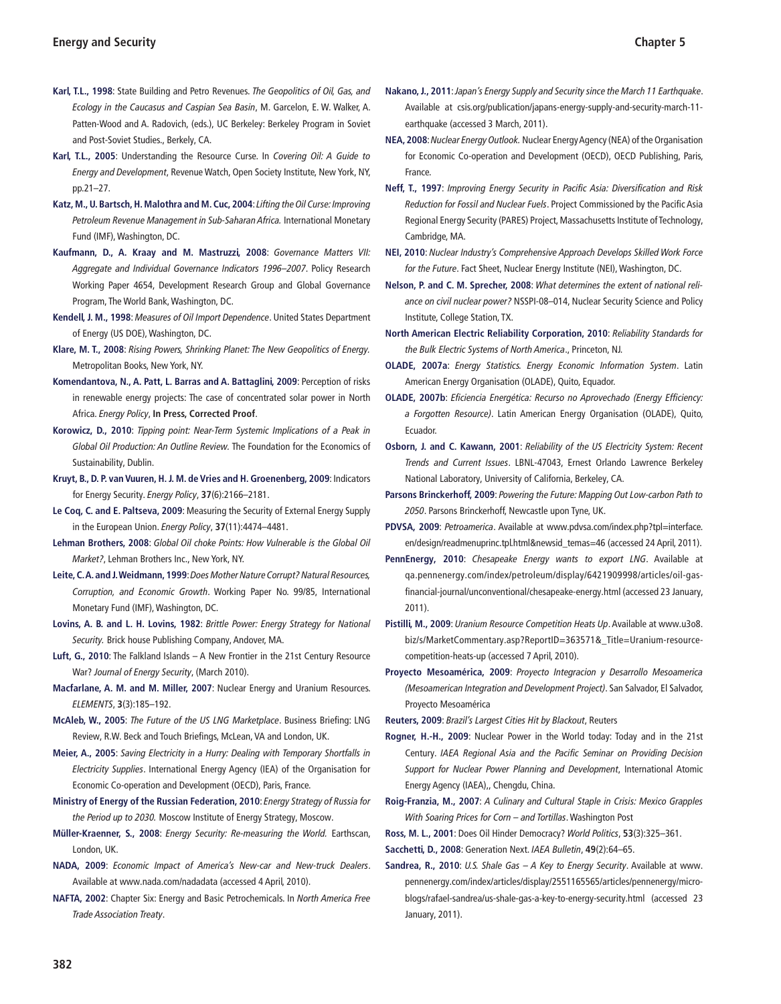- **Karl, T.L., 1998** : State Building and Petro Revenues. The Geopolitics of Oil, Gas, and Ecology in the Caucasus and Caspian Sea Basin, M. Garcelon, E. W. Walker, A. Patten-Wood and A. Radovich, (eds.), UC Berkeley: Berkeley Program in Soviet and Post-Soviet Studies., Berkely, CA.
- Karl, T.L., 2005: Understanding the Resource Curse. In Covering Oil: A Guide to Energy and Development, Revenue Watch, Open Society Institute, New York, NY, pp.21–27.
- Katz, M., U. Bartsch, H. Malothra and M. Cuc, 2004: Lifting the Oil Curse: Improving Petroleum Revenue Management in Sub-Saharan Africa. International Monetary Fund (IMF), Washington, DC.
- Kaufmann, D., A. Kraay and M. Mastruzzi, 2008: Governance Matters VII: Aggregate and Individual Governance Indicators 1996-2007. Policy Research Working Paper 4654, Development Research Group and Global Governance Program, The World Bank, Washington, DC.
- Kendell, J. M., 1998: Measures of Oil Import Dependence. United States Department of Energy (US DOE), Washington, DC.
- **Klare, M. T., 2008**: Rising Powers, Shrinking Planet: The New Geopolitics of Energy. Metropolitan Books, New York, NY.
- **Komendantova, N., A. Patt, L. Barras and A. Battaglini, 2009: Perception of risks** in renewable energy projects: The case of concentrated solar power in North Africa. Energy Policy, In Press, Corrected Proof.
- Korowicz, D., 2010: Tipping point: Near-Term Systemic Implications of a Peak in Global Oil Production: An Outline Review. The Foundation for the Economics of Sustainability, Dublin.
- **Kruyt, B., D. P. van Vuuren, H. J. M. de Vries and H. Groenenberg, 2009: Indicators** for Energy Security. Energy Policy, 37(6):2166-2181.
- Le Coq, C. and E. Paltseva, 2009: Measuring the Security of External Energy Supply in the European Union. Energy Policy, 37(11):4474-4481.
- Lehman Brothers, 2008: Global Oil choke Points: How Vulnerable is the Global Oil Market?, Lehman Brothers Inc., New York, NY.
- Leite, C.A. and J. Weidmann, 1999: Does Mother Nature Corrupt? Natural Resources, Corruption, and Economic Growth. Working Paper No. 99/85, International Monetary Fund (IMF), Washington, DC.
- Lovins, A. B. and L. H. Lovins, 1982: Brittle Power: Energy Strategy for National Security. Brick house Publishing Company, Andover, MA.
- Luft, G., 2010: The Falkland Islands A New Frontier in the 21st Century Resource War? Journal of Energy Security, (March 2010).
- Macfarlane, A. M. and M. Miller, 2007: Nuclear Energy and Uranium Resources. ELEMENTS, 3(3):185-192.
- **McAleb, W., 2005:** The Future of the US LNG Marketplace. Business Briefing: LNG Review, R.W. Beck and Touch Briefings, McLean, VA and London, UK.
- **Meier , A. , 2005** : Saving Electricity in a Hurry: Dealing with Temporary Shortfalls in Electricity Supplies. International Energy Agency (IEA) of the Organisation for Economic Co-operation and Development (OECD), Paris, France.
- **Ministry of Energy of the Russian Federation, 2010: Energy Strategy of Russia for** the Period up to 2030. Moscow Institute of Energy Strategy, Moscow.
- **Müller-Kraenner, S., 2008**: Energy Security: Re-measuring the World. Earthscan, London, UK.
- NADA, 2009: Economic Impact of America's New-car and New-truck Dealers. Available at www.nada.com/nadadata (accessed 4 April, 2010).
- **NAFTA, 2002**: Chapter Six: Energy and Basic Petrochemicals. In North America Free Trade Association Treaty .
- Nakano, J., 2011: Japan's Energy Supply and Security since the March 11 Earthquake. Available at csis.org/publication/japans-energy-supply-and-security-march-11 earthquake (accessed 3 March, 2011).
- **NEA , 2008** : Nuclear Energy Outlook. Nuclear Energy Agency (NEA) of the Organisation for Economic Co-operation and Development (OECD), OECD Publishing, Paris, France.
- Neff, T., 1997: Improving Energy Security in Pacific Asia: Diversification and Risk Reduction for Fossil and Nuclear Fuels. Project Commissioned by the Pacific Asia Regional Energy Security (PARES) Project, Massachusetts Institute of Technology , Cambridge, MA.
- **NEI, 2010**: Nuclear Industry's Comprehensive Approach Develops Skilled Work Force for the Future. Fact Sheet, Nuclear Energy Institute (NEI), Washington, DC.
- Nelson, P. and C. M. Sprecher, 2008: What determines the extent of national reliance on civil nuclear power? NSSPI-08-014, Nuclear Security Science and Policy Institute, College Station, TX.
- **North American Electric Reliability Corporation, 2010**: Reliability Standards for the Bulk Electric Systems of North America., Princeton, NJ.
- **OLADE, 2007a: Energy Statistics. Energy Economic Information System. Latin** American Energy Organisation (OLADE), Quito, Equador.
- **OLADE, 2007b:** Eficiencia Energética: Recurso no Aprovechado (Energy Efficiency: a Forgotten Resource). Latin American Energy Organisation (OLADE), Quito, Ecuador.
- **Osborn, J. and C. Kawann, 2001: Reliability of the US Electricity System: Recent** Trends and Current Issues. LBNL-47043, Ernest Orlando Lawrence Berkeley National Laboratory, University of California, Berkeley, CA.
- Parsons Brinckerhoff, 2009: Powering the Future: Mapping Out Low-carbon Path to 2050. Parsons Brinckerhoff, Newcastle upon Tyne, UK.

PDVSA, 2009: Petroamerica. Available at www.pdvsa.com/index.php?tpl=interface. en/design/readmenuprinc.tpl.html&newsid\_temas=46 (accessed 24 April, 2011).

- PennEnergy, 2010: Chesapeake Energy wants to export LNG. Available at qa.pennenergy.com/index/petroleum/display/6421909998/articles/oil-gasfinancial-journal/unconventional/chesapeake-energy.html (accessed 23 January, 2011).
- Pistilli, M., 2009: Uranium Resource Competition Heats Up. Available at www.u3o8. biz/s/MarketCommentary.asp?ReportID=363571&\_Title=Uranium-resourcecompetition-heats-up (accessed 7 April, 2010).
- Proyecto Mesoamérica, 2009: Proyecto Integracion y Desarrollo Mesoamerica (Mesoamerican Integration and Development Project). San Salvador, El Salvador, Proyecto Mesoamérica

Reuters, 2009: Brazil's Largest Cities Hit by Blackout, Reuters

- **Rogner, H.-H., 2009: Nuclear Power in the World today: Today and in the 21st** Century. IAEA Regional Asia and the Pacific Seminar on Providing Decision Support for Nuclear Power Planning and Development, International Atomic Energy Agency (IAEA),, Chengdu, China.
- Roig-Franzia, M., 2007: A Culinary and Cultural Staple in Crisis: Mexico Grapples With Soaring Prices for Corn – and Tortillas. Washington Post

 **Ross , M. L. , 2001** : Does Oil Hinder Democracy? World Politics , **53** (3): 325 – 361 .

- **Sacchetti, D., 2008: Generation Next. IAEA Bulletin, 49(2):64-65.**
- **Sandrea, R., 2010**: U.S. Shale Gas A Key to Energy Security. Available at www. pennenergy.com/index/articles/display/2551165565/articles/pennenergy/microblogs/rafael-sandrea/us-shale-gas-a-key-to-energy-security.html (accessed 23 January, 2011).